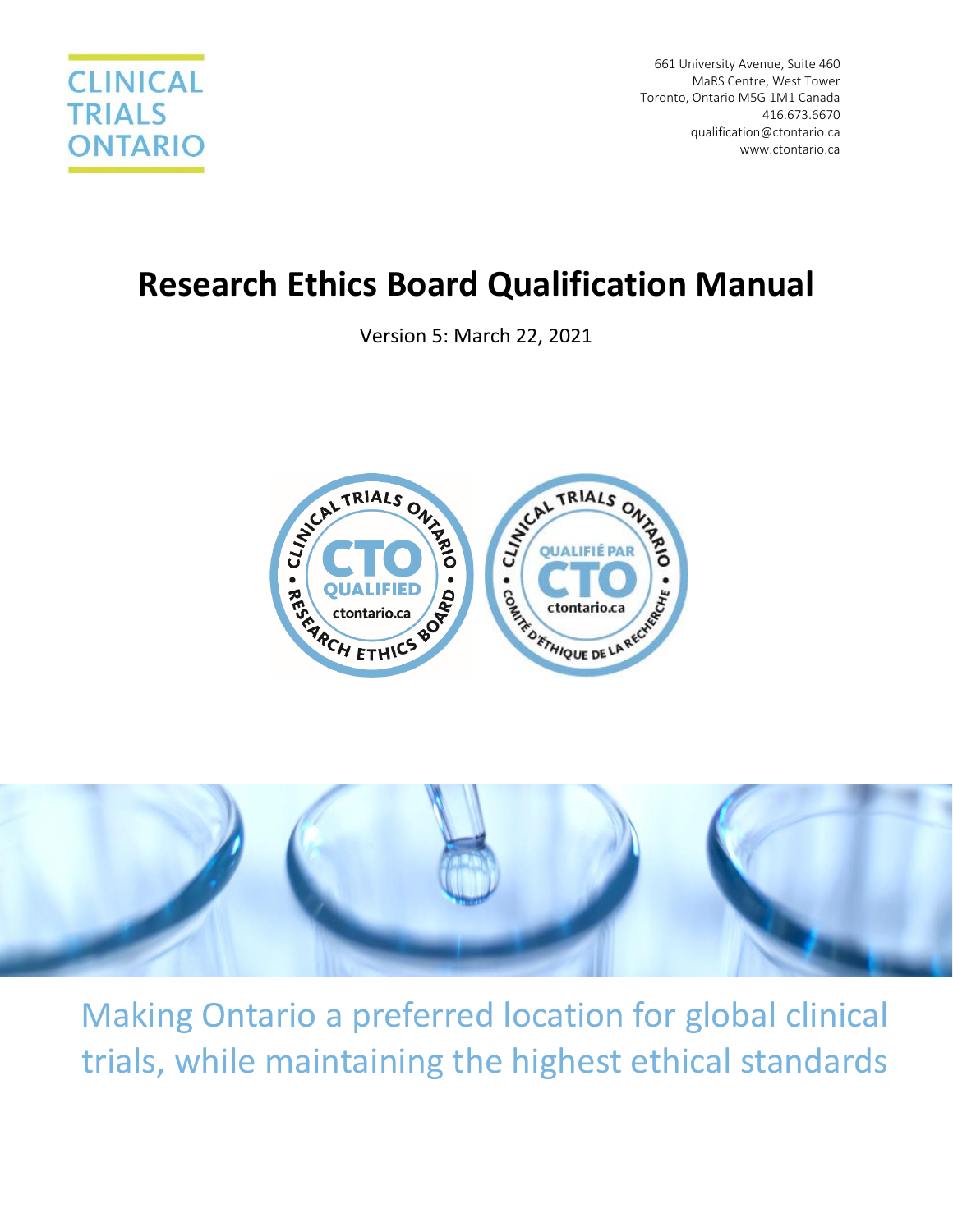

661 University Avenue, Suite 460 MaRS Centre, West Tower Toronto, Ontario M5G 1M1 Canada 416.673.6670 [qualification@ctontario.ca](mailto:qualification@ctontario.ca) www.ctontario.ca

# **Research Ethics Board Qualification Manual**

Version 5: March 22, 2021





Making Ontario a preferred location for global clinical trials, while maintaining the highest ethical standards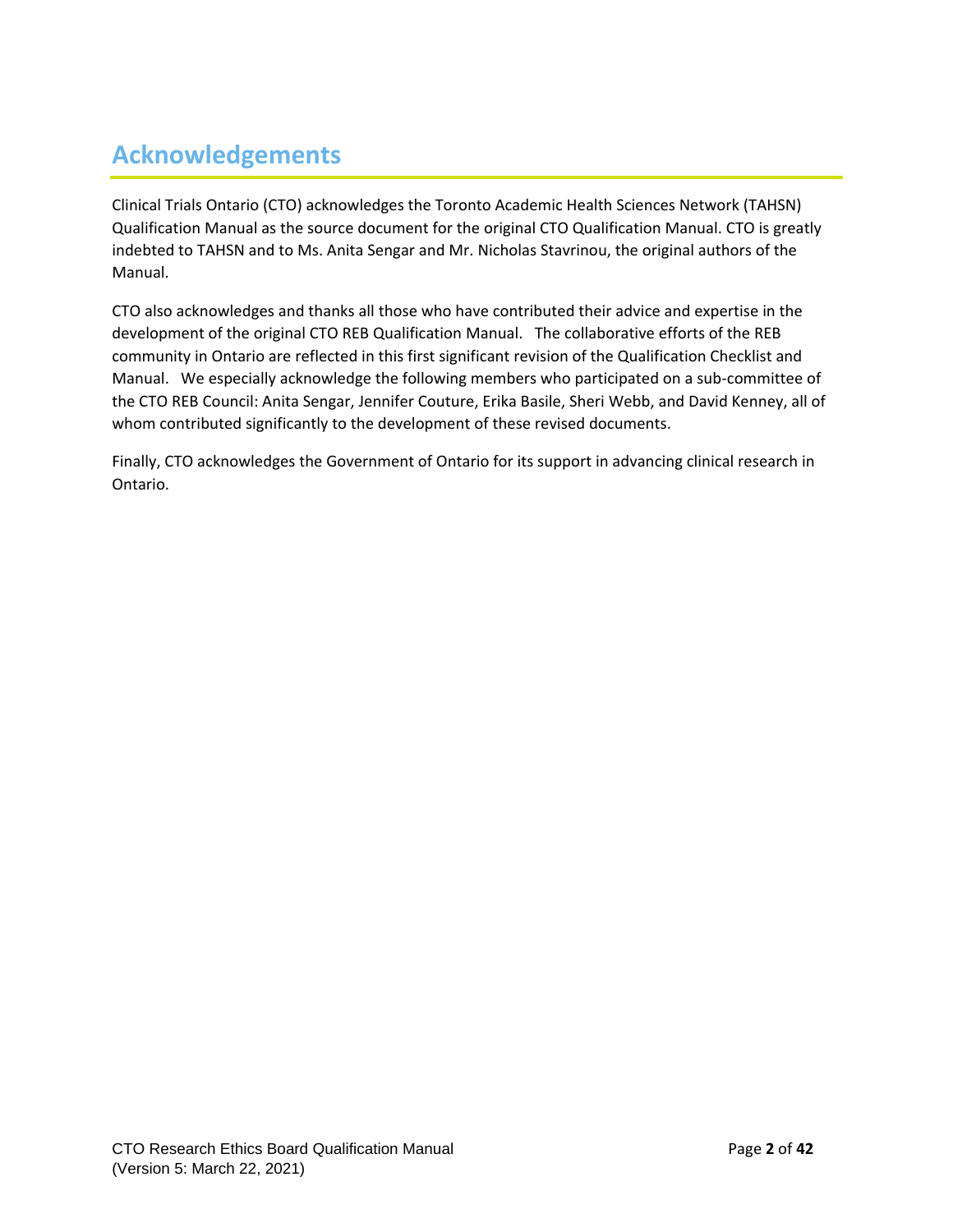## <span id="page-1-0"></span>**Acknowledgements**

Clinical Trials Ontario (CTO) acknowledges the Toronto Academic Health Sciences Network (TAHSN) Qualification Manual as the source document for the original CTO Qualification Manual. CTO is greatly indebted to TAHSN and to Ms. Anita Sengar and Mr. Nicholas Stavrinou, the original authors of the Manual.

CTO also acknowledges and thanks all those who have contributed their advice and expertise in the development of the original CTO REB Qualification Manual. The collaborative efforts of the REB community in Ontario are reflected in this first significant revision of the Qualification Checklist and Manual. We especially acknowledge the following members who participated on a sub-committee of the CTO REB Council: Anita Sengar, Jennifer Couture, Erika Basile, Sheri Webb, and David Kenney, all of whom contributed significantly to the development of these revised documents.

Finally, CTO acknowledges the Government of Ontario for its support in advancing clinical research in Ontario.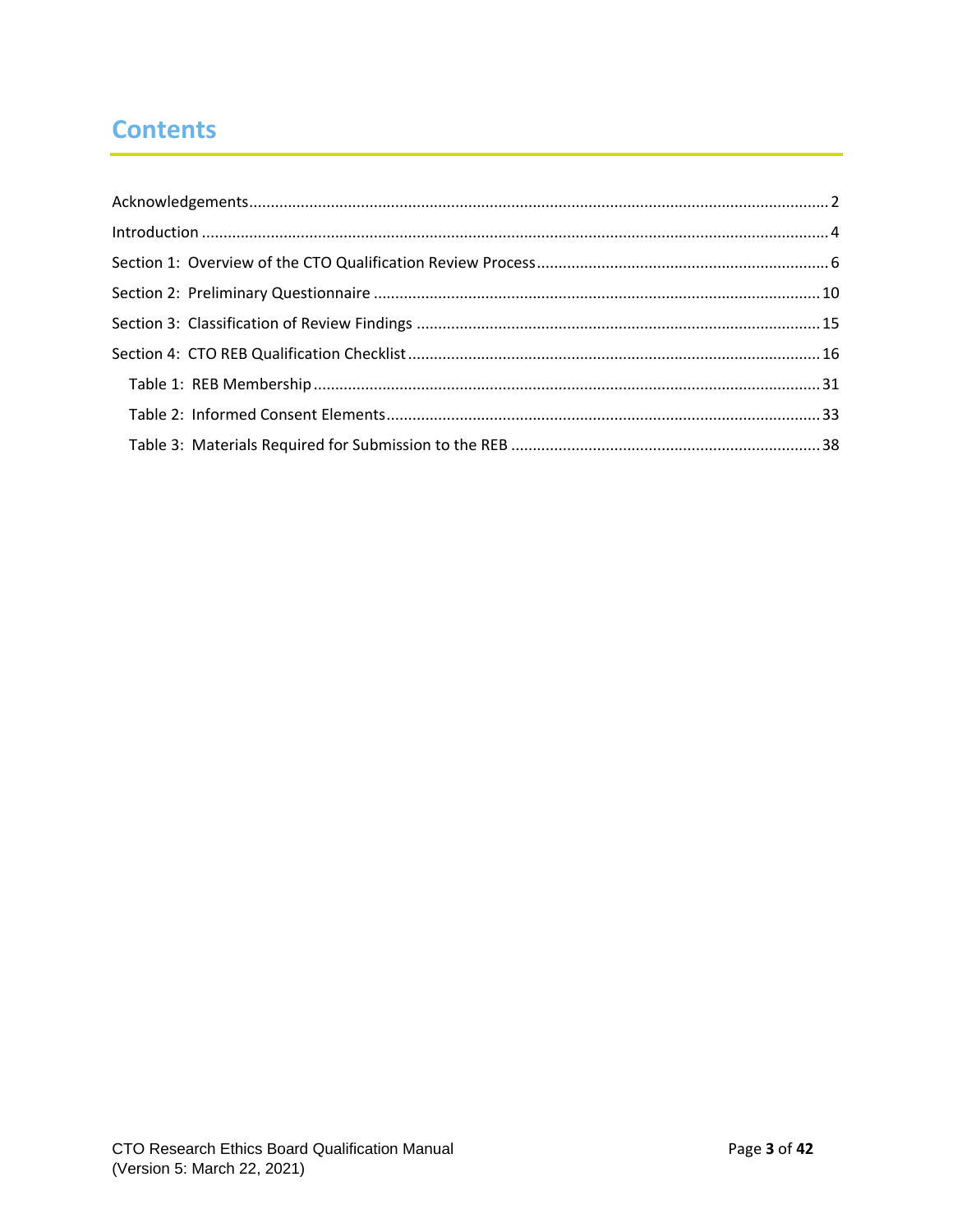## **Contents**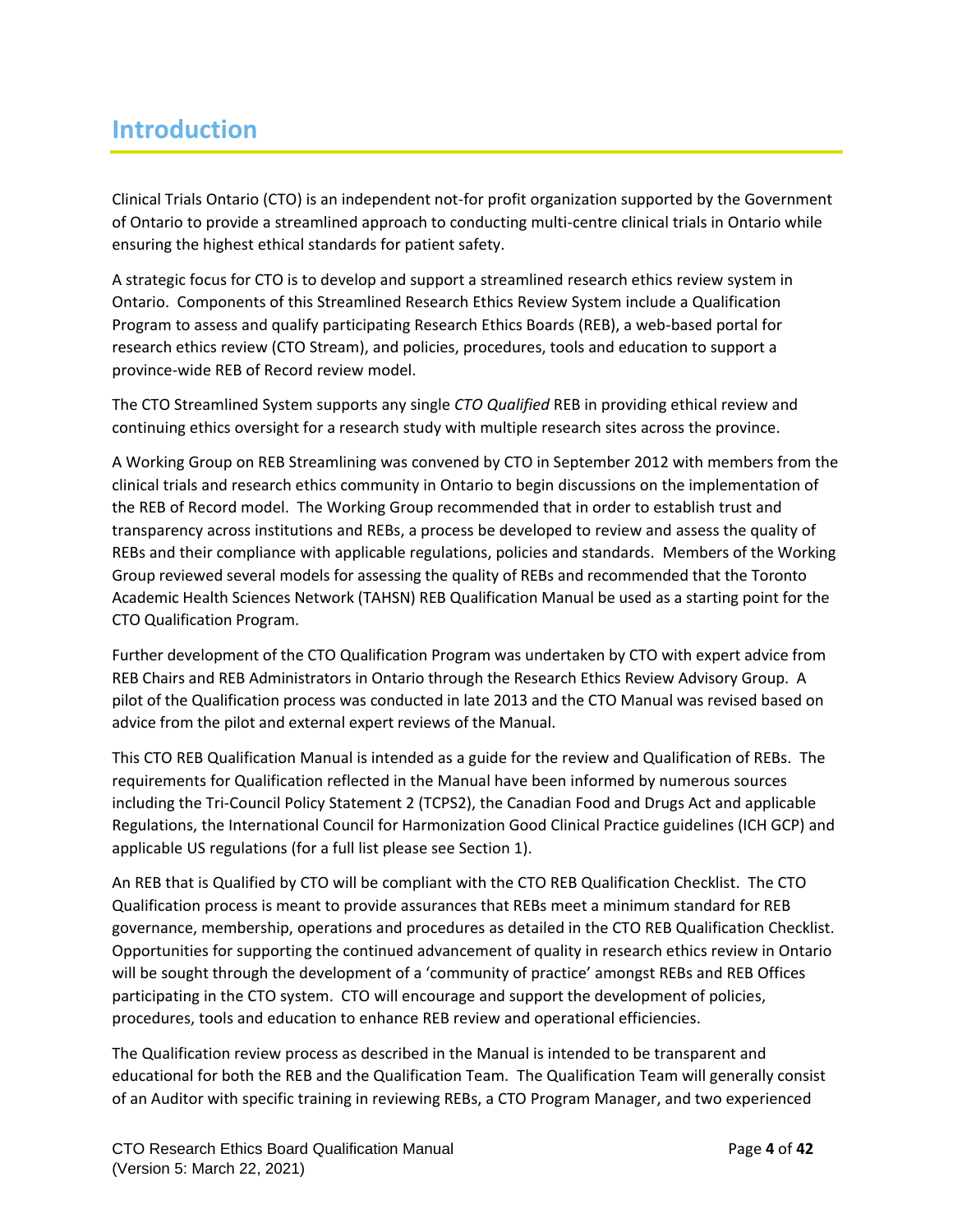### <span id="page-3-0"></span>**Introduction**

Clinical Trials Ontario (CTO) is an independent not-for profit organization supported by the Government of Ontario to provide a streamlined approach to conducting multi-centre clinical trials in Ontario while ensuring the highest ethical standards for patient safety.

A strategic focus for CTO is to develop and support a streamlined research ethics review system in Ontario. Components of this Streamlined Research Ethics Review System include a Qualification Program to assess and qualify participating Research Ethics Boards (REB), a web-based portal for research ethics review (CTO Stream), and policies, procedures, tools and education to support a province-wide REB of Record review model.

The CTO Streamlined System supports any single *CTO Qualified* REB in providing ethical review and continuing ethics oversight for a research study with multiple research sites across the province.

A Working Group on REB Streamlining was convened by CTO in September 2012 with members from the clinical trials and research ethics community in Ontario to begin discussions on the implementation of the REB of Record model. The Working Group recommended that in order to establish trust and transparency across institutions and REBs, a process be developed to review and assess the quality of REBs and their compliance with applicable regulations, policies and standards. Members of the Working Group reviewed several models for assessing the quality of REBs and recommended that the Toronto Academic Health Sciences Network (TAHSN) REB Qualification Manual be used as a starting point for the CTO Qualification Program.

Further development of the CTO Qualification Program was undertaken by CTO with expert advice from REB Chairs and REB Administrators in Ontario through the Research Ethics Review Advisory Group. A pilot of the Qualification process was conducted in late 2013 and the CTO Manual was revised based on advice from the pilot and external expert reviews of the Manual.

This CTO REB Qualification Manual is intended as a guide for the review and Qualification of REBs. The requirements for Qualification reflected in the Manual have been informed by numerous sources including the Tri-Council Policy Statement 2 (TCPS2), the Canadian Food and Drugs Act and applicable Regulations, the International Council for Harmonization Good Clinical Practice guidelines (ICH GCP) and applicable US regulations (for a full list please see Section 1).

An REB that is Qualified by CTO will be compliant with the CTO REB Qualification Checklist. The CTO Qualification process is meant to provide assurances that REBs meet a minimum standard for REB governance, membership, operations and procedures as detailed in the CTO REB Qualification Checklist. Opportunities for supporting the continued advancement of quality in research ethics review in Ontario will be sought through the development of a 'community of practice' amongst REBs and REB Offices participating in the CTO system. CTO will encourage and support the development of policies, procedures, tools and education to enhance REB review and operational efficiencies.

The Qualification review process as described in the Manual is intended to be transparent and educational for both the REB and the Qualification Team. The Qualification Team will generally consist of an Auditor with specific training in reviewing REBs, a CTO Program Manager, and two experienced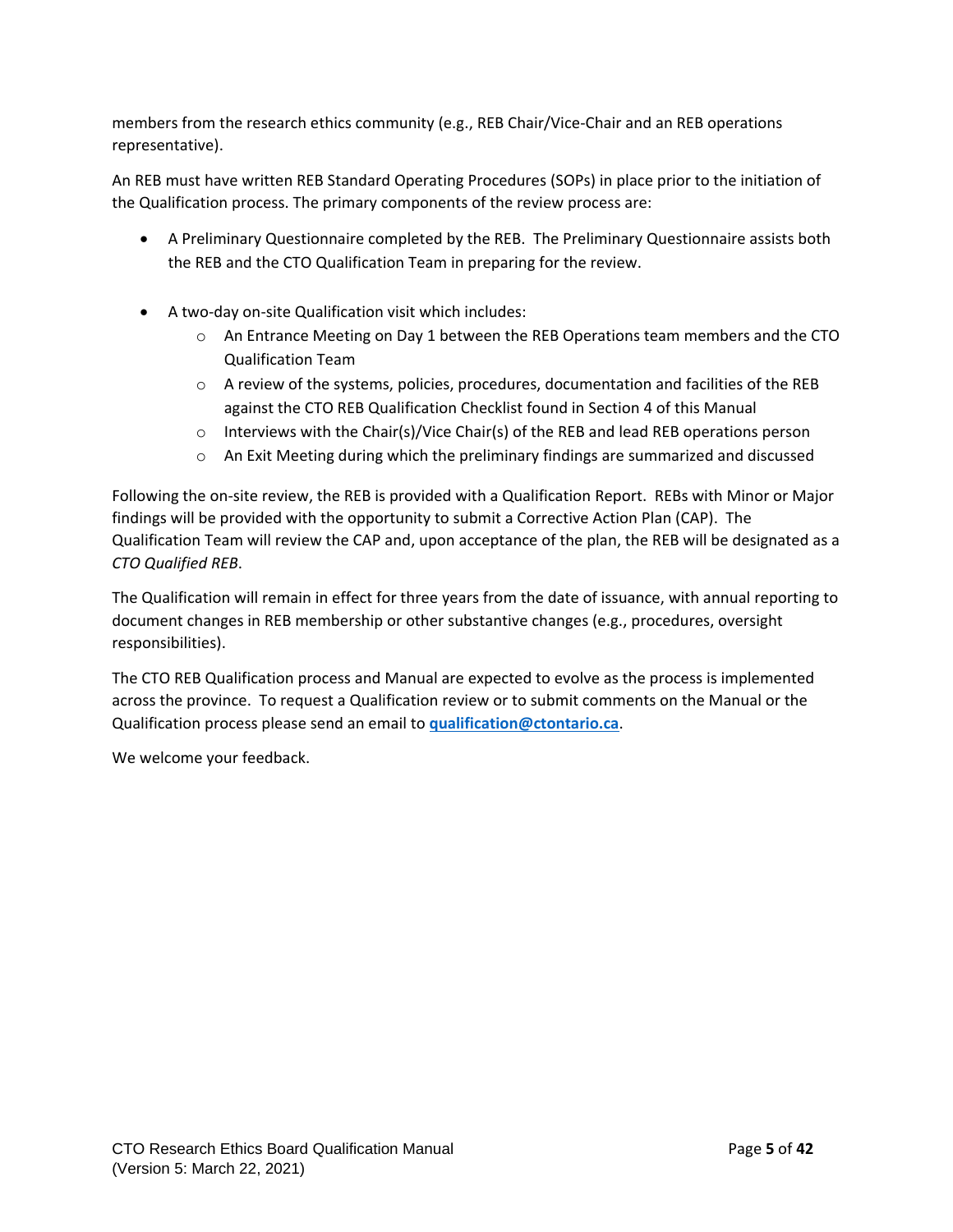members from the research ethics community (e.g., REB Chair/Vice-Chair and an REB operations representative).

An REB must have written REB Standard Operating Procedures (SOPs) in place prior to the initiation of the Qualification process. The primary components of the review process are:

- A Preliminary Questionnaire completed by the REB. The Preliminary Questionnaire assists both the REB and the CTO Qualification Team in preparing for the review.
- A two-day on-site Qualification visit which includes:
	- $\circ$  An Entrance Meeting on Day 1 between the REB Operations team members and the CTO Qualification Team
	- $\circ$  A review of the systems, policies, procedures, documentation and facilities of the REB against the CTO REB Qualification Checklist found in Section 4 of this Manual
	- $\circ$  Interviews with the Chair(s)/Vice Chair(s) of the REB and lead REB operations person
	- $\circ$  An Exit Meeting during which the preliminary findings are summarized and discussed

Following the on-site review, the REB is provided with a Qualification Report. REBs with Minor or Major findings will be provided with the opportunity to submit a Corrective Action Plan (CAP). The Qualification Team will review the CAP and, upon acceptance of the plan, the REB will be designated as a *CTO Qualified REB*.

The Qualification will remain in effect for three years from the date of issuance, with annual reporting to document changes in REB membership or other substantive changes (e.g., procedures, oversight responsibilities).

The CTO REB Qualification process and Manual are expected to evolve as the process is implemented across the province. To request a Qualification review or to submit comments on the Manual or the Qualification process please send an email to **[qualification@ctontario.ca](mailto:qualification@ctontario.ca)**.

We welcome your feedback.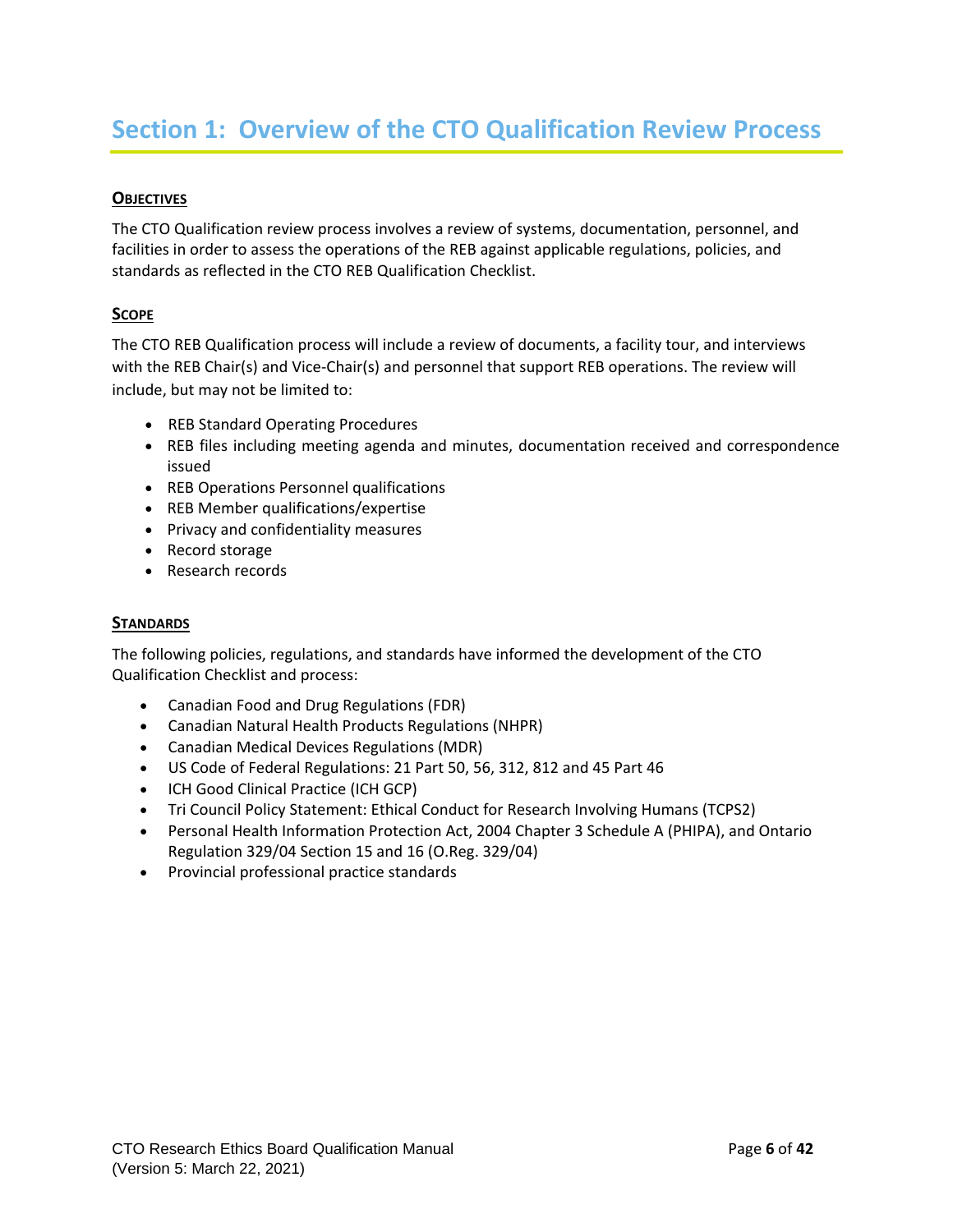#### <span id="page-5-0"></span>**OBJECTIVES**

The CTO Qualification review process involves a review of systems, documentation, personnel, and facilities in order to assess the operations of the REB against applicable regulations, policies, and standards as reflected in the CTO REB Qualification Checklist.

#### **SCOPE**

The CTO REB Qualification process will include a review of documents, a facility tour, and interviews with the REB Chair(s) and Vice-Chair(s) and personnel that support REB operations. The review will include, but may not be limited to:

- REB Standard Operating Procedures
- REB files including meeting agenda and minutes, documentation received and correspondence issued
- REB Operations Personnel qualifications
- REB Member qualifications/expertise
- Privacy and confidentiality measures
- Record storage
- Research records

#### **STANDARDS**

The following policies, regulations, and standards have informed the development of the CTO Qualification Checklist and process:

- Canadian Food and Drug Regulations (FDR)
- Canadian Natural Health Products Regulations (NHPR)
- Canadian Medical Devices Regulations (MDR)
- US Code of Federal Regulations: 21 Part 50, 56, 312, 812 and 45 Part 46
- ICH Good Clinical Practice (ICH GCP)
- Tri Council Policy Statement: Ethical Conduct for Research Involving Humans (TCPS2)
- Personal Health Information Protection Act, 2004 Chapter 3 Schedule A (PHIPA), and Ontario Regulation 329/04 Section 15 and 16 (O.Reg. 329/04)
- Provincial professional practice standards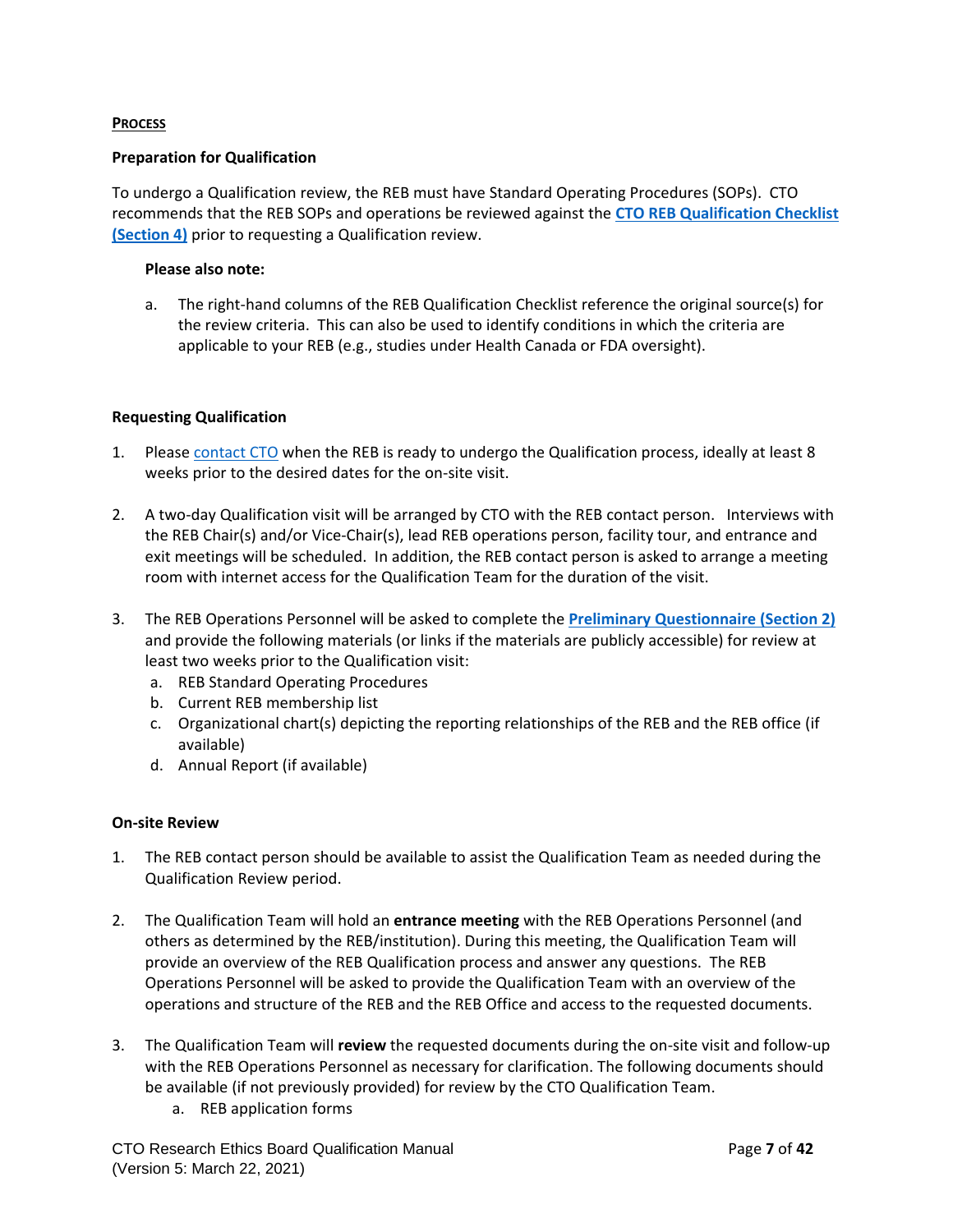#### **PROCESS**

#### **Preparation for Qualification**

To undergo a Qualification review, the REB must have Standard Operating Procedures (SOPs). CTO recommends that the REB SOPs and operations be reviewed against the **[CTO REB Qualification Checklist](#page-15-0)  [\(Section 4\)](#page-15-0)** prior to requesting a Qualification review.

#### **Please also note:**

a. The right-hand columns of the REB Qualification Checklist reference the original source(s) for the review criteria. This can also be used to identify conditions in which the criteria are applicable to your REB (e.g., studies under Health Canada or FDA oversight).

#### **Requesting Qualification**

- 1. Pleas[e contact CTO](mailto:qualification@ctontario.ca) when the REB is ready to undergo the Qualification process, ideally at least 8 weeks prior to the desired dates for the on-site visit.
- 2. A two-day Qualification visit will be arranged by CTO with the REB contact person. Interviews with the REB Chair(s) and/or Vice-Chair(s), lead REB operations person, facility tour, and entrance and exit meetings will be scheduled. In addition, the REB contact person is asked to arrange a meeting room with internet access for the Qualification Team for the duration of the visit.
- 3. The REB Operations Personnel will be asked to complete the **[Preliminary Questionnaire](#page-9-0) (Section 2)** and provide the following materials (or links if the materials are publicly accessible) for review at least two weeks prior to the Qualification visit:
	- a. REB Standard Operating Procedures
	- b. Current REB membership list
	- c. Organizational chart(s) depicting the reporting relationships of the REB and the REB office (if available)
	- d. Annual Report (if available)

#### **On-site Review**

- 1. The REB contact person should be available to assist the Qualification Team as needed during the Qualification Review period.
- 2. The Qualification Team will hold an **entrance meeting** with the REB Operations Personnel (and others as determined by the REB/institution). During this meeting, the Qualification Team will provide an overview of the REB Qualification process and answer any questions. The REB Operations Personnel will be asked to provide the Qualification Team with an overview of the operations and structure of the REB and the REB Office and access to the requested documents.
- 3. The Qualification Team will **review** the requested documents during the on-site visit and follow-up with the REB Operations Personnel as necessary for clarification. The following documents should be available (if not previously provided) for review by the CTO Qualification Team.
	- a. REB application forms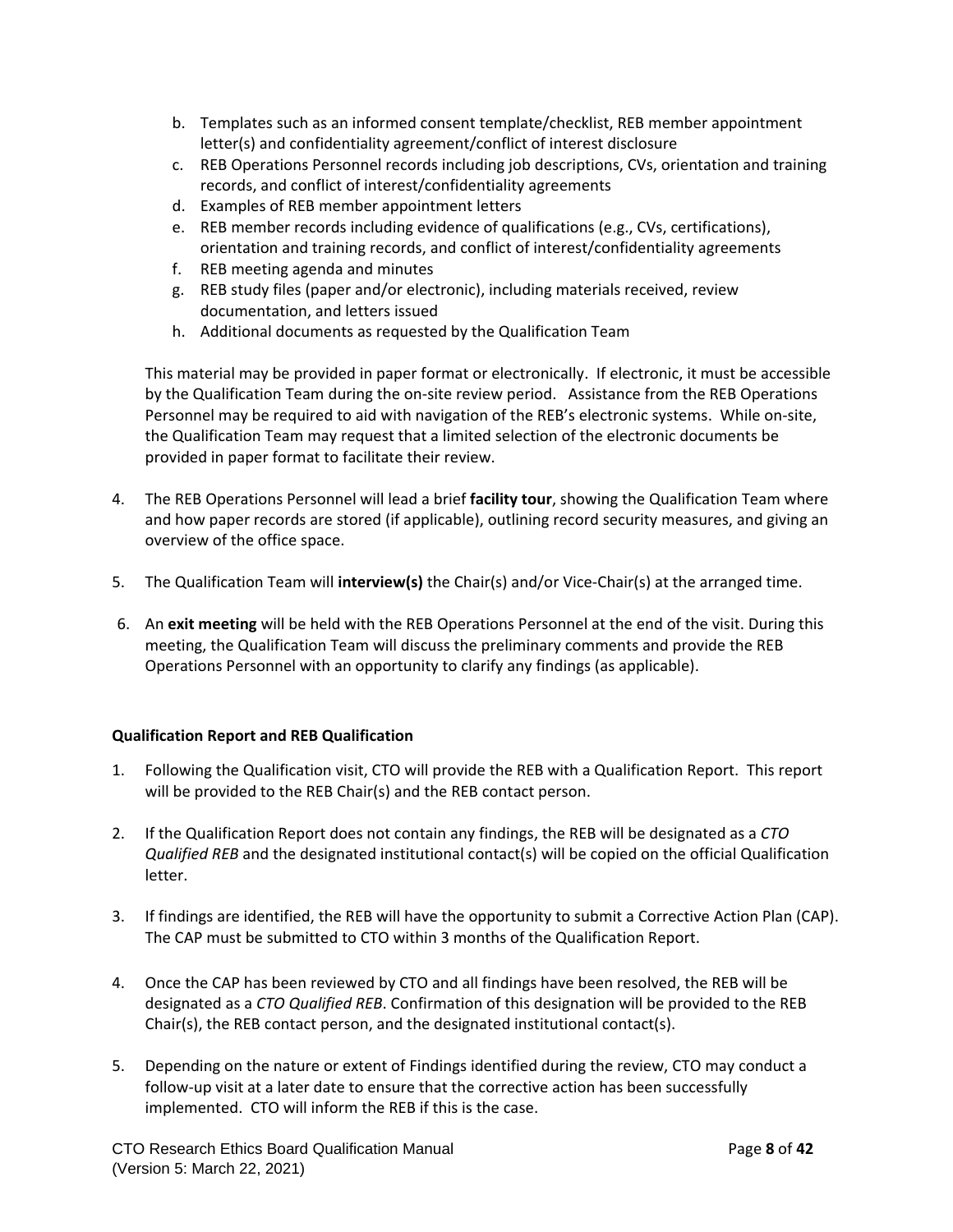- b. Templates such as an informed consent template/checklist, REB member appointment letter(s) and confidentiality agreement/conflict of interest disclosure
- c. REB Operations Personnel records including job descriptions, CVs, orientation and training records, and conflict of interest/confidentiality agreements
- d. Examples of REB member appointment letters
- e. REB member records including evidence of qualifications (e.g., CVs, certifications), orientation and training records, and conflict of interest/confidentiality agreements
- f. REB meeting agenda and minutes
- g. REB study files (paper and/or electronic), including materials received, review documentation, and letters issued
- h. Additional documents as requested by the Qualification Team

This material may be provided in paper format or electronically. If electronic, it must be accessible by the Qualification Team during the on-site review period. Assistance from the REB Operations Personnel may be required to aid with navigation of the REB's electronic systems. While on-site, the Qualification Team may request that a limited selection of the electronic documents be provided in paper format to facilitate their review.

- 4. The REB Operations Personnel will lead a brief **facility tour**, showing the Qualification Team where and how paper records are stored (if applicable), outlining record security measures, and giving an overview of the office space.
- 5. The Qualification Team will **interview(s)** the Chair(s) and/or Vice-Chair(s) at the arranged time.
- 6. An **exit meeting** will be held with the REB Operations Personnel at the end of the visit. During this meeting, the Qualification Team will discuss the preliminary comments and provide the REB Operations Personnel with an opportunity to clarify any findings (as applicable).

#### **Qualification Report and REB Qualification**

- 1. Following the Qualification visit, CTO will provide the REB with a Qualification Report. This report will be provided to the REB Chair(s) and the REB contact person.
- 2. If the Qualification Report does not contain any findings, the REB will be designated as a *CTO Qualified REB* and the designated institutional contact(s) will be copied on the official Qualification letter.
- 3. If findings are identified, the REB will have the opportunity to submit a Corrective Action Plan (CAP). The CAP must be submitted to CTO within 3 months of the Qualification Report.
- 4. Once the CAP has been reviewed by CTO and all findings have been resolved, the REB will be designated as a *CTO Qualified REB*. Confirmation of this designation will be provided to the REB Chair(s), the REB contact person, and the designated institutional contact(s).
- 5. Depending on the nature or extent of Findings identified during the review, CTO may conduct a follow-up visit at a later date to ensure that the corrective action has been successfully implemented. CTO will inform the REB if this is the case.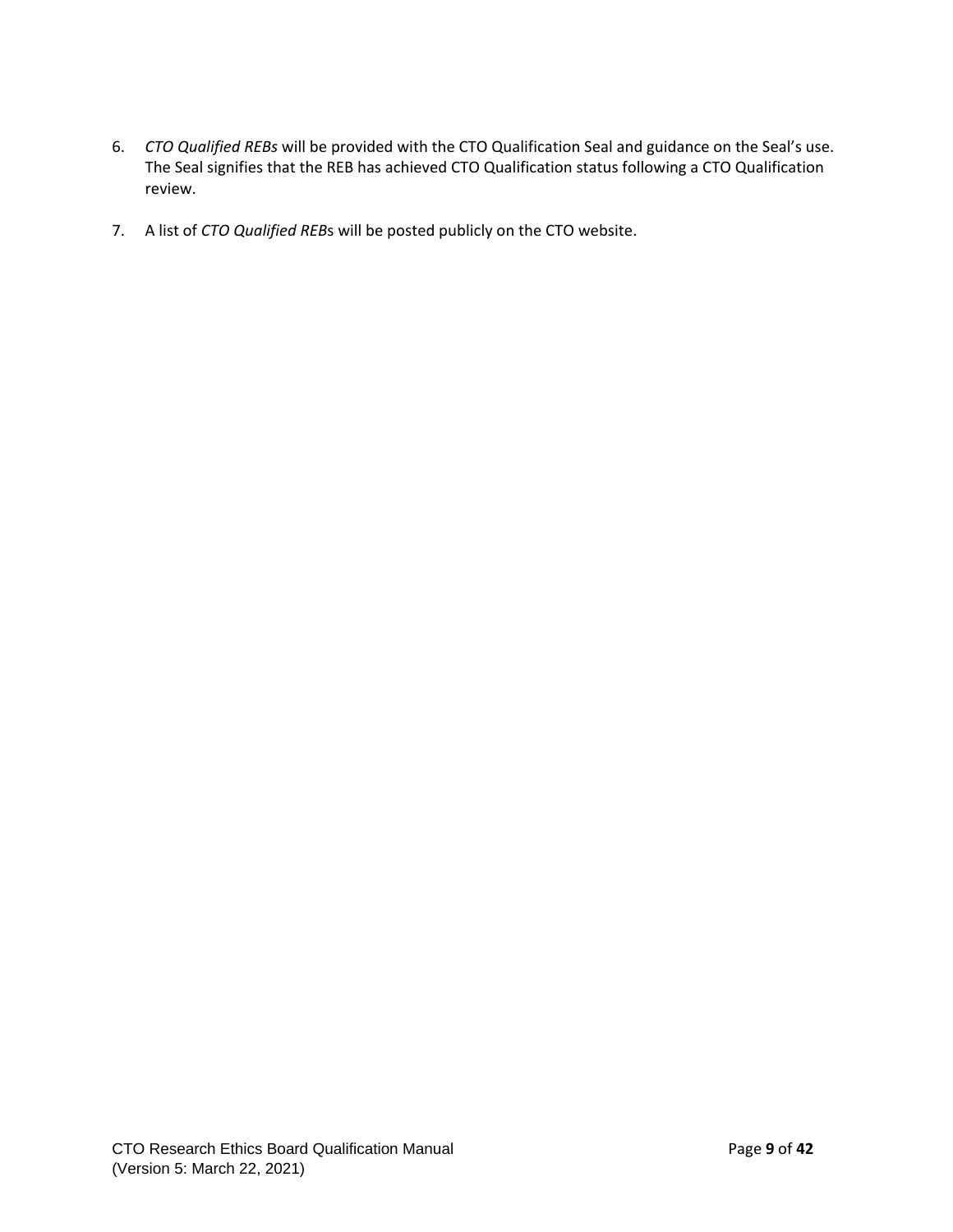- 6. *CTO Qualified REBs* will be provided with the CTO Qualification Seal and guidance on the Seal's use. The Seal signifies that the REB has achieved CTO Qualification status following a CTO Qualification review.
- 7. A list of *CTO Qualified REB*s will be posted publicly on the CTO website.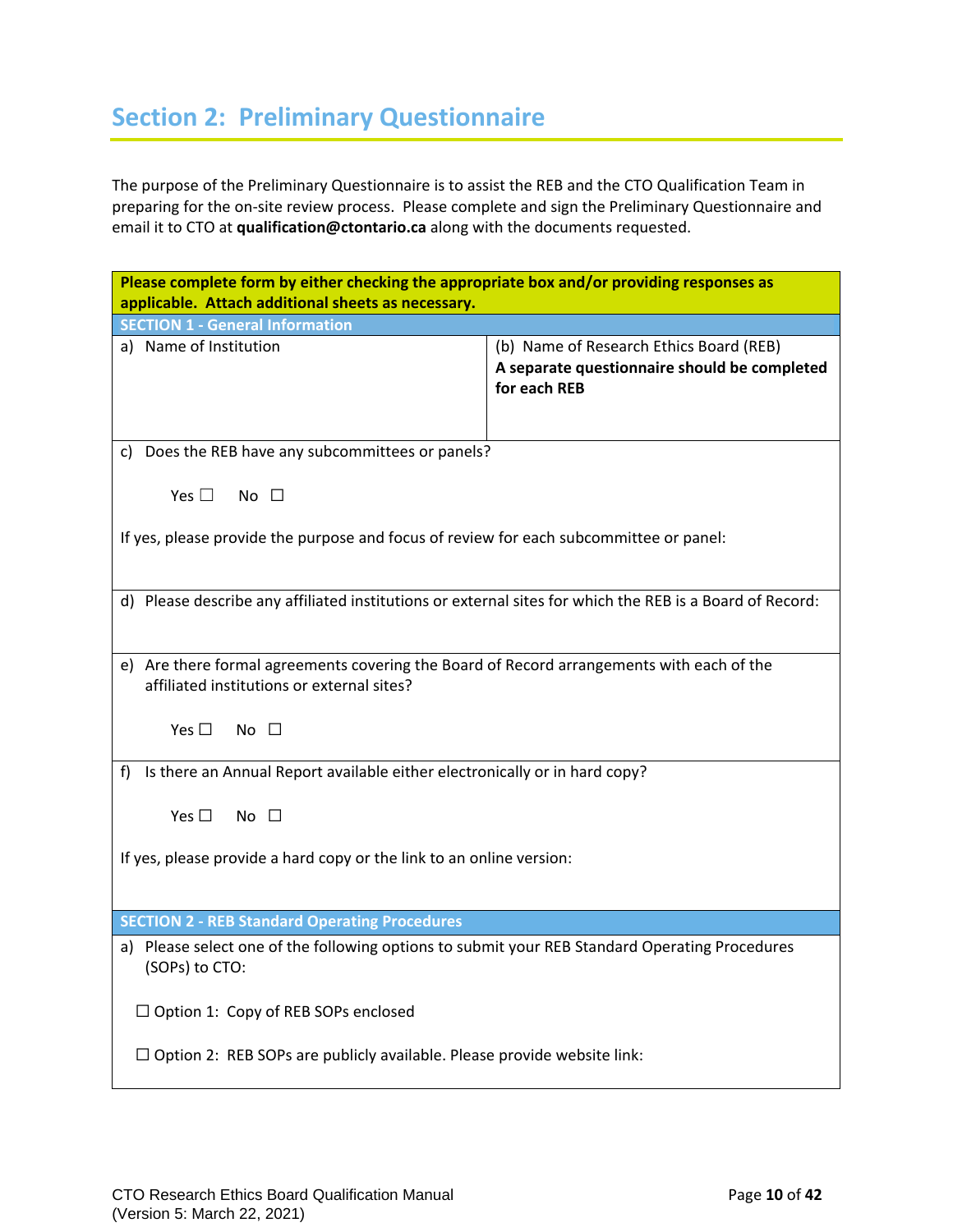## <span id="page-9-0"></span>**Section 2: Preliminary Questionnaire**

The purpose of the Preliminary Questionnaire is to assist the REB and the CTO Qualification Team in preparing for the on-site review process. Please complete and sign the Preliminary Questionnaire and email it to CTO at **qualification@ctontario.ca** along with the documents requested.

| Please complete form by either checking the appropriate box and/or providing responses as<br>applicable. Attach additional sheets as necessary. |                                                                                                         |  |  |  |  |  |  |  |  |
|-------------------------------------------------------------------------------------------------------------------------------------------------|---------------------------------------------------------------------------------------------------------|--|--|--|--|--|--|--|--|
| <b>SECTION 1 - General Information</b>                                                                                                          |                                                                                                         |  |  |  |  |  |  |  |  |
| a) Name of Institution                                                                                                                          | (b) Name of Research Ethics Board (REB)<br>A separate questionnaire should be completed<br>for each REB |  |  |  |  |  |  |  |  |
| c) Does the REB have any subcommittees or panels?                                                                                               |                                                                                                         |  |  |  |  |  |  |  |  |
| Yes $\square$<br>No $\square$                                                                                                                   |                                                                                                         |  |  |  |  |  |  |  |  |
| If yes, please provide the purpose and focus of review for each subcommittee or panel:                                                          |                                                                                                         |  |  |  |  |  |  |  |  |
| d) Please describe any affiliated institutions or external sites for which the REB is a Board of Record:                                        |                                                                                                         |  |  |  |  |  |  |  |  |
| e) Are there formal agreements covering the Board of Record arrangements with each of the<br>affiliated institutions or external sites?         |                                                                                                         |  |  |  |  |  |  |  |  |
| Yes $\square$<br>No $\square$                                                                                                                   |                                                                                                         |  |  |  |  |  |  |  |  |
| Is there an Annual Report available either electronically or in hard copy?<br>f                                                                 |                                                                                                         |  |  |  |  |  |  |  |  |
| Yes $\square$<br>No $\square$                                                                                                                   |                                                                                                         |  |  |  |  |  |  |  |  |
| If yes, please provide a hard copy or the link to an online version:                                                                            |                                                                                                         |  |  |  |  |  |  |  |  |
| <b>SECTION 2 - REB Standard Operating Procedures</b>                                                                                            |                                                                                                         |  |  |  |  |  |  |  |  |
| a) Please select one of the following options to submit your REB Standard Operating Procedures<br>(SOPs) to CTO:                                |                                                                                                         |  |  |  |  |  |  |  |  |
| $\Box$ Option 1: Copy of REB SOPs enclosed                                                                                                      |                                                                                                         |  |  |  |  |  |  |  |  |
| $\Box$ Option 2: REB SOPs are publicly available. Please provide website link:                                                                  |                                                                                                         |  |  |  |  |  |  |  |  |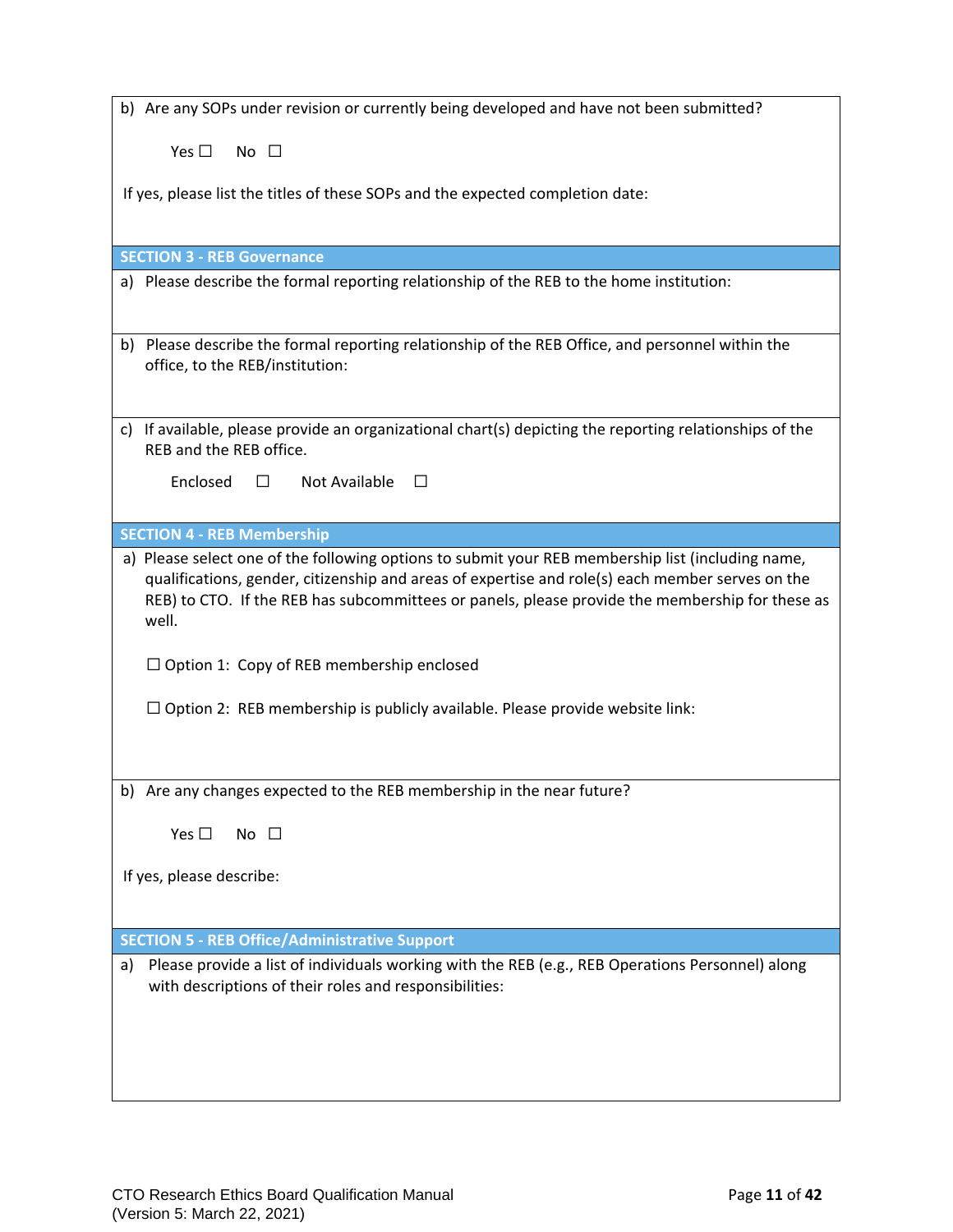| b) Are any SOPs under revision or currently being developed and have not been submitted?                                                                                                                                                                                                                          |
|-------------------------------------------------------------------------------------------------------------------------------------------------------------------------------------------------------------------------------------------------------------------------------------------------------------------|
| Yes $\Box$<br>No $\square$                                                                                                                                                                                                                                                                                        |
| If yes, please list the titles of these SOPs and the expected completion date:                                                                                                                                                                                                                                    |
|                                                                                                                                                                                                                                                                                                                   |
| <b>SECTION 3 - REB Governance</b>                                                                                                                                                                                                                                                                                 |
| a) Please describe the formal reporting relationship of the REB to the home institution:                                                                                                                                                                                                                          |
| b) Please describe the formal reporting relationship of the REB Office, and personnel within the<br>office, to the REB/institution:                                                                                                                                                                               |
| c) If available, please provide an organizational chart(s) depicting the reporting relationships of the<br>REB and the REB office.                                                                                                                                                                                |
| Enclosed<br>Not Available<br>$\Box$<br>$\Box$                                                                                                                                                                                                                                                                     |
| <b>SECTION 4 - REB Membership</b>                                                                                                                                                                                                                                                                                 |
| a) Please select one of the following options to submit your REB membership list (including name,<br>qualifications, gender, citizenship and areas of expertise and role(s) each member serves on the<br>REB) to CTO. If the REB has subcommittees or panels, please provide the membership for these as<br>well. |
| $\Box$ Option 1: Copy of REB membership enclosed                                                                                                                                                                                                                                                                  |
| $\Box$ Option 2: REB membership is publicly available. Please provide website link:                                                                                                                                                                                                                               |
| b) Are any changes expected to the REB membership in the near future?                                                                                                                                                                                                                                             |
| Yes $\square$<br>No $\square$                                                                                                                                                                                                                                                                                     |
| If yes, please describe:                                                                                                                                                                                                                                                                                          |
| <b>SECTION 5 - REB Office/Administrative Support</b>                                                                                                                                                                                                                                                              |
| Please provide a list of individuals working with the REB (e.g., REB Operations Personnel) along<br>a)<br>with descriptions of their roles and responsibilities:                                                                                                                                                  |
|                                                                                                                                                                                                                                                                                                                   |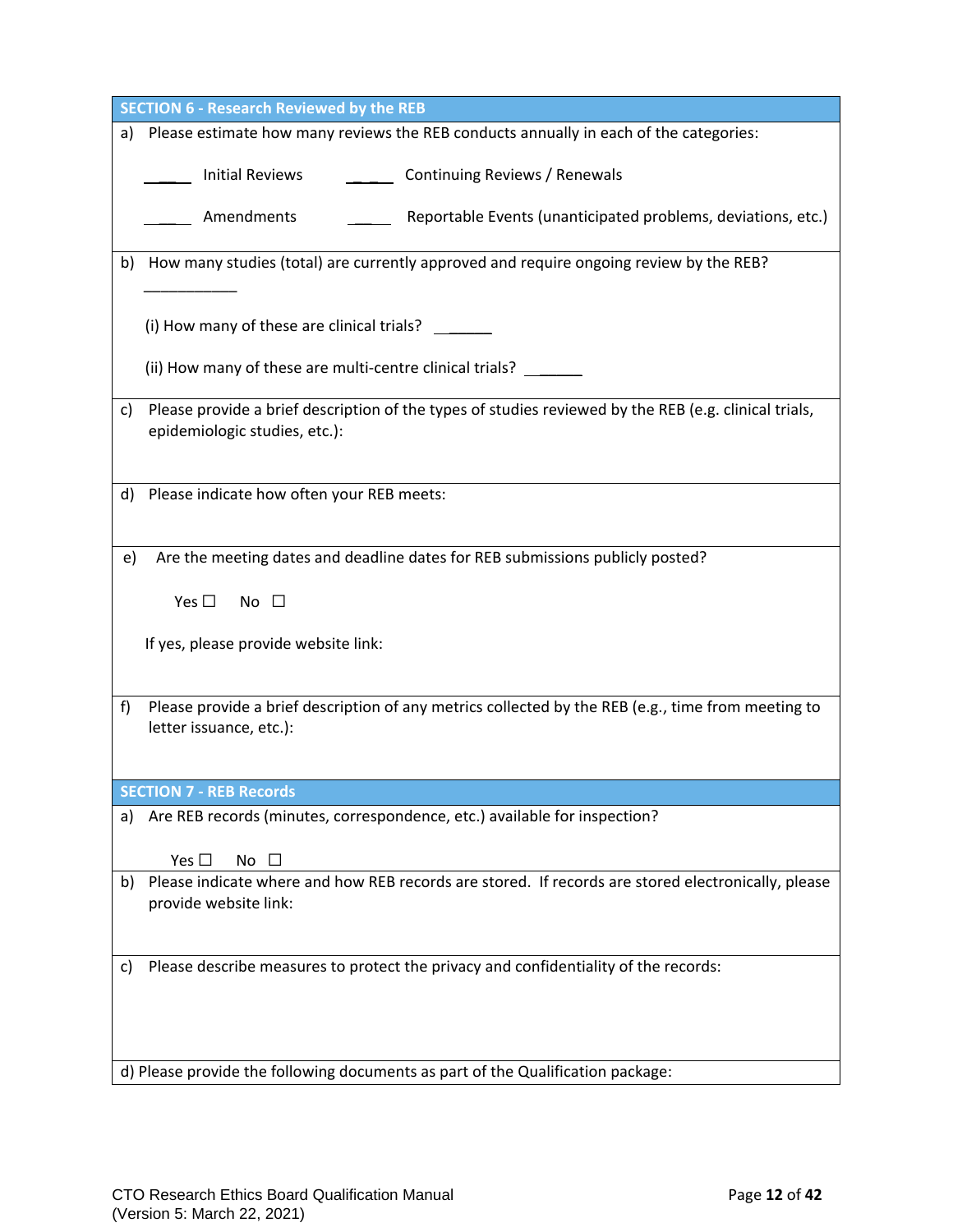| <b>SECTION 6 - Research Reviewed by the REB</b>                                                                                              |
|----------------------------------------------------------------------------------------------------------------------------------------------|
| Please estimate how many reviews the REB conducts annually in each of the categories:<br>a)                                                  |
| ______ Continuing Reviews / Renewals<br><b>Initial Reviews</b>                                                                               |
| Amendments<br>Reportable Events (unanticipated problems, deviations, etc.)                                                                   |
| How many studies (total) are currently approved and require ongoing review by the REB?<br>b)                                                 |
| (i) How many of these are clinical trials?                                                                                                   |
| (ii) How many of these are multi-centre clinical trials?                                                                                     |
| Please provide a brief description of the types of studies reviewed by the REB (e.g. clinical trials,<br>C)<br>epidemiologic studies, etc.): |
| Please indicate how often your REB meets:<br>d)                                                                                              |
| Are the meeting dates and deadline dates for REB submissions publicly posted?<br>e)                                                          |
| Yes $\square$<br>No $\square$                                                                                                                |
| If yes, please provide website link:                                                                                                         |
| Please provide a brief description of any metrics collected by the REB (e.g., time from meeting to<br>f)<br>letter issuance, etc.):          |
| <b>SECTION 7 - REB Records</b>                                                                                                               |
| Are REB records (minutes, correspondence, etc.) available for inspection?<br>a)                                                              |
| Yes $\square$<br>No<br>$\perp$                                                                                                               |
| Please indicate where and how REB records are stored. If records are stored electronically, please<br>b)<br>provide website link:            |
| Please describe measures to protect the privacy and confidentiality of the records:<br>C)                                                    |
| d) Please provide the following documents as part of the Qualification package:                                                              |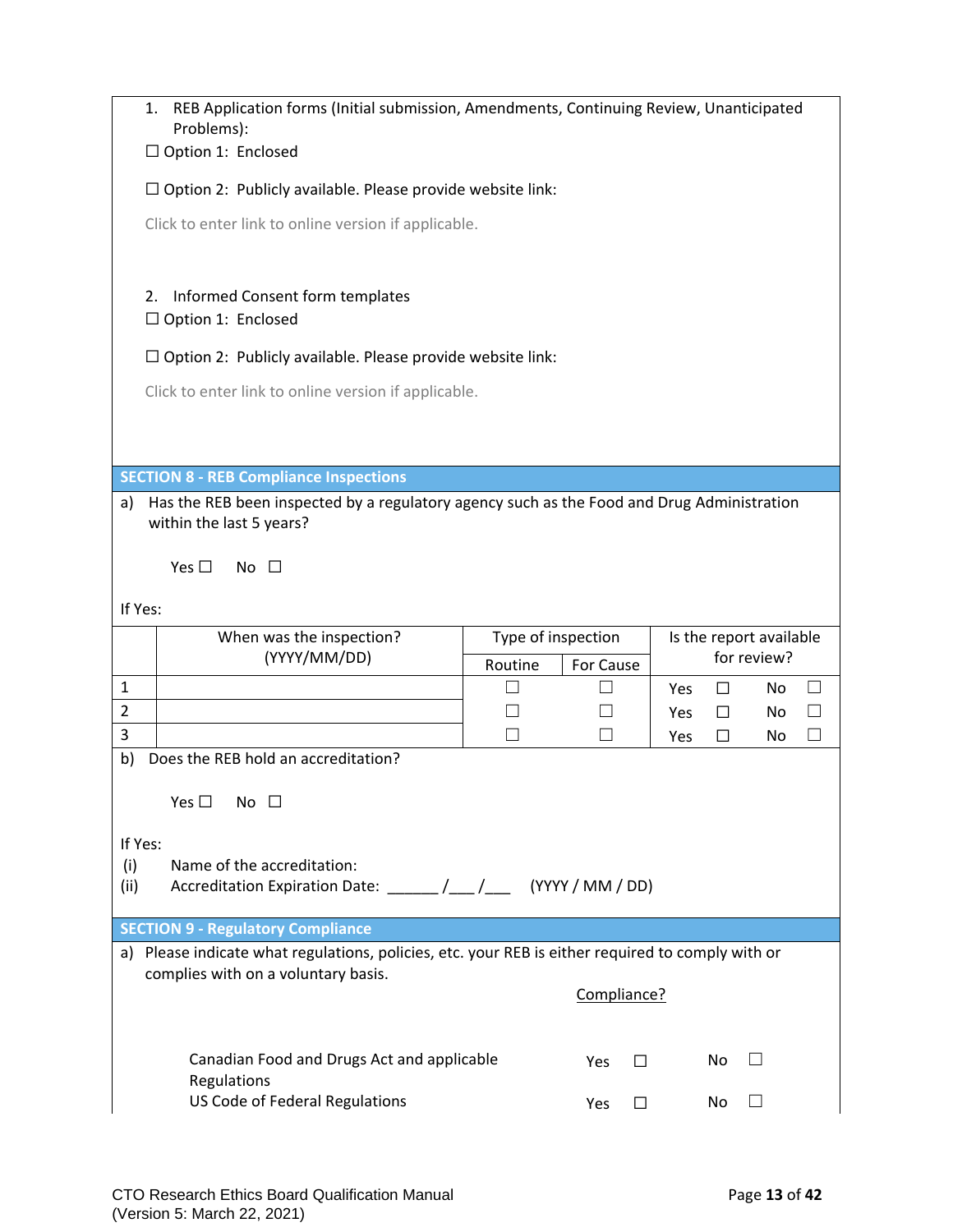|                                                                    | REB Application forms (Initial submission, Amendments, Continuing Review, Unanticipated<br>1.<br>Problems): |                    |                  |            |        |                         |              |  |  |  |  |  |
|--------------------------------------------------------------------|-------------------------------------------------------------------------------------------------------------|--------------------|------------------|------------|--------|-------------------------|--------------|--|--|--|--|--|
|                                                                    | $\Box$ Option 1: Enclosed                                                                                   |                    |                  |            |        |                         |              |  |  |  |  |  |
|                                                                    | $\Box$ Option 2: Publicly available. Please provide website link:                                           |                    |                  |            |        |                         |              |  |  |  |  |  |
|                                                                    | Click to enter link to online version if applicable.                                                        |                    |                  |            |        |                         |              |  |  |  |  |  |
| Informed Consent form templates<br>2.<br>$\Box$ Option 1: Enclosed |                                                                                                             |                    |                  |            |        |                         |              |  |  |  |  |  |
|                                                                    | $\Box$ Option 2: Publicly available. Please provide website link:                                           |                    |                  |            |        |                         |              |  |  |  |  |  |
|                                                                    | Click to enter link to online version if applicable.                                                        |                    |                  |            |        |                         |              |  |  |  |  |  |
|                                                                    |                                                                                                             |                    |                  |            |        |                         |              |  |  |  |  |  |
|                                                                    | <b>SECTION 8 - REB Compliance Inspections</b>                                                               |                    |                  |            |        |                         |              |  |  |  |  |  |
| a)                                                                 | Has the REB been inspected by a regulatory agency such as the Food and Drug Administration                  |                    |                  |            |        |                         |              |  |  |  |  |  |
|                                                                    | within the last 5 years?                                                                                    |                    |                  |            |        |                         |              |  |  |  |  |  |
|                                                                    | Yes $\Box$<br>No $\square$                                                                                  |                    |                  |            |        |                         |              |  |  |  |  |  |
| If Yes:                                                            |                                                                                                             |                    |                  |            |        |                         |              |  |  |  |  |  |
|                                                                    | When was the inspection?                                                                                    | Type of inspection |                  |            |        | Is the report available |              |  |  |  |  |  |
|                                                                    | (YYYY/MM/DD)                                                                                                | Routine            | For Cause        |            |        | for review?             |              |  |  |  |  |  |
| $\mathbf{1}$                                                       |                                                                                                             | $\mathsf{L}$       |                  | Yes        | $\Box$ | <b>No</b>               | $\mathsf{L}$ |  |  |  |  |  |
| $\overline{2}$<br>3                                                |                                                                                                             |                    |                  | Yes<br>Yes | П<br>П | No.<br>No.              | $\Box$       |  |  |  |  |  |
| b)                                                                 | Does the REB hold an accreditation?                                                                         |                    |                  |            |        |                         |              |  |  |  |  |  |
|                                                                    | Yes $\square$<br>No $\square$                                                                               |                    |                  |            |        |                         |              |  |  |  |  |  |
| If Yes:                                                            |                                                                                                             |                    |                  |            |        |                         |              |  |  |  |  |  |
| (i)                                                                | Name of the accreditation:                                                                                  |                    |                  |            |        |                         |              |  |  |  |  |  |
| (ii)                                                               | Accreditation Expiration Date: ______/__/___                                                                |                    | (YYYY / MM / DD) |            |        |                         |              |  |  |  |  |  |
|                                                                    | <b>SECTION 9 - Regulatory Compliance</b>                                                                    |                    |                  |            |        |                         |              |  |  |  |  |  |
|                                                                    | a) Please indicate what regulations, policies, etc. your REB is either required to comply with or           |                    |                  |            |        |                         |              |  |  |  |  |  |
|                                                                    | complies with on a voluntary basis.<br>Compliance?                                                          |                    |                  |            |        |                         |              |  |  |  |  |  |
|                                                                    |                                                                                                             |                    |                  |            |        |                         |              |  |  |  |  |  |
|                                                                    | Canadian Food and Drugs Act and applicable<br>Regulations                                                   |                    | Yes              | $\Box$     | No     | $\Box$                  |              |  |  |  |  |  |
|                                                                    | US Code of Federal Regulations                                                                              |                    |                  |            |        |                         |              |  |  |  |  |  |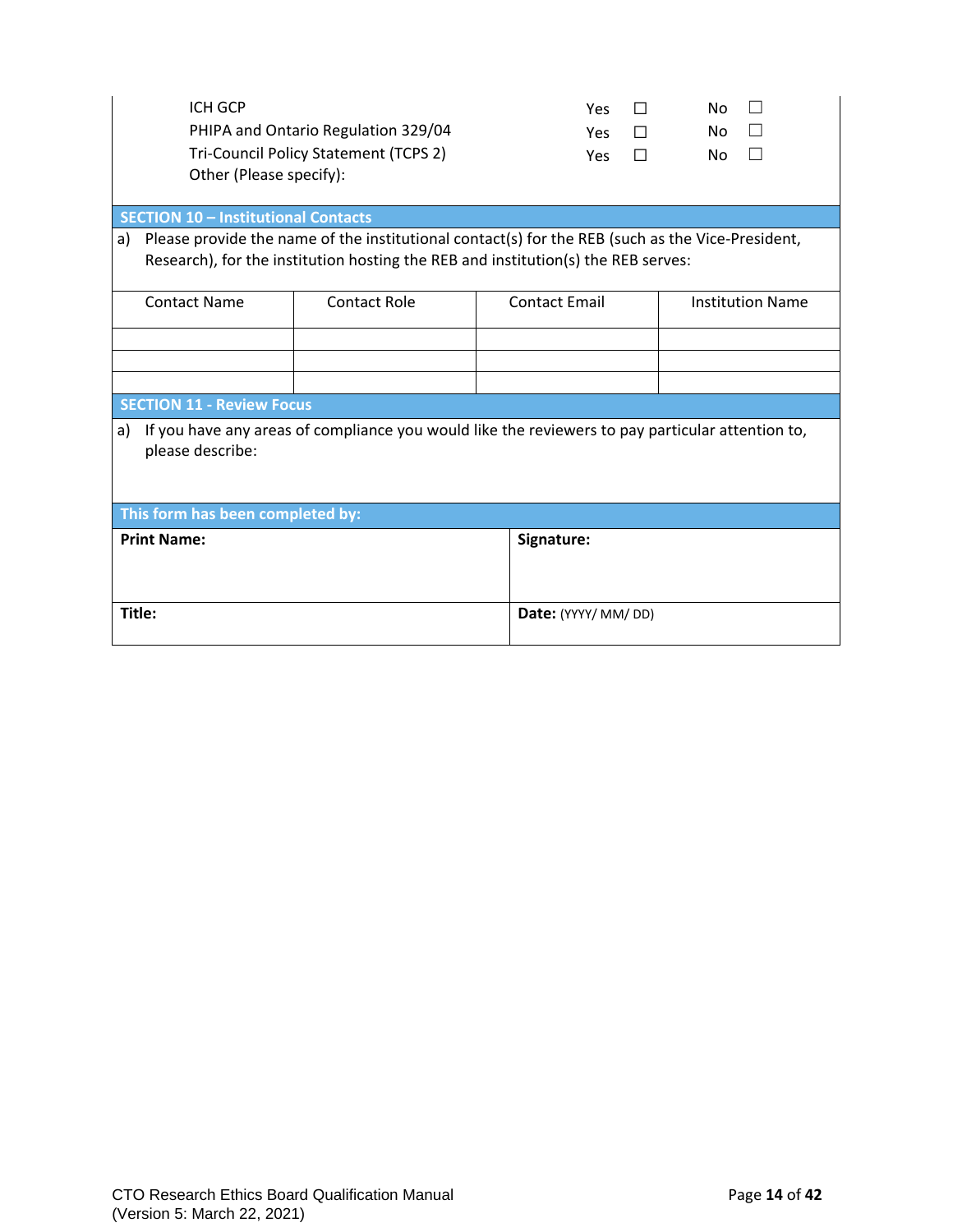| <b>ICH GCP</b><br>Other (Please specify):                                                                                                                                                   | PHIPA and Ontario Regulation 329/04<br>Tri-Council Policy Statement (TCPS 2)                     | Yes<br><b>Yes</b><br>Yes    | П<br>П<br>П | No<br>No<br>No.         |  |  |  |  |  |
|---------------------------------------------------------------------------------------------------------------------------------------------------------------------------------------------|--------------------------------------------------------------------------------------------------|-----------------------------|-------------|-------------------------|--|--|--|--|--|
| <b>SECTION 10 - Institutional Contacts</b>                                                                                                                                                  |                                                                                                  |                             |             |                         |  |  |  |  |  |
| Please provide the name of the institutional contact(s) for the REB (such as the Vice-President,<br>a)<br>Research), for the institution hosting the REB and institution(s) the REB serves: |                                                                                                  |                             |             |                         |  |  |  |  |  |
| <b>Contact Name</b>                                                                                                                                                                         | Contact Role                                                                                     | <b>Contact Email</b>        |             | <b>Institution Name</b> |  |  |  |  |  |
|                                                                                                                                                                                             |                                                                                                  |                             |             |                         |  |  |  |  |  |
|                                                                                                                                                                                             |                                                                                                  |                             |             |                         |  |  |  |  |  |
| <b>SECTION 11 - Review Focus</b>                                                                                                                                                            |                                                                                                  |                             |             |                         |  |  |  |  |  |
| a)<br>please describe:                                                                                                                                                                      | If you have any areas of compliance you would like the reviewers to pay particular attention to, |                             |             |                         |  |  |  |  |  |
| This form has been completed by:                                                                                                                                                            |                                                                                                  |                             |             |                         |  |  |  |  |  |
| <b>Print Name:</b>                                                                                                                                                                          |                                                                                                  | Signature:                  |             |                         |  |  |  |  |  |
| Title:                                                                                                                                                                                      |                                                                                                  | <b>Date:</b> (YYYY/ MM/ DD) |             |                         |  |  |  |  |  |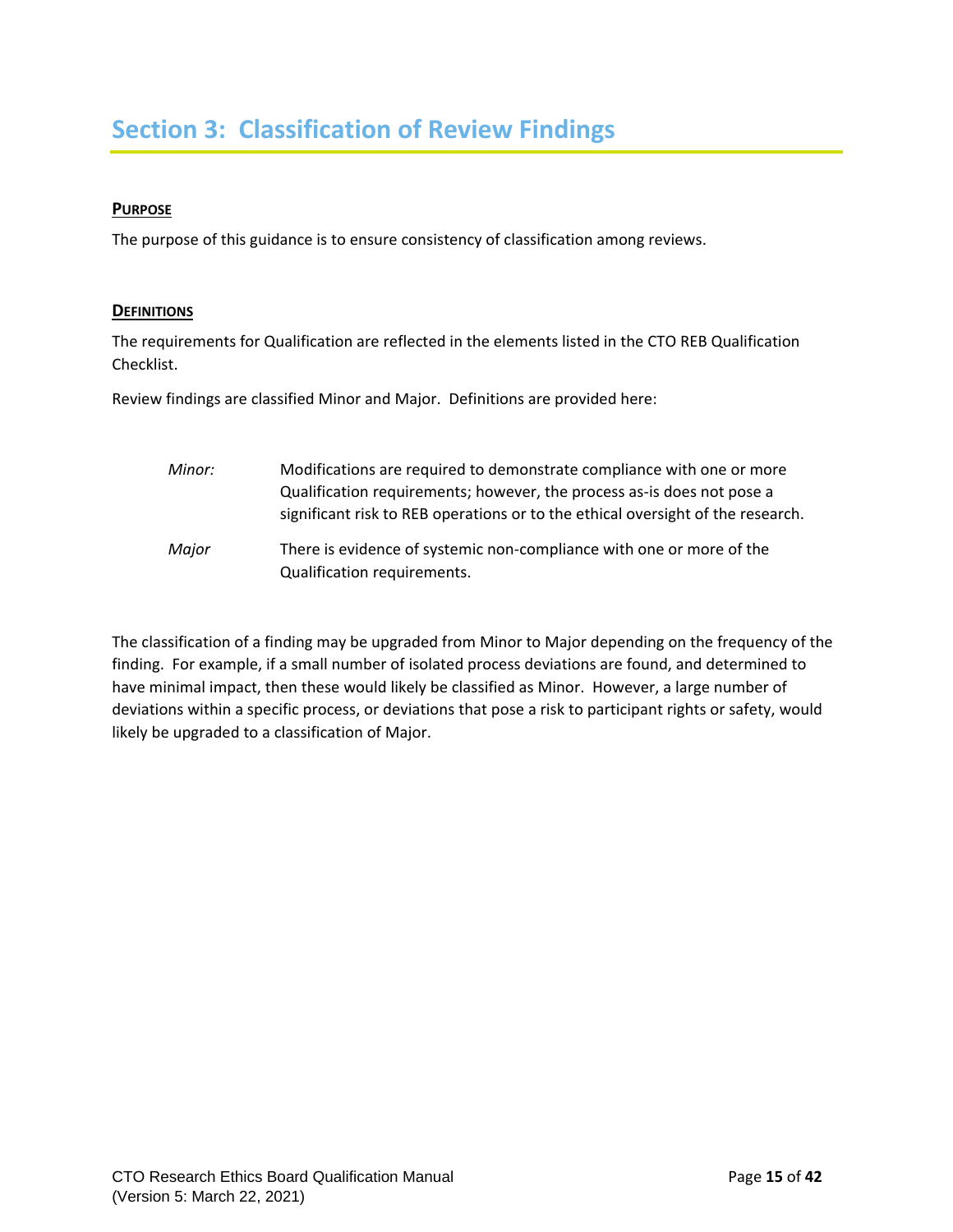## <span id="page-14-0"></span>**Section 3: Classification of Review Findings**

#### **PURPOSE**

The purpose of this guidance is to ensure consistency of classification among reviews.

#### **DEFINITIONS**

The requirements for Qualification are reflected in the elements listed in the CTO REB Qualification Checklist.

Review findings are classified Minor and Major. Definitions are provided here:

*Minor:* Modifications are required to demonstrate compliance with one or more Qualification requirements; however, the process as-is does not pose a significant risk to REB operations or to the ethical oversight of the research. *Major* There is evidence of systemic non-compliance with one or more of the Qualification requirements.

The classification of a finding may be upgraded from Minor to Major depending on the frequency of the finding. For example, if a small number of isolated process deviations are found, and determined to have minimal impact, then these would likely be classified as Minor. However, a large number of deviations within a specific process, or deviations that pose a risk to participant rights or safety, would likely be upgraded to a classification of Major.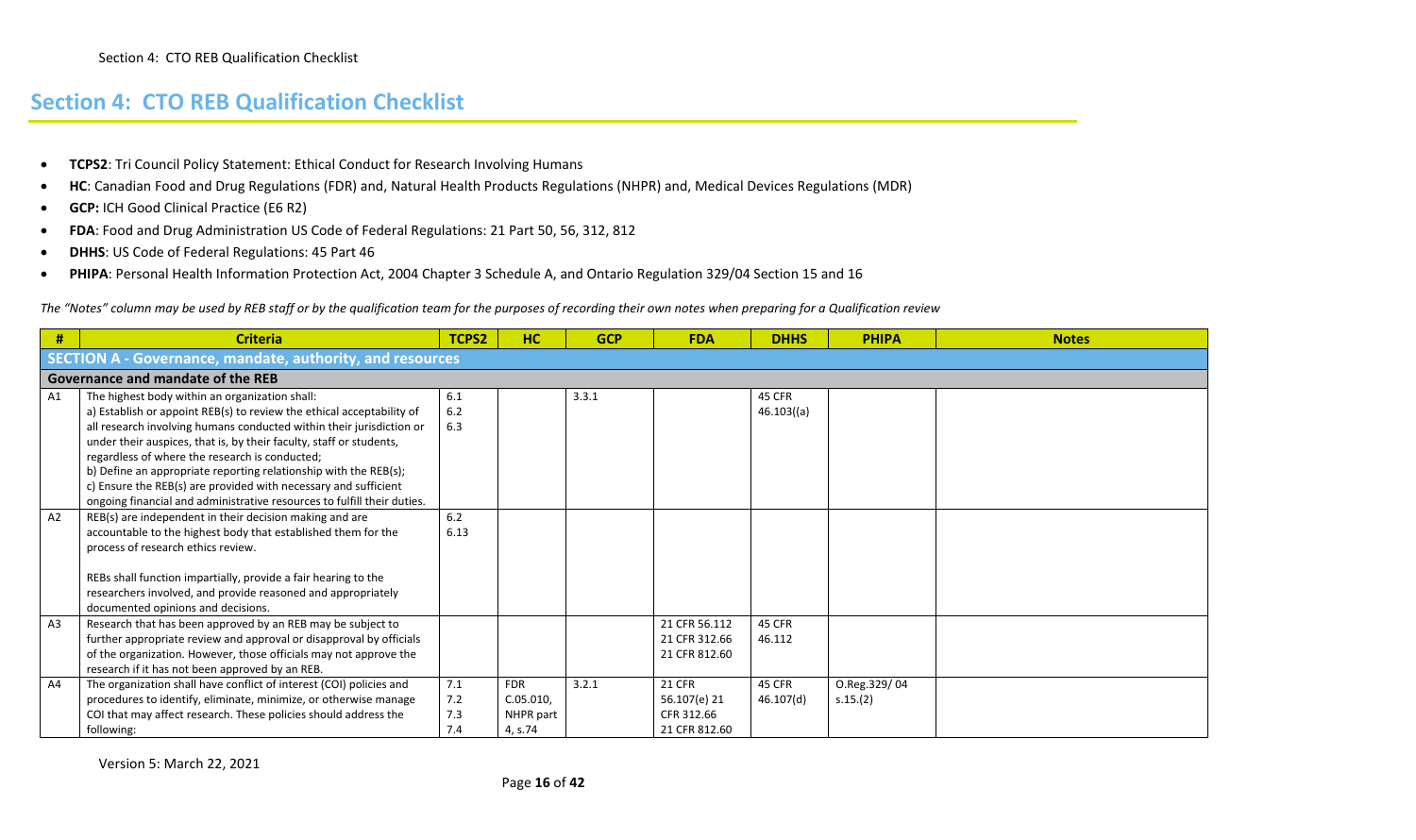- **TCPS2**: Tri Council Policy Statement: Ethical Conduct for Research Involving Humans
- **HC**: Canadian Food and Drug Regulations (FDR) and, Natural Health Products Regulations (NHPR) and, Medical Devices Regulations (MDR)
- **GCP:** ICH Good Clinical Practice (E6 R2)
- **FDA**: Food and Drug Administration US Code of Federal Regulations: 21 Part 50, 56, 312, 812
- **DHHS**: US Code of Federal Regulations: 45 Part 46
- **PHIPA**: Personal Health Information Protection Act, 2004 Chapter 3 Schedule A, and Ontario Regulation 329/04 Section 15 and 16

<span id="page-15-0"></span>*The "Notes" column may be used by REB staff or by the qualification team for the purposes of recording their own notes when preparing for a Qualification review* 

| #              | <b>Criteria</b>                                                                                                                                                                                                                                                                                                                                                                                                                                                 | TCPS2                    | HC                                              | <b>GCP</b> | <b>FDA</b>                                                   | <b>DHHS</b>                | <b>PHIPA</b>             | <b>Notes</b> |  |  |  |  |  |  |
|----------------|-----------------------------------------------------------------------------------------------------------------------------------------------------------------------------------------------------------------------------------------------------------------------------------------------------------------------------------------------------------------------------------------------------------------------------------------------------------------|--------------------------|-------------------------------------------------|------------|--------------------------------------------------------------|----------------------------|--------------------------|--------------|--|--|--|--|--|--|
|                | SECTION A - Governance, mandate, authority, and resources                                                                                                                                                                                                                                                                                                                                                                                                       |                          |                                                 |            |                                                              |                            |                          |              |  |  |  |  |  |  |
|                | Governance and mandate of the REB                                                                                                                                                                                                                                                                                                                                                                                                                               |                          |                                                 |            |                                                              |                            |                          |              |  |  |  |  |  |  |
| A1             | The highest body within an organization shall:<br>a) Establish or appoint REB(s) to review the ethical acceptability of<br>all research involving humans conducted within their jurisdiction or<br>under their auspices, that is, by their faculty, staff or students,<br>regardless of where the research is conducted;<br>b) Define an appropriate reporting relationship with the REB(s);<br>c) Ensure the REB(s) are provided with necessary and sufficient | 6.1<br>6.2<br>6.3        |                                                 | 3.3.1      |                                                              | 45 CFR<br>$46.103($ (a)    |                          |              |  |  |  |  |  |  |
| A2             | ongoing financial and administrative resources to fulfill their duties.<br>REB(s) are independent in their decision making and are<br>accountable to the highest body that established them for the<br>process of research ethics review.<br>REBs shall function impartially, provide a fair hearing to the<br>researchers involved, and provide reasoned and appropriately<br>documented opinions and decisions.                                               | 6.2<br>6.13              |                                                 |            |                                                              |                            |                          |              |  |  |  |  |  |  |
| A <sub>3</sub> | Research that has been approved by an REB may be subject to<br>further appropriate review and approval or disapproval by officials<br>of the organization. However, those officials may not approve the<br>research if it has not been approved by an REB.                                                                                                                                                                                                      |                          |                                                 |            | 21 CFR 56.112<br>21 CFR 312.66<br>21 CFR 812.60              | 45 CFR<br>46.112           |                          |              |  |  |  |  |  |  |
| A4             | The organization shall have conflict of interest (COI) policies and<br>procedures to identify, eliminate, minimize, or otherwise manage<br>COI that may affect research. These policies should address the<br>following:                                                                                                                                                                                                                                        | 7.1<br>7.2<br>7.3<br>7.4 | <b>FDR</b><br>C.05.010,<br>NHPR part<br>4, s.74 | 3.2.1      | <b>21 CFR</b><br>56.107(e) 21<br>CFR 312.66<br>21 CFR 812.60 | <b>45 CFR</b><br>46.107(d) | O.Reg.329/04<br>s.15.(2) |              |  |  |  |  |  |  |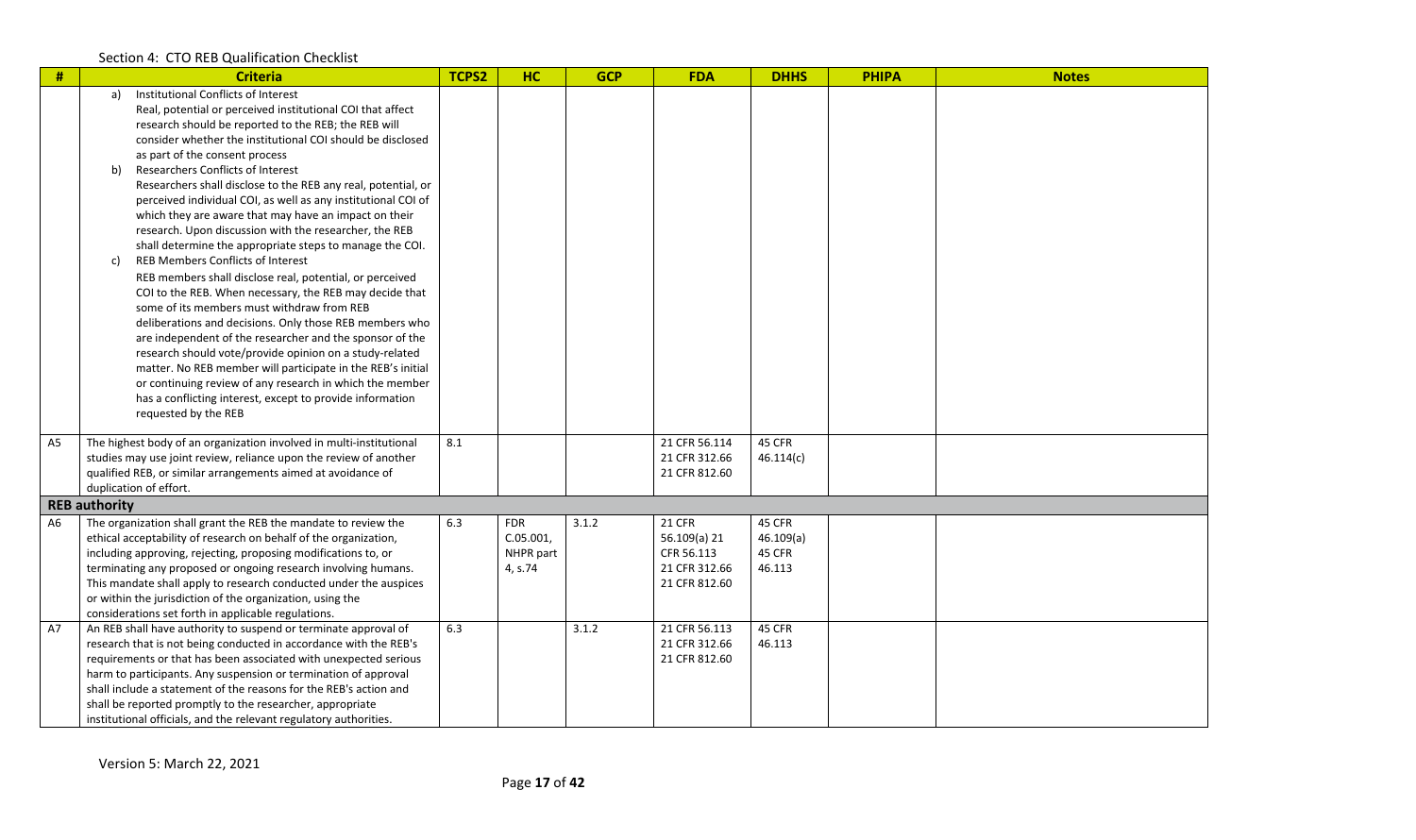| #              | <b>Criteria</b>                                                                                                                                                                                                                                                                                                                                                                                                                                                                                                                                                                                                                                                                                                                                                                                                                                                                                                                                                                                                                                                                                                                                                                                                                                      | TCPS2 | <b>HC</b>                                          | <b>GCP</b> | <b>FDA</b>                                                                    | <b>DHHS</b>                             | <b>PHIPA</b> | <b>Notes</b> |
|----------------|------------------------------------------------------------------------------------------------------------------------------------------------------------------------------------------------------------------------------------------------------------------------------------------------------------------------------------------------------------------------------------------------------------------------------------------------------------------------------------------------------------------------------------------------------------------------------------------------------------------------------------------------------------------------------------------------------------------------------------------------------------------------------------------------------------------------------------------------------------------------------------------------------------------------------------------------------------------------------------------------------------------------------------------------------------------------------------------------------------------------------------------------------------------------------------------------------------------------------------------------------|-------|----------------------------------------------------|------------|-------------------------------------------------------------------------------|-----------------------------------------|--------------|--------------|
|                | Institutional Conflicts of Interest<br>a)<br>Real, potential or perceived institutional COI that affect<br>research should be reported to the REB; the REB will<br>consider whether the institutional COI should be disclosed<br>as part of the consent process<br>Researchers Conflicts of Interest<br>b)<br>Researchers shall disclose to the REB any real, potential, or<br>perceived individual COI, as well as any institutional COI of<br>which they are aware that may have an impact on their<br>research. Upon discussion with the researcher, the REB<br>shall determine the appropriate steps to manage the COI.<br><b>REB Members Conflicts of Interest</b><br>c)<br>REB members shall disclose real, potential, or perceived<br>COI to the REB. When necessary, the REB may decide that<br>some of its members must withdraw from REB<br>deliberations and decisions. Only those REB members who<br>are independent of the researcher and the sponsor of the<br>research should vote/provide opinion on a study-related<br>matter. No REB member will participate in the REB's initial<br>or continuing review of any research in which the member<br>has a conflicting interest, except to provide information<br>requested by the REB |       |                                                    |            |                                                                               |                                         |              |              |
| A <sub>5</sub> | The highest body of an organization involved in multi-institutional<br>studies may use joint review, reliance upon the review of another<br>qualified REB, or similar arrangements aimed at avoidance of<br>duplication of effort.                                                                                                                                                                                                                                                                                                                                                                                                                                                                                                                                                                                                                                                                                                                                                                                                                                                                                                                                                                                                                   | 8.1   |                                                    |            | 21 CFR 56.114<br>21 CFR 312.66<br>21 CFR 812.60                               | 45 CFR<br>46.114(c)                     |              |              |
|                | <b>REB authority</b>                                                                                                                                                                                                                                                                                                                                                                                                                                                                                                                                                                                                                                                                                                                                                                                                                                                                                                                                                                                                                                                                                                                                                                                                                                 |       |                                                    |            |                                                                               |                                         |              |              |
| A <sub>6</sub> | The organization shall grant the REB the mandate to review the<br>ethical acceptability of research on behalf of the organization,<br>including approving, rejecting, proposing modifications to, or<br>terminating any proposed or ongoing research involving humans.<br>This mandate shall apply to research conducted under the auspices<br>or within the jurisdiction of the organization, using the<br>considerations set forth in applicable regulations.                                                                                                                                                                                                                                                                                                                                                                                                                                                                                                                                                                                                                                                                                                                                                                                      | 6.3   | <b>FDR</b><br>$C.05.001$ ,<br>NHPR part<br>4, s.74 | 3.1.2      | <b>21 CFR</b><br>56.109(a) 21<br>CFR 56.113<br>21 CFR 312.66<br>21 CFR 812.60 | 45 CFR<br>46.109(a)<br>45 CFR<br>46.113 |              |              |
| A7             | An REB shall have authority to suspend or terminate approval of<br>research that is not being conducted in accordance with the REB's<br>requirements or that has been associated with unexpected serious<br>harm to participants. Any suspension or termination of approval<br>shall include a statement of the reasons for the REB's action and<br>shall be reported promptly to the researcher, appropriate<br>institutional officials, and the relevant regulatory authorities.                                                                                                                                                                                                                                                                                                                                                                                                                                                                                                                                                                                                                                                                                                                                                                   | 6.3   |                                                    | 3.1.2      | 21 CFR 56.113<br>21 CFR 312.66<br>21 CFR 812.60                               | 45 CFR<br>46.113                        |              |              |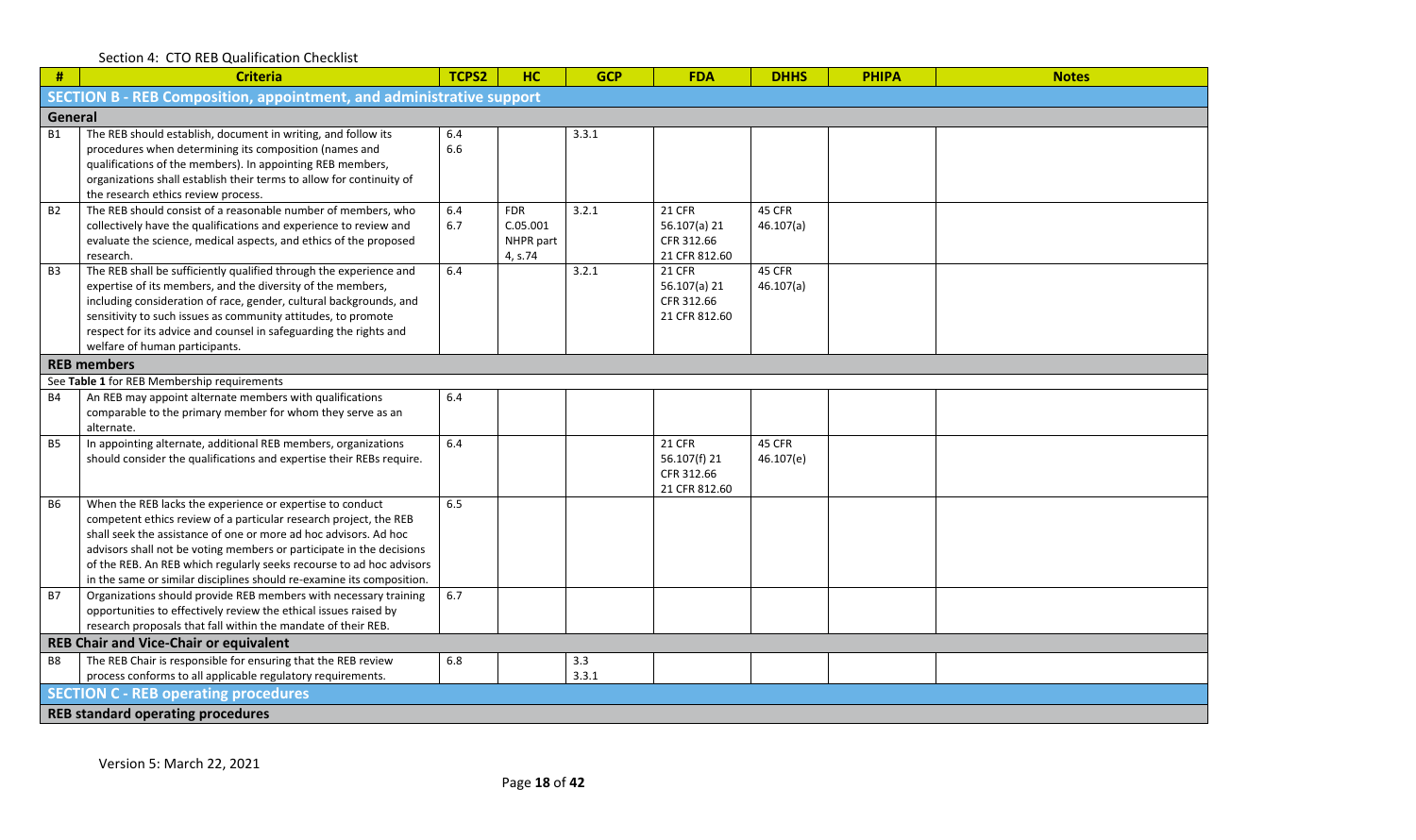| $\pmb{\#}$ | <b>Criteria</b>                                                                                                                                                                                                                                                                                                                                                                                                             | TCPS2      | HC                                             | <b>GCP</b>   | <b>FDA</b>                                                   | <b>DHHS</b>         | <b>PHIPA</b> | <b>Notes</b> |  |  |  |  |  |
|------------|-----------------------------------------------------------------------------------------------------------------------------------------------------------------------------------------------------------------------------------------------------------------------------------------------------------------------------------------------------------------------------------------------------------------------------|------------|------------------------------------------------|--------------|--------------------------------------------------------------|---------------------|--------------|--------------|--|--|--|--|--|
|            | <b>SECTION B - REB Composition, appointment, and administrative support</b>                                                                                                                                                                                                                                                                                                                                                 |            |                                                |              |                                                              |                     |              |              |  |  |  |  |  |
| General    |                                                                                                                                                                                                                                                                                                                                                                                                                             |            |                                                |              |                                                              |                     |              |              |  |  |  |  |  |
| <b>B1</b>  | The REB should establish, document in writing, and follow its<br>procedures when determining its composition (names and<br>qualifications of the members). In appointing REB members,<br>organizations shall establish their terms to allow for continuity of<br>the research ethics review process.                                                                                                                        | 6.4<br>6.6 |                                                | 3.3.1        |                                                              |                     |              |              |  |  |  |  |  |
| <b>B2</b>  | The REB should consist of a reasonable number of members, who<br>collectively have the qualifications and experience to review and<br>evaluate the science, medical aspects, and ethics of the proposed<br>research.                                                                                                                                                                                                        | 6.4<br>6.7 | <b>FDR</b><br>C.05.001<br>NHPR part<br>4, s.74 | 3.2.1        | <b>21 CFR</b><br>56.107(a) 21<br>CFR 312.66<br>21 CFR 812.60 | 45 CFR<br>46.107(a) |              |              |  |  |  |  |  |
| <b>B3</b>  | The REB shall be sufficiently qualified through the experience and<br>expertise of its members, and the diversity of the members,<br>including consideration of race, gender, cultural backgrounds, and<br>sensitivity to such issues as community attitudes, to promote<br>respect for its advice and counsel in safeguarding the rights and<br>welfare of human participants.                                             | 6.4        |                                                | 3.2.1        | <b>21 CFR</b><br>56.107(a) 21<br>CFR 312.66<br>21 CFR 812.60 | 45 CFR<br>46.107(a) |              |              |  |  |  |  |  |
|            | <b>REB</b> members                                                                                                                                                                                                                                                                                                                                                                                                          |            |                                                |              |                                                              |                     |              |              |  |  |  |  |  |
|            | See Table 1 for REB Membership requirements                                                                                                                                                                                                                                                                                                                                                                                 |            |                                                |              |                                                              |                     |              |              |  |  |  |  |  |
| <b>B4</b>  | An REB may appoint alternate members with qualifications<br>comparable to the primary member for whom they serve as an<br>alternate.                                                                                                                                                                                                                                                                                        | 6.4        |                                                |              |                                                              |                     |              |              |  |  |  |  |  |
| <b>B5</b>  | In appointing alternate, additional REB members, organizations<br>should consider the qualifications and expertise their REBs require.                                                                                                                                                                                                                                                                                      | 6.4        |                                                |              | <b>21 CFR</b><br>56.107(f) 21<br>CFR 312.66<br>21 CFR 812.60 | 45 CFR<br>46.107(e) |              |              |  |  |  |  |  |
| <b>B6</b>  | When the REB lacks the experience or expertise to conduct<br>competent ethics review of a particular research project, the REB<br>shall seek the assistance of one or more ad hoc advisors. Ad hoc<br>advisors shall not be voting members or participate in the decisions<br>of the REB. An REB which regularly seeks recourse to ad hoc advisors<br>in the same or similar disciplines should re-examine its composition. | 6.5        |                                                |              |                                                              |                     |              |              |  |  |  |  |  |
| <b>B7</b>  | Organizations should provide REB members with necessary training<br>opportunities to effectively review the ethical issues raised by<br>research proposals that fall within the mandate of their REB.                                                                                                                                                                                                                       | 6.7        |                                                |              |                                                              |                     |              |              |  |  |  |  |  |
|            | <b>REB Chair and Vice-Chair or equivalent</b>                                                                                                                                                                                                                                                                                                                                                                               |            |                                                |              |                                                              |                     |              |              |  |  |  |  |  |
| <b>B8</b>  | The REB Chair is responsible for ensuring that the REB review<br>process conforms to all applicable regulatory requirements.                                                                                                                                                                                                                                                                                                | 6.8        |                                                | 3.3<br>3.3.1 |                                                              |                     |              |              |  |  |  |  |  |
|            | <b>SECTION C - REB operating procedures</b>                                                                                                                                                                                                                                                                                                                                                                                 |            |                                                |              |                                                              |                     |              |              |  |  |  |  |  |
|            | <b>REB standard operating procedures</b>                                                                                                                                                                                                                                                                                                                                                                                    |            |                                                |              |                                                              |                     |              |              |  |  |  |  |  |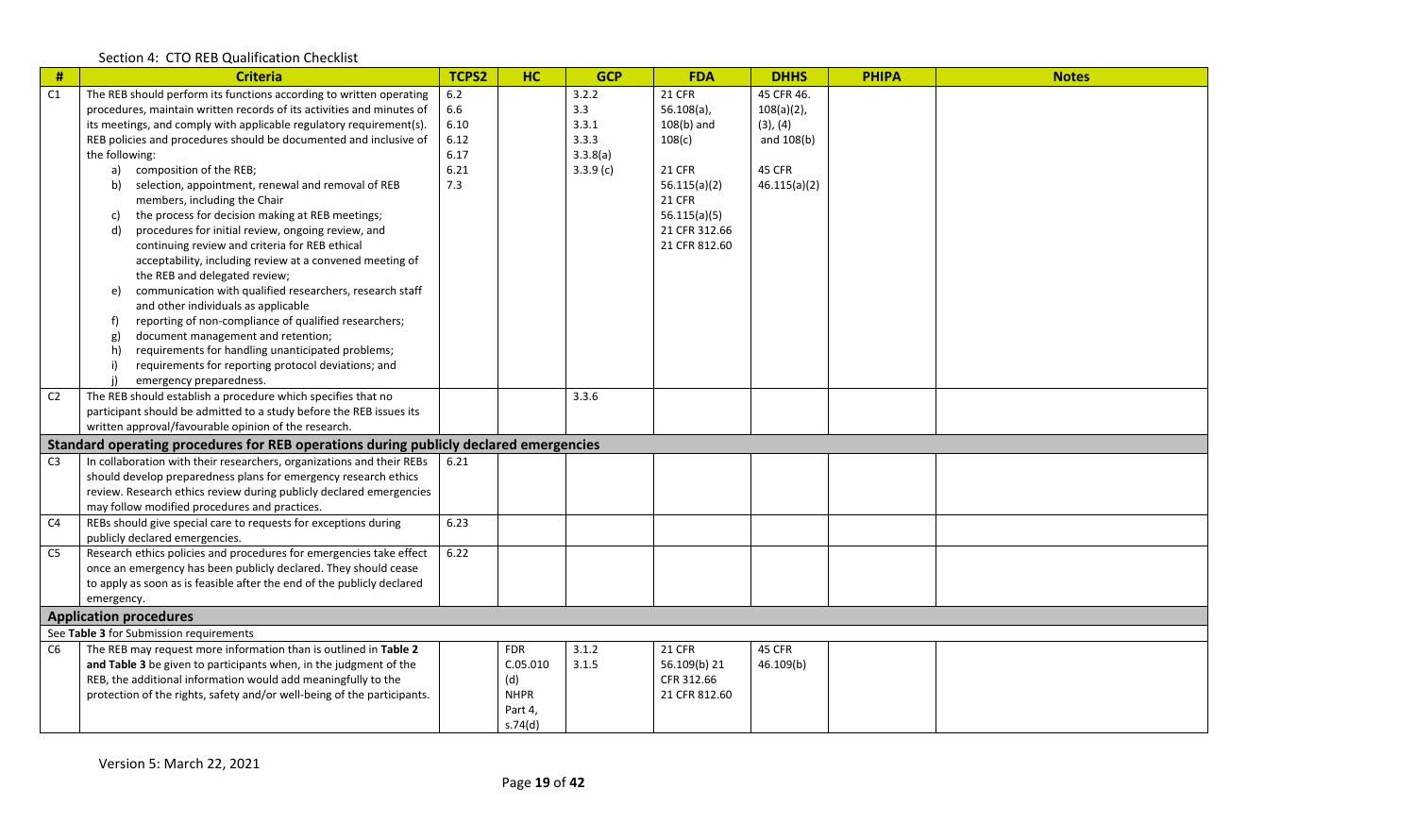| $\#$           | <b>Criteria</b>                                                                       | <b>TCPS2</b> | <b>HC</b>   | <b>GCP</b> | <b>FDA</b>    | <b>DHHS</b>   | <b>PHIPA</b> | <b>Notes</b> |
|----------------|---------------------------------------------------------------------------------------|--------------|-------------|------------|---------------|---------------|--------------|--------------|
| C1             | The REB should perform its functions according to written operating                   | 6.2          |             | 3.2.2      | <b>21 CFR</b> | 45 CFR 46.    |              |              |
|                | procedures, maintain written records of its activities and minutes of                 | 6.6          |             | 3.3        | $56.108(a)$ , | $108(a)(2)$ , |              |              |
|                | its meetings, and comply with applicable regulatory requirement(s).                   | 6.10         |             | 3.3.1      | $108(b)$ and  | (3), (4)      |              |              |
|                | REB policies and procedures should be documented and inclusive of                     | 6.12         |             | 3.3.3      | 108(c)        | and 108(b)    |              |              |
|                | the following:                                                                        | 6.17         |             | 3.3.8(a)   |               |               |              |              |
|                | composition of the REB;<br>a)                                                         | 6.21         |             | 3.3.9(c)   | <b>21 CFR</b> | 45 CFR        |              |              |
|                | selection, appointment, renewal and removal of REB<br>b)                              | 7.3          |             |            | 56.115(a)(2)  | 46.115(a)(2)  |              |              |
|                | members, including the Chair                                                          |              |             |            | <b>21 CFR</b> |               |              |              |
|                | the process for decision making at REB meetings;<br>c)                                |              |             |            | 56.115(a)(5)  |               |              |              |
|                | procedures for initial review, ongoing review, and<br>d)                              |              |             |            | 21 CFR 312.66 |               |              |              |
|                | continuing review and criteria for REB ethical                                        |              |             |            | 21 CFR 812.60 |               |              |              |
|                | acceptability, including review at a convened meeting of                              |              |             |            |               |               |              |              |
|                | the REB and delegated review;                                                         |              |             |            |               |               |              |              |
|                | communication with qualified researchers, research staff<br>e)                        |              |             |            |               |               |              |              |
|                | and other individuals as applicable                                                   |              |             |            |               |               |              |              |
|                | reporting of non-compliance of qualified researchers;<br>f)                           |              |             |            |               |               |              |              |
|                | document management and retention;<br>g)                                              |              |             |            |               |               |              |              |
|                | requirements for handling unanticipated problems;<br>h)                               |              |             |            |               |               |              |              |
|                | requirements for reporting protocol deviations; and<br>i)                             |              |             |            |               |               |              |              |
|                | emergency preparedness.                                                               |              |             |            |               |               |              |              |
| C <sub>2</sub> | The REB should establish a procedure which specifies that no                          |              |             | 3.3.6      |               |               |              |              |
|                | participant should be admitted to a study before the REB issues its                   |              |             |            |               |               |              |              |
|                | written approval/favourable opinion of the research.                                  |              |             |            |               |               |              |              |
|                | Standard operating procedures for REB operations during publicly declared emergencies |              |             |            |               |               |              |              |
| C <sub>3</sub> | In collaboration with their researchers, organizations and their REBs                 | 6.21         |             |            |               |               |              |              |
|                | should develop preparedness plans for emergency research ethics                       |              |             |            |               |               |              |              |
|                | review. Research ethics review during publicly declared emergencies                   |              |             |            |               |               |              |              |
|                | may follow modified procedures and practices.                                         |              |             |            |               |               |              |              |
| C <sub>4</sub> | REBs should give special care to requests for exceptions during                       | 6.23         |             |            |               |               |              |              |
|                | publicly declared emergencies.                                                        |              |             |            |               |               |              |              |
| C <sub>5</sub> | Research ethics policies and procedures for emergencies take effect                   | 6.22         |             |            |               |               |              |              |
|                | once an emergency has been publicly declared. They should cease                       |              |             |            |               |               |              |              |
|                | to apply as soon as is feasible after the end of the publicly declared                |              |             |            |               |               |              |              |
|                | emergency.                                                                            |              |             |            |               |               |              |              |
|                | <b>Application procedures</b>                                                         |              |             |            |               |               |              |              |
|                | See Table 3 for Submission requirements                                               |              |             |            |               |               |              |              |
| C <sub>6</sub> | The REB may request more information than is outlined in Table 2                      |              | <b>FDR</b>  | 3.1.2      | <b>21 CFR</b> | 45 CFR        |              |              |
|                | and Table 3 be given to participants when, in the judgment of the                     |              | C.05.010    | 3.1.5      | 56.109(b) 21  | 46.109(b)     |              |              |
|                | REB, the additional information would add meaningfully to the                         |              | (d)         |            | CFR 312.66    |               |              |              |
|                | protection of the rights, safety and/or well-being of the participants.               |              | <b>NHPR</b> |            | 21 CFR 812.60 |               |              |              |
|                |                                                                                       |              | Part 4,     |            |               |               |              |              |
|                |                                                                                       |              | s.74(d)     |            |               |               |              |              |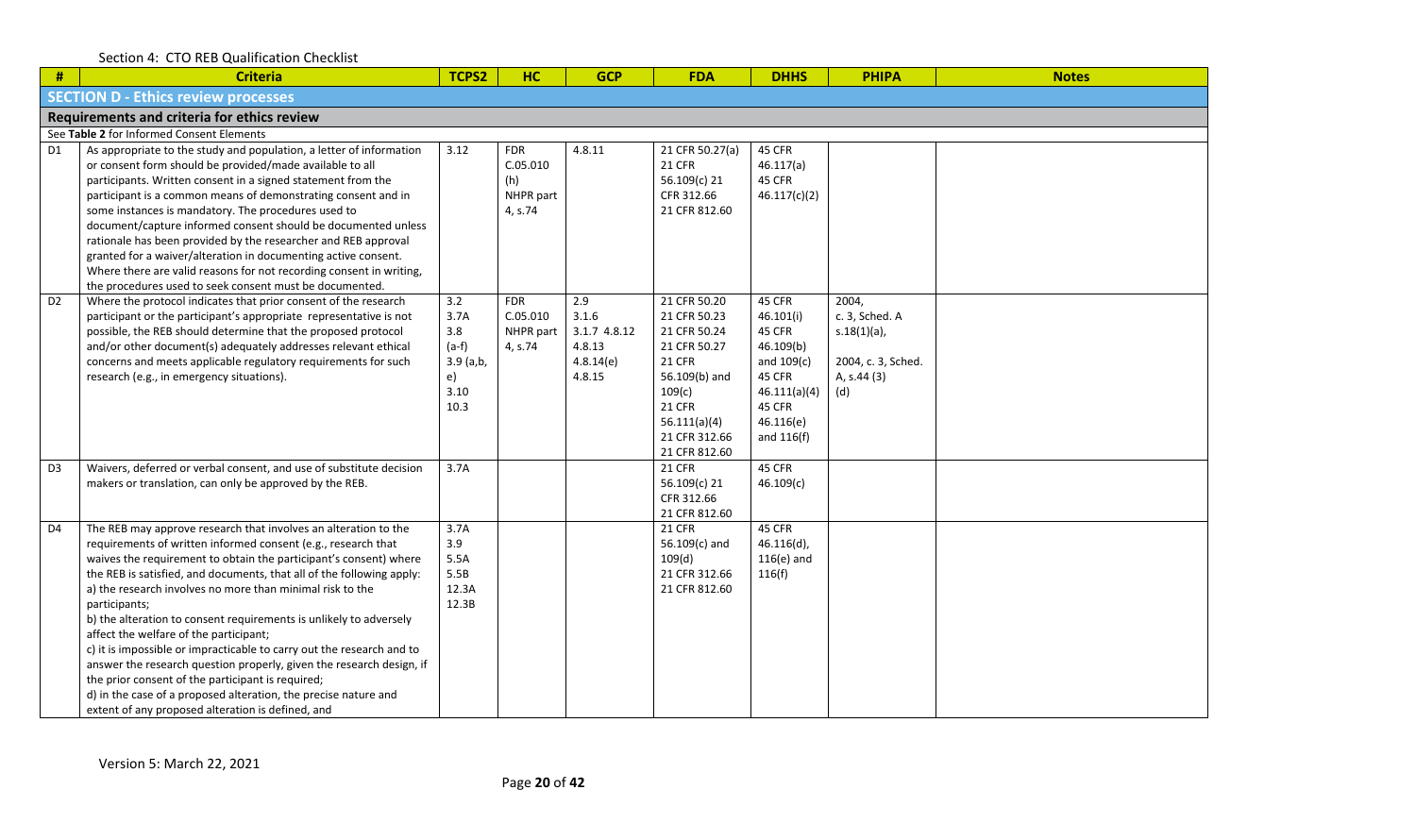| #                                           | <b>Criteria</b>                                                                                                                                                                                                                                                                                                                                                                                                                                                                                                                                                                                                                                                                                                                                                                                            | TCPS2                                                              | <b>HC</b>                                             | <b>GCP</b>                                                    | <b>FDA</b>                                                                                                                                                                  | <b>DHHS</b>                                                                                                               | <b>PHIPA</b>                                                                          | <b>Notes</b> |  |  |  |  |  |
|---------------------------------------------|------------------------------------------------------------------------------------------------------------------------------------------------------------------------------------------------------------------------------------------------------------------------------------------------------------------------------------------------------------------------------------------------------------------------------------------------------------------------------------------------------------------------------------------------------------------------------------------------------------------------------------------------------------------------------------------------------------------------------------------------------------------------------------------------------------|--------------------------------------------------------------------|-------------------------------------------------------|---------------------------------------------------------------|-----------------------------------------------------------------------------------------------------------------------------------------------------------------------------|---------------------------------------------------------------------------------------------------------------------------|---------------------------------------------------------------------------------------|--------------|--|--|--|--|--|
|                                             | <b>SECTION D - Ethics review processes</b>                                                                                                                                                                                                                                                                                                                                                                                                                                                                                                                                                                                                                                                                                                                                                                 |                                                                    |                                                       |                                                               |                                                                                                                                                                             |                                                                                                                           |                                                                                       |              |  |  |  |  |  |
| Requirements and criteria for ethics review |                                                                                                                                                                                                                                                                                                                                                                                                                                                                                                                                                                                                                                                                                                                                                                                                            |                                                                    |                                                       |                                                               |                                                                                                                                                                             |                                                                                                                           |                                                                                       |              |  |  |  |  |  |
|                                             | See Table 2 for Informed Consent Elements                                                                                                                                                                                                                                                                                                                                                                                                                                                                                                                                                                                                                                                                                                                                                                  |                                                                    |                                                       |                                                               |                                                                                                                                                                             |                                                                                                                           |                                                                                       |              |  |  |  |  |  |
| D <sub>1</sub>                              | As appropriate to the study and population, a letter of information<br>or consent form should be provided/made available to all<br>participants. Written consent in a signed statement from the<br>participant is a common means of demonstrating consent and in<br>some instances is mandatory. The procedures used to<br>document/capture informed consent should be documented unless<br>rationale has been provided by the researcher and REB approval<br>granted for a waiver/alteration in documenting active consent.<br>Where there are valid reasons for not recording consent in writing,<br>the procedures used to seek consent must be documented.                                                                                                                                             | 3.12                                                               | <b>FDR</b><br>C.05.010<br>(h)<br>NHPR part<br>4, s.74 | 4.8.11                                                        | 21 CFR 50.27(a)<br><b>21 CFR</b><br>56.109(c) 21<br>CFR 312.66<br>21 CFR 812.60                                                                                             | 45 CFR<br>46.117(a)<br>45 CFR<br>46.117(c)(2)                                                                             |                                                                                       |              |  |  |  |  |  |
| D <sub>2</sub>                              | Where the protocol indicates that prior consent of the research<br>participant or the participant's appropriate representative is not<br>possible, the REB should determine that the proposed protocol<br>and/or other document(s) adequately addresses relevant ethical<br>concerns and meets applicable regulatory requirements for such<br>research (e.g., in emergency situations).                                                                                                                                                                                                                                                                                                                                                                                                                    | 3.2<br>3.7A<br>3.8<br>$(a-f)$<br>$3.9$ (a,b,<br>e)<br>3.10<br>10.3 | <b>FDR</b><br>C.05.010<br>NHPR part<br>4, s.74        | 2.9<br>3.1.6<br>3.1.7 4.8.12<br>4.8.13<br>4.8.14(e)<br>4.8.15 | 21 CFR 50.20<br>21 CFR 50.23<br>21 CFR 50.24<br>21 CFR 50.27<br><b>21 CFR</b><br>56.109(b) and<br>109(c)<br><b>21 CFR</b><br>56.111(a)(4)<br>21 CFR 312.66<br>21 CFR 812.60 | 45 CFR<br>46.101(i)<br>45 CFR<br>46.109(b)<br>and $109(c)$<br>45 CFR<br>46.111(a)(4)<br>45 CFR<br>46.116(e)<br>and 116(f) | 2004,<br>c. 3, Sched. A<br>$s.18(1)(a)$ ,<br>2004, c. 3, Sched.<br>A, s.44 (3)<br>(d) |              |  |  |  |  |  |
| D <sub>3</sub>                              | Waivers, deferred or verbal consent, and use of substitute decision<br>makers or translation, can only be approved by the REB.                                                                                                                                                                                                                                                                                                                                                                                                                                                                                                                                                                                                                                                                             | 3.7A                                                               |                                                       |                                                               | <b>21 CFR</b><br>56.109(c) 21<br>CFR 312.66<br>21 CFR 812.60                                                                                                                | 45 CFR<br>46.109(c)                                                                                                       |                                                                                       |              |  |  |  |  |  |
| D <sub>4</sub>                              | The REB may approve research that involves an alteration to the<br>requirements of written informed consent (e.g., research that<br>waives the requirement to obtain the participant's consent) where<br>the REB is satisfied, and documents, that all of the following apply:<br>a) the research involves no more than minimal risk to the<br>participants;<br>b) the alteration to consent requirements is unlikely to adversely<br>affect the welfare of the participant;<br>c) it is impossible or impracticable to carry out the research and to<br>answer the research question properly, given the research design, if<br>the prior consent of the participant is required;<br>d) in the case of a proposed alteration, the precise nature and<br>extent of any proposed alteration is defined, and | 3.7A<br>3.9<br>5.5A<br>5.5B<br>12.3A<br>12.3B                      |                                                       |                                                               | <b>21 CFR</b><br>56.109(c) and<br>109(d)<br>21 CFR 312.66<br>21 CFR 812.60                                                                                                  | 45 CFR<br>$46.116(d)$ ,<br>$116(e)$ and<br>116(f)                                                                         |                                                                                       |              |  |  |  |  |  |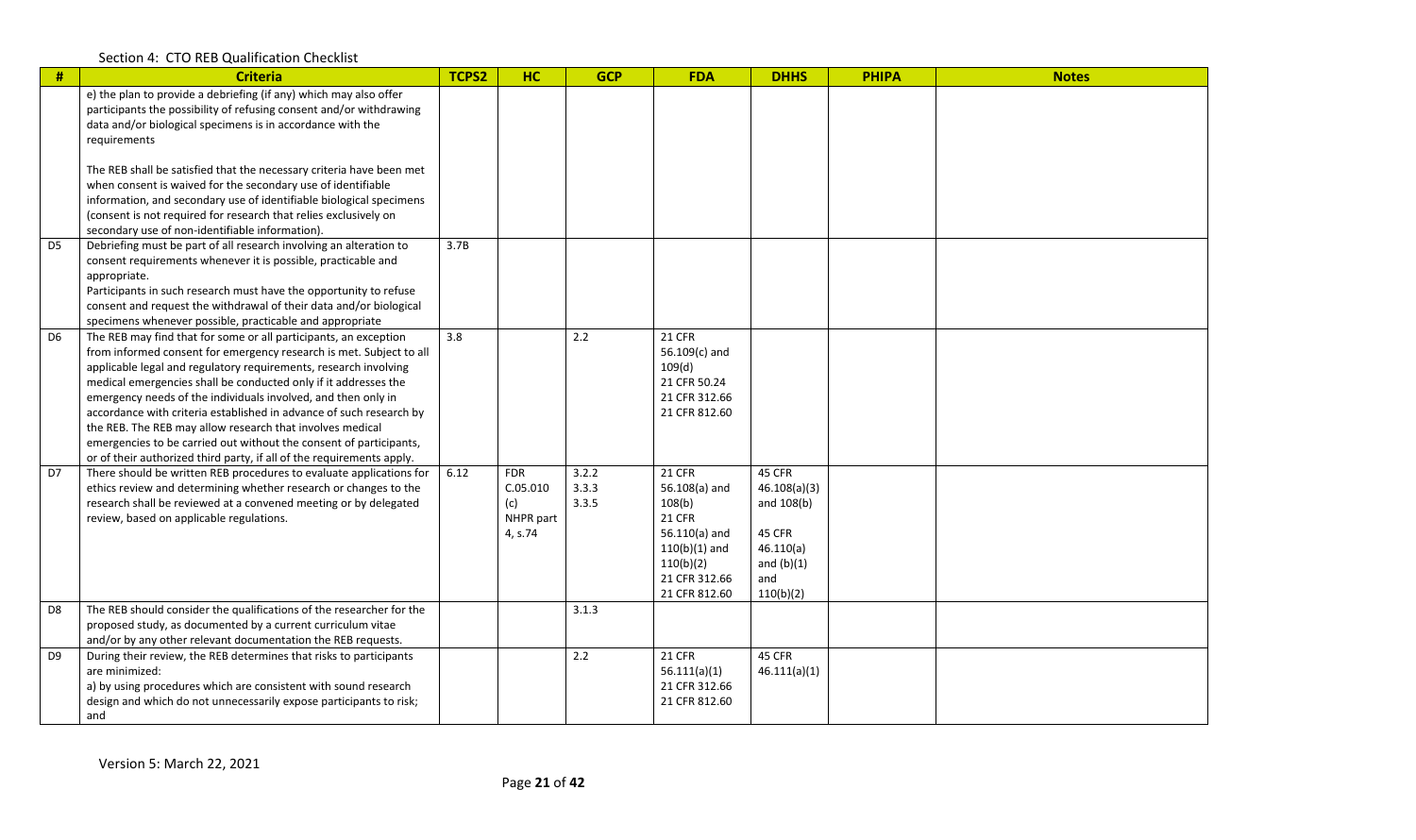| #              | <b>Criteria</b>                                                                                                                                                                                                                                                                                                                                                                                                                                                                                                                                                                                                                    | TCPS2 | HC                                                    | <b>GCP</b>              | <b>FDA</b>                                                                                                                                     | <b>DHHS</b>                                                                                     | <b>PHIPA</b> | <b>Notes</b> |
|----------------|------------------------------------------------------------------------------------------------------------------------------------------------------------------------------------------------------------------------------------------------------------------------------------------------------------------------------------------------------------------------------------------------------------------------------------------------------------------------------------------------------------------------------------------------------------------------------------------------------------------------------------|-------|-------------------------------------------------------|-------------------------|------------------------------------------------------------------------------------------------------------------------------------------------|-------------------------------------------------------------------------------------------------|--------------|--------------|
|                | e) the plan to provide a debriefing (if any) which may also offer<br>participants the possibility of refusing consent and/or withdrawing<br>data and/or biological specimens is in accordance with the<br>requirements                                                                                                                                                                                                                                                                                                                                                                                                             |       |                                                       |                         |                                                                                                                                                |                                                                                                 |              |              |
|                | The REB shall be satisfied that the necessary criteria have been met<br>when consent is waived for the secondary use of identifiable<br>information, and secondary use of identifiable biological specimens<br>(consent is not required for research that relies exclusively on<br>secondary use of non-identifiable information).                                                                                                                                                                                                                                                                                                 |       |                                                       |                         |                                                                                                                                                |                                                                                                 |              |              |
| D <sub>5</sub> | Debriefing must be part of all research involving an alteration to<br>consent requirements whenever it is possible, practicable and<br>appropriate.<br>Participants in such research must have the opportunity to refuse<br>consent and request the withdrawal of their data and/or biological<br>specimens whenever possible, practicable and appropriate                                                                                                                                                                                                                                                                         | 3.7B  |                                                       |                         |                                                                                                                                                |                                                                                                 |              |              |
| D <sub>6</sub> | The REB may find that for some or all participants, an exception<br>from informed consent for emergency research is met. Subject to all<br>applicable legal and regulatory requirements, research involving<br>medical emergencies shall be conducted only if it addresses the<br>emergency needs of the individuals involved, and then only in<br>accordance with criteria established in advance of such research by<br>the REB. The REB may allow research that involves medical<br>emergencies to be carried out without the consent of participants,<br>or of their authorized third party, if all of the requirements apply. | 3.8   |                                                       | 2.2                     | <b>21 CFR</b><br>56.109(c) and<br>109(d)<br>21 CFR 50.24<br>21 CFR 312.66<br>21 CFR 812.60                                                     |                                                                                                 |              |              |
| D7             | There should be written REB procedures to evaluate applications for<br>ethics review and determining whether research or changes to the<br>research shall be reviewed at a convened meeting or by delegated<br>review, based on applicable regulations.                                                                                                                                                                                                                                                                                                                                                                            | 6.12  | <b>FDR</b><br>C.05.010<br>(c)<br>NHPR part<br>4, s.74 | 3.2.2<br>3.3.3<br>3.3.5 | <b>21 CFR</b><br>56.108(a) and<br>108(b)<br><b>21 CFR</b><br>$56.110(a)$ and<br>$110(b)(1)$ and<br>110(b)(2)<br>21 CFR 312.66<br>21 CFR 812.60 | 45 CFR<br>46.108(a)(3)<br>and 108(b)<br>45 CFR<br>46.110(a)<br>and $(b)(1)$<br>and<br>110(b)(2) |              |              |
| D <sub>8</sub> | The REB should consider the qualifications of the researcher for the<br>proposed study, as documented by a current curriculum vitae<br>and/or by any other relevant documentation the REB requests.                                                                                                                                                                                                                                                                                                                                                                                                                                |       |                                                       | 3.1.3                   |                                                                                                                                                |                                                                                                 |              |              |
| D <sub>9</sub> | During their review, the REB determines that risks to participants<br>are minimized:<br>a) by using procedures which are consistent with sound research<br>design and which do not unnecessarily expose participants to risk;<br>and                                                                                                                                                                                                                                                                                                                                                                                               |       |                                                       | 2.2                     | <b>21 CFR</b><br>56.111(a)(1)<br>21 CFR 312.66<br>21 CFR 812.60                                                                                | 45 CFR<br>46.111(a)(1)                                                                          |              |              |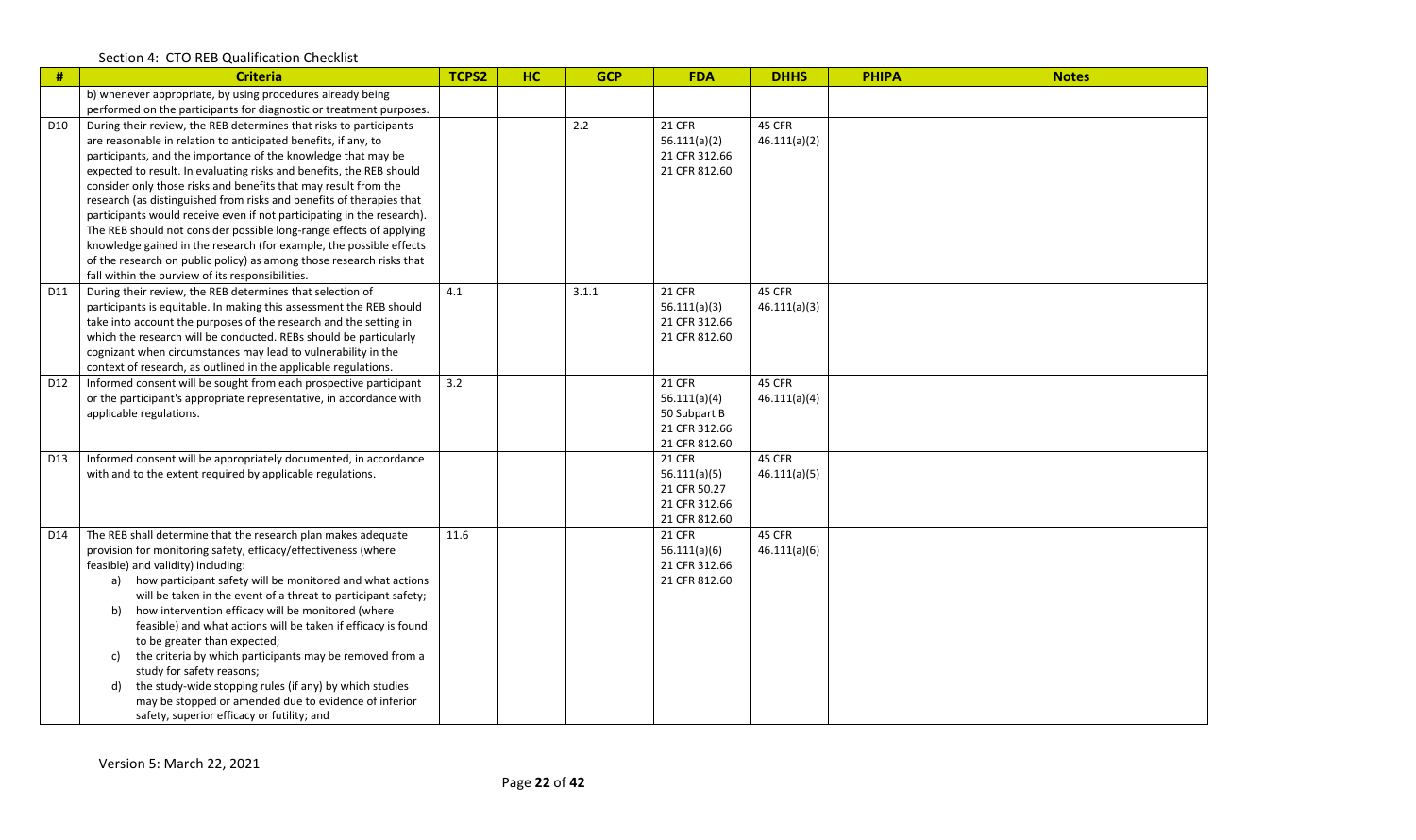| #               | <b>Criteria</b>                                                        | TCPS2 | HC | <b>GCP</b> | <b>FDA</b>                    | <b>DHHS</b>  | <b>PHIPA</b> | <b>Notes</b> |
|-----------------|------------------------------------------------------------------------|-------|----|------------|-------------------------------|--------------|--------------|--------------|
|                 | b) whenever appropriate, by using procedures already being             |       |    |            |                               |              |              |              |
|                 | performed on the participants for diagnostic or treatment purposes.    |       |    |            |                               |              |              |              |
| D <sub>10</sub> | During their review, the REB determines that risks to participants     |       |    | 2.2        | <b>21 CFR</b>                 | 45 CFR       |              |              |
|                 | are reasonable in relation to anticipated benefits, if any, to         |       |    |            | 56.111(a)(2)                  | 46.111(a)(2) |              |              |
|                 | participants, and the importance of the knowledge that may be          |       |    |            | 21 CFR 312.66                 |              |              |              |
|                 | expected to result. In evaluating risks and benefits, the REB should   |       |    |            | 21 CFR 812.60                 |              |              |              |
|                 | consider only those risks and benefits that may result from the        |       |    |            |                               |              |              |              |
|                 | research (as distinguished from risks and benefits of therapies that   |       |    |            |                               |              |              |              |
|                 | participants would receive even if not participating in the research). |       |    |            |                               |              |              |              |
|                 | The REB should not consider possible long-range effects of applying    |       |    |            |                               |              |              |              |
|                 | knowledge gained in the research (for example, the possible effects    |       |    |            |                               |              |              |              |
|                 | of the research on public policy) as among those research risks that   |       |    |            |                               |              |              |              |
|                 | fall within the purview of its responsibilities.                       |       |    |            |                               |              |              |              |
| D11             | During their review, the REB determines that selection of              | 4.1   |    | 3.1.1      | <b>21 CFR</b>                 | 45 CFR       |              |              |
|                 | participants is equitable. In making this assessment the REB should    |       |    |            | 56.111(a)(3)                  | 46.111(a)(3) |              |              |
|                 | take into account the purposes of the research and the setting in      |       |    |            | 21 CFR 312.66                 |              |              |              |
|                 | which the research will be conducted. REBs should be particularly      |       |    |            | 21 CFR 812.60                 |              |              |              |
|                 | cognizant when circumstances may lead to vulnerability in the          |       |    |            |                               |              |              |              |
|                 | context of research, as outlined in the applicable regulations.        |       |    |            |                               |              |              |              |
| D <sub>12</sub> | Informed consent will be sought from each prospective participant      | 3.2   |    |            | <b>21 CFR</b>                 | 45 CFR       |              |              |
|                 | or the participant's appropriate representative, in accordance with    |       |    |            | 56.111(a)(4)                  | 46.111(a)(4) |              |              |
|                 | applicable regulations.                                                |       |    |            | 50 Subpart B                  |              |              |              |
|                 |                                                                        |       |    |            | 21 CFR 312.66                 |              |              |              |
|                 |                                                                        |       |    |            | 21 CFR 812.60                 | 45 CFR       |              |              |
| D <sub>13</sub> | Informed consent will be appropriately documented, in accordance       |       |    |            | <b>21 CFR</b>                 |              |              |              |
|                 | with and to the extent required by applicable regulations.             |       |    |            | 56.111(a)(5)                  | 46.111(a)(5) |              |              |
|                 |                                                                        |       |    |            | 21 CFR 50.27<br>21 CFR 312.66 |              |              |              |
|                 |                                                                        |       |    |            | 21 CFR 812.60                 |              |              |              |
| D14             | The REB shall determine that the research plan makes adequate          | 11.6  |    |            | <b>21 CFR</b>                 | 45 CFR       |              |              |
|                 | provision for monitoring safety, efficacy/effectiveness (where         |       |    |            | 56.111(a)(6)                  | 46.111(a)(6) |              |              |
|                 | feasible) and validity) including:                                     |       |    |            | 21 CFR 312.66                 |              |              |              |
|                 | a) how participant safety will be monitored and what actions           |       |    |            | 21 CFR 812.60                 |              |              |              |
|                 | will be taken in the event of a threat to participant safety;          |       |    |            |                               |              |              |              |
|                 | how intervention efficacy will be monitored (where<br>b)               |       |    |            |                               |              |              |              |
|                 | feasible) and what actions will be taken if efficacy is found          |       |    |            |                               |              |              |              |
|                 | to be greater than expected;                                           |       |    |            |                               |              |              |              |
|                 | the criteria by which participants may be removed from a<br>c)         |       |    |            |                               |              |              |              |
|                 | study for safety reasons;                                              |       |    |            |                               |              |              |              |
|                 | the study-wide stopping rules (if any) by which studies<br>d)          |       |    |            |                               |              |              |              |
|                 | may be stopped or amended due to evidence of inferior                  |       |    |            |                               |              |              |              |
|                 | safety, superior efficacy or futility; and                             |       |    |            |                               |              |              |              |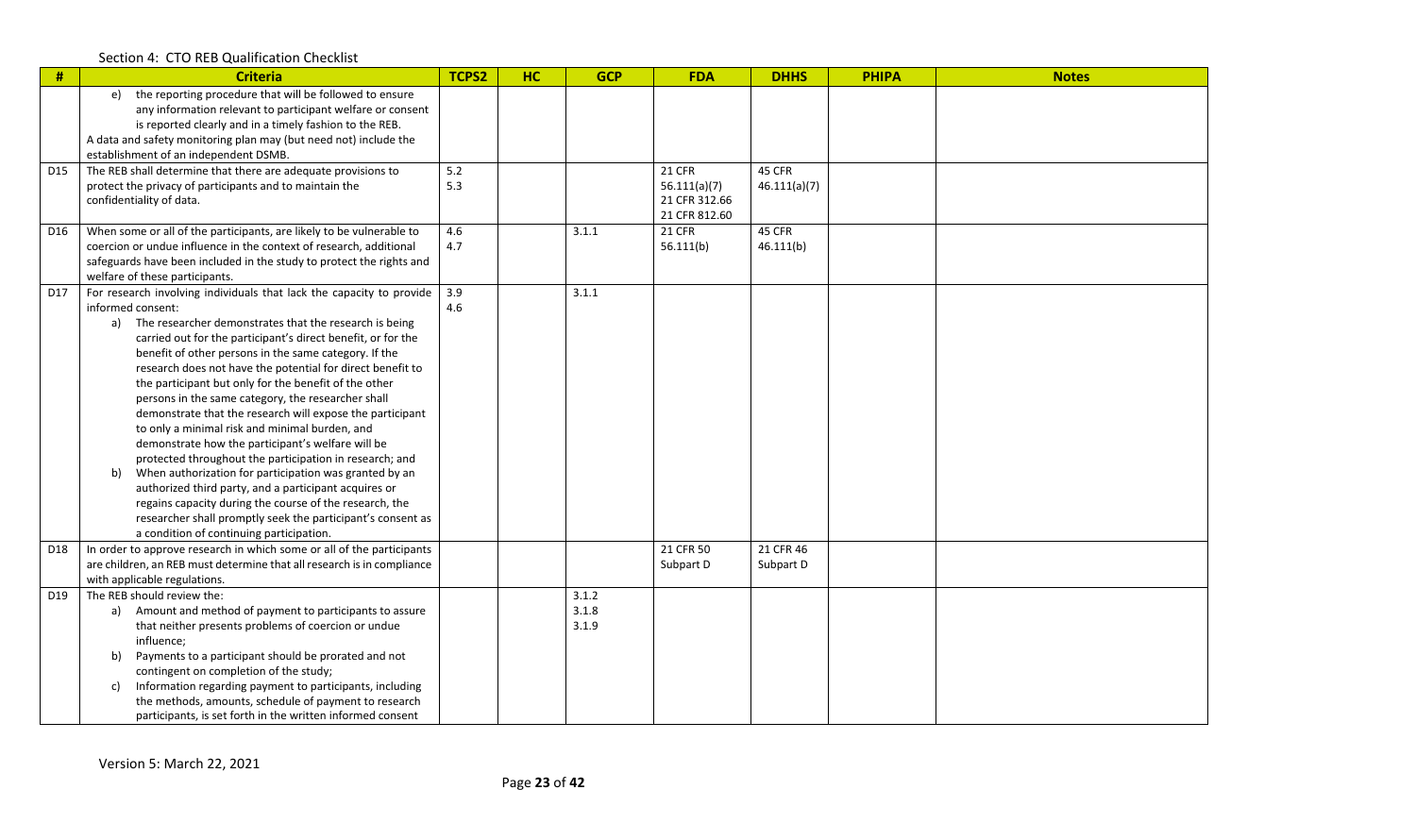| #   | <b>Criteria</b>                                                                                                             | TCPS2 | <b>HC</b> | <b>GCP</b> | <b>FDA</b>                     | <b>DHHS</b>  | <b>PHIPA</b> | <b>Notes</b> |
|-----|-----------------------------------------------------------------------------------------------------------------------------|-------|-----------|------------|--------------------------------|--------------|--------------|--------------|
|     | the reporting procedure that will be followed to ensure<br>e)<br>any information relevant to participant welfare or consent |       |           |            |                                |              |              |              |
|     | is reported clearly and in a timely fashion to the REB.                                                                     |       |           |            |                                |              |              |              |
|     | A data and safety monitoring plan may (but need not) include the                                                            |       |           |            |                                |              |              |              |
|     | establishment of an independent DSMB.                                                                                       |       |           |            |                                |              |              |              |
| D15 | The REB shall determine that there are adequate provisions to                                                               | 5.2   |           |            | <b>21 CFR</b>                  | 45 CFR       |              |              |
|     | protect the privacy of participants and to maintain the                                                                     | 5.3   |           |            | 56.111(a)(7)                   | 46.111(a)(7) |              |              |
|     | confidentiality of data.                                                                                                    |       |           |            | 21 CFR 312.66<br>21 CFR 812.60 |              |              |              |
| D16 | When some or all of the participants, are likely to be vulnerable to                                                        | 4.6   |           | 3.1.1      | <b>21 CFR</b>                  | 45 CFR       |              |              |
|     | coercion or undue influence in the context of research, additional                                                          | 4.7   |           |            | 56.111(b)                      | 46.111(b)    |              |              |
|     | safeguards have been included in the study to protect the rights and                                                        |       |           |            |                                |              |              |              |
|     | welfare of these participants.                                                                                              |       |           |            |                                |              |              |              |
| D17 | For research involving individuals that lack the capacity to provide                                                        | 3.9   |           | 3.1.1      |                                |              |              |              |
|     | informed consent:                                                                                                           | 4.6   |           |            |                                |              |              |              |
|     | a) The researcher demonstrates that the research is being                                                                   |       |           |            |                                |              |              |              |
|     | carried out for the participant's direct benefit, or for the                                                                |       |           |            |                                |              |              |              |
|     | benefit of other persons in the same category. If the<br>research does not have the potential for direct benefit to         |       |           |            |                                |              |              |              |
|     | the participant but only for the benefit of the other                                                                       |       |           |            |                                |              |              |              |
|     | persons in the same category, the researcher shall                                                                          |       |           |            |                                |              |              |              |
|     | demonstrate that the research will expose the participant                                                                   |       |           |            |                                |              |              |              |
|     | to only a minimal risk and minimal burden, and                                                                              |       |           |            |                                |              |              |              |
|     | demonstrate how the participant's welfare will be                                                                           |       |           |            |                                |              |              |              |
|     | protected throughout the participation in research; and                                                                     |       |           |            |                                |              |              |              |
|     | When authorization for participation was granted by an<br>b)                                                                |       |           |            |                                |              |              |              |
|     | authorized third party, and a participant acquires or                                                                       |       |           |            |                                |              |              |              |
|     | regains capacity during the course of the research, the                                                                     |       |           |            |                                |              |              |              |
|     | researcher shall promptly seek the participant's consent as<br>a condition of continuing participation.                     |       |           |            |                                |              |              |              |
| D18 | In order to approve research in which some or all of the participants                                                       |       |           |            | 21 CFR 50                      | 21 CFR 46    |              |              |
|     | are children, an REB must determine that all research is in compliance                                                      |       |           |            | Subpart D                      | Subpart D    |              |              |
|     | with applicable regulations.                                                                                                |       |           |            |                                |              |              |              |
| D19 | The REB should review the:                                                                                                  |       |           | 3.1.2      |                                |              |              |              |
|     | a) Amount and method of payment to participants to assure                                                                   |       |           | 3.1.8      |                                |              |              |              |
|     | that neither presents problems of coercion or undue                                                                         |       |           | 3.1.9      |                                |              |              |              |
|     | influence;                                                                                                                  |       |           |            |                                |              |              |              |
|     | Payments to a participant should be prorated and not<br>b)                                                                  |       |           |            |                                |              |              |              |
|     | contingent on completion of the study;<br>Information regarding payment to participants, including<br>c)                    |       |           |            |                                |              |              |              |
|     | the methods, amounts, schedule of payment to research                                                                       |       |           |            |                                |              |              |              |
|     | participants, is set forth in the written informed consent                                                                  |       |           |            |                                |              |              |              |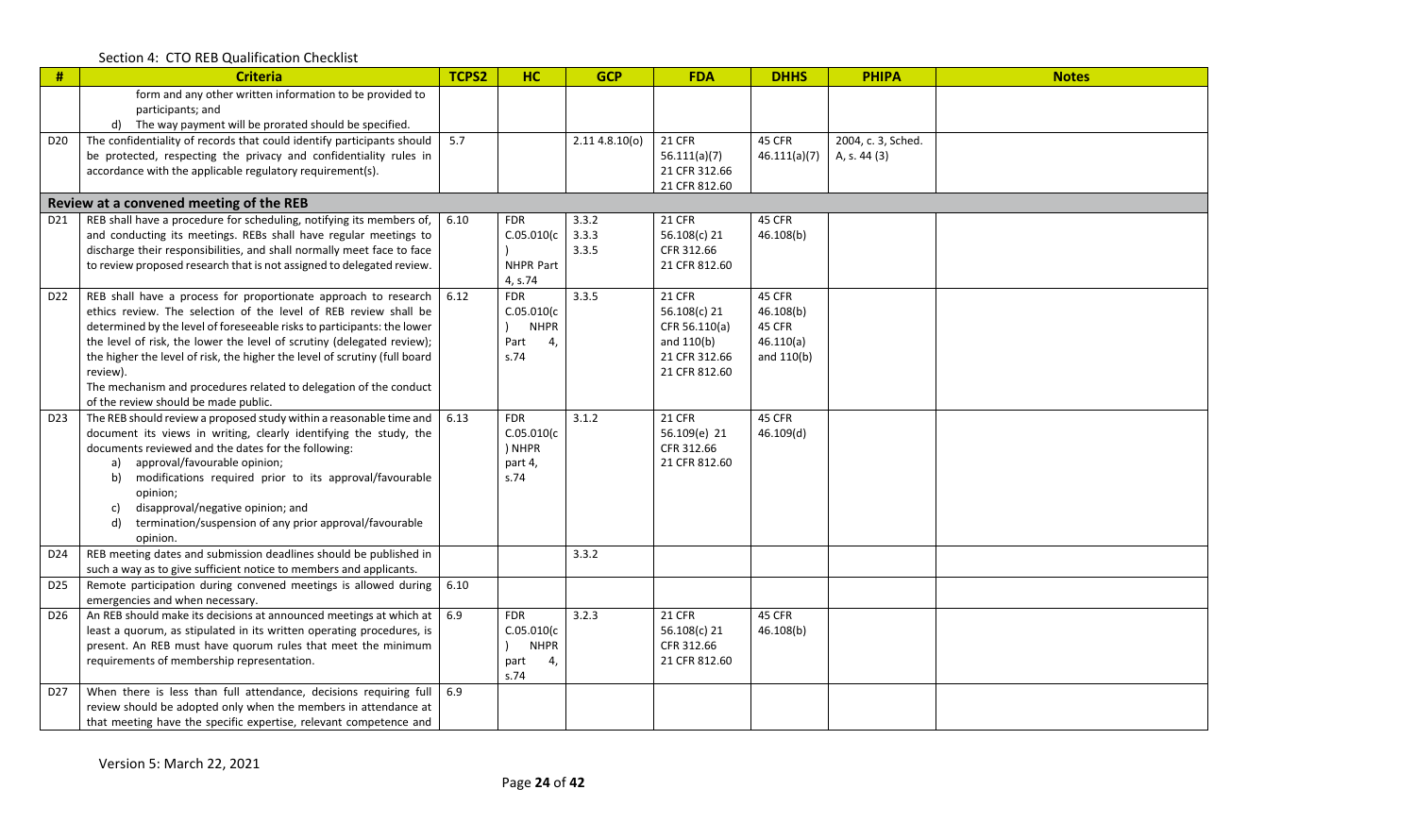| $\#$            | <b>Criteria</b>                                                                                                                       | <b>TCPS2</b> | HC                         | <b>GCP</b>    | <b>FDA</b>                 | <b>DHHS</b>  | <b>PHIPA</b>       | <b>Notes</b> |
|-----------------|---------------------------------------------------------------------------------------------------------------------------------------|--------------|----------------------------|---------------|----------------------------|--------------|--------------------|--------------|
|                 | form and any other written information to be provided to<br>participants; and                                                         |              |                            |               |                            |              |                    |              |
|                 | d) The way payment will be prorated should be specified.                                                                              |              |                            |               |                            |              |                    |              |
| D <sub>20</sub> | The confidentiality of records that could identify participants should                                                                | 5.7          |                            | 2.114.8.10(0) | <b>21 CFR</b>              | 45 CFR       | 2004, c. 3, Sched. |              |
|                 | be protected, respecting the privacy and confidentiality rules in                                                                     |              |                            |               | 56.111(a)(7)               | 46.111(a)(7) | A, s. 44 (3)       |              |
|                 | accordance with the applicable regulatory requirement(s).                                                                             |              |                            |               | 21 CFR 312.66              |              |                    |              |
|                 |                                                                                                                                       |              |                            |               | 21 CFR 812.60              |              |                    |              |
|                 | Review at a convened meeting of the REB                                                                                               |              |                            |               |                            |              |                    |              |
| D <sub>21</sub> | REB shall have a procedure for scheduling, notifying its members of,                                                                  | 6.10         | <b>FDR</b>                 | 3.3.2         | <b>21 CFR</b>              | 45 CFR       |                    |              |
|                 | and conducting its meetings. REBs shall have regular meetings to                                                                      |              | C.05.010(c)                | 3.3.3         | 56.108(c) 21               | 46.108(b)    |                    |              |
|                 | discharge their responsibilities, and shall normally meet face to face                                                                |              |                            | 3.3.5         | CFR 312.66                 |              |                    |              |
|                 | to review proposed research that is not assigned to delegated review.                                                                 |              | NHPR Part                  |               | 21 CFR 812.60              |              |                    |              |
|                 |                                                                                                                                       |              | 4, s.74                    |               |                            |              |                    |              |
| D <sub>22</sub> | REB shall have a process for proportionate approach to research                                                                       | 6.12         | <b>FDR</b>                 | 3.3.5         | <b>21 CFR</b>              | 45 CFR       |                    |              |
|                 | ethics review. The selection of the level of REB review shall be                                                                      |              | C.05.010(c)                |               | 56.108(c) 21               | 46.108(b)    |                    |              |
|                 | determined by the level of foreseeable risks to participants: the lower                                                               |              | <b>NHPR</b>                |               | CFR 56.110(a)              | 45 CFR       |                    |              |
|                 | the level of risk, the lower the level of scrutiny (delegated review);                                                                |              | Part<br>4,                 |               | and 110(b)                 | 46.110(a)    |                    |              |
|                 | the higher the level of risk, the higher the level of scrutiny (full board                                                            |              | s.74                       |               | 21 CFR 312.66              | and 110(b)   |                    |              |
|                 | review).<br>The mechanism and procedures related to delegation of the conduct                                                         |              |                            |               | 21 CFR 812.60              |              |                    |              |
|                 | of the review should be made public.                                                                                                  |              |                            |               |                            |              |                    |              |
| D <sub>23</sub> | The REB should review a proposed study within a reasonable time and                                                                   | 6.13         | <b>FDR</b>                 | 3.1.2         | <b>21 CFR</b>              | 45 CFR       |                    |              |
|                 | document its views in writing, clearly identifying the study, the                                                                     |              | C.05.010(c)                |               | 56.109(e) 21               | 46.109(d)    |                    |              |
|                 | documents reviewed and the dates for the following:                                                                                   |              | ) NHPR                     |               | CFR 312.66                 |              |                    |              |
|                 | approval/favourable opinion;<br>a)                                                                                                    |              | part 4,                    |               | 21 CFR 812.60              |              |                    |              |
|                 | modifications required prior to its approval/favourable<br>b)                                                                         |              | s.74                       |               |                            |              |                    |              |
|                 | opinion;                                                                                                                              |              |                            |               |                            |              |                    |              |
|                 | disapproval/negative opinion; and<br>c)                                                                                               |              |                            |               |                            |              |                    |              |
|                 | termination/suspension of any prior approval/favourable<br>d)                                                                         |              |                            |               |                            |              |                    |              |
|                 | opinion.                                                                                                                              |              |                            |               |                            |              |                    |              |
| D24             | REB meeting dates and submission deadlines should be published in                                                                     |              |                            | 3.3.2         |                            |              |                    |              |
|                 | such a way as to give sufficient notice to members and applicants.                                                                    |              |                            |               |                            |              |                    |              |
| D <sub>25</sub> | Remote participation during convened meetings is allowed during                                                                       | 6.10         |                            |               |                            |              |                    |              |
|                 | emergencies and when necessary.                                                                                                       |              |                            |               |                            |              |                    |              |
| D <sub>26</sub> | An REB should make its decisions at announced meetings at which at                                                                    | 6.9          | <b>FDR</b>                 | 3.2.3         | <b>21 CFR</b>              | 45 CFR       |                    |              |
|                 | least a quorum, as stipulated in its written operating procedures, is<br>present. An REB must have quorum rules that meet the minimum |              | C.05.010(c)<br><b>NHPR</b> |               | 56.108(c) 21<br>CFR 312.66 | 46.108(b)    |                    |              |
|                 | requirements of membership representation.                                                                                            |              | 4,                         |               | 21 CFR 812.60              |              |                    |              |
|                 |                                                                                                                                       |              | part<br>s.74               |               |                            |              |                    |              |
| D <sub>27</sub> | When there is less than full attendance, decisions requiring full                                                                     | 6.9          |                            |               |                            |              |                    |              |
|                 | review should be adopted only when the members in attendance at                                                                       |              |                            |               |                            |              |                    |              |
|                 | that meeting have the specific expertise, relevant competence and                                                                     |              |                            |               |                            |              |                    |              |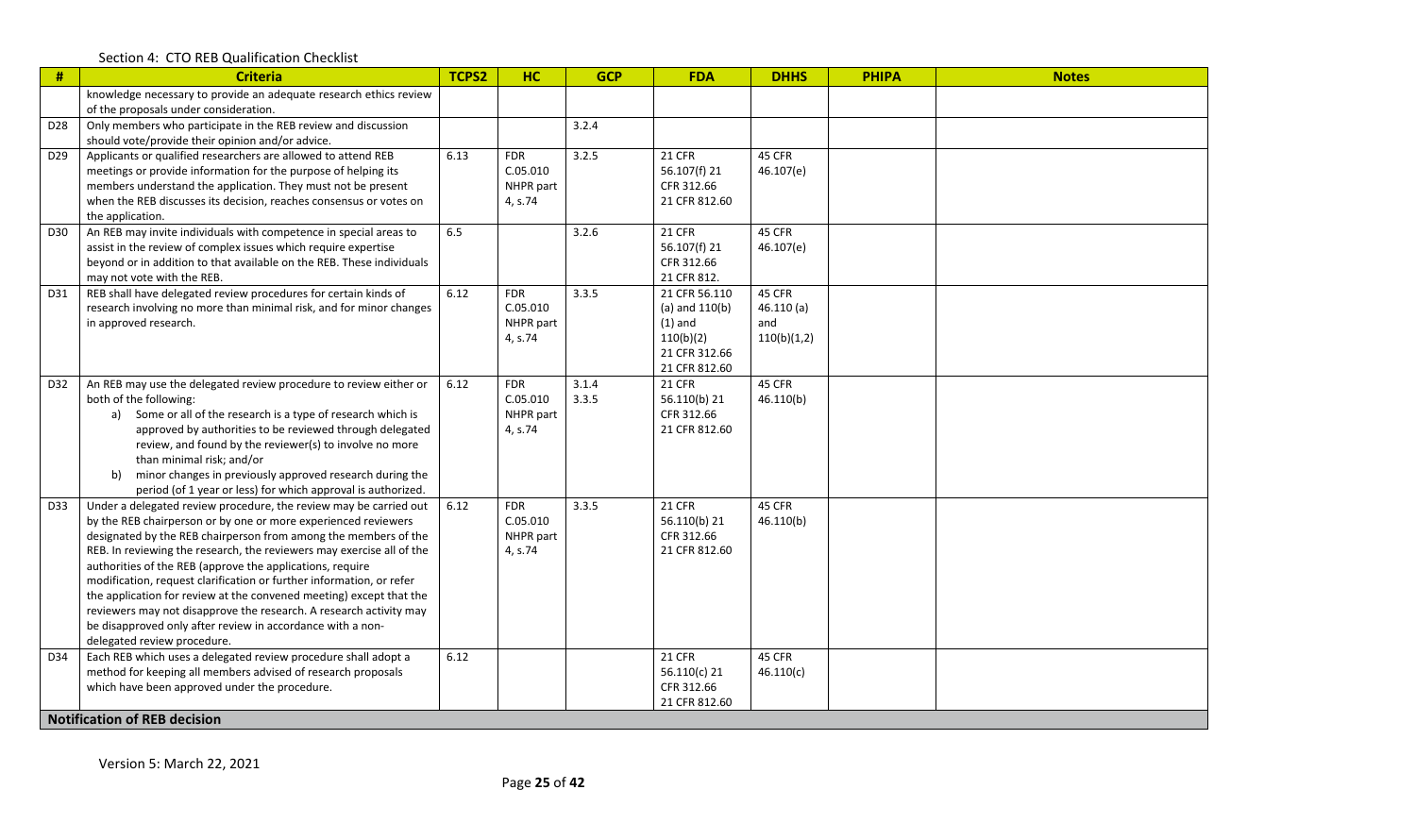| $\#$            | <b>Criteria</b>                                                                             | TCPS2 | <b>HC</b>  | <b>GCP</b> | <b>FDA</b>                     | <b>DHHS</b> | <b>PHIPA</b> | <b>Notes</b> |
|-----------------|---------------------------------------------------------------------------------------------|-------|------------|------------|--------------------------------|-------------|--------------|--------------|
|                 | knowledge necessary to provide an adequate research ethics review                           |       |            |            |                                |             |              |              |
|                 | of the proposals under consideration.                                                       |       |            |            |                                |             |              |              |
| D <sub>28</sub> | Only members who participate in the REB review and discussion                               |       |            | 3.2.4      |                                |             |              |              |
|                 | should vote/provide their opinion and/or advice.                                            |       |            |            |                                |             |              |              |
| D <sub>29</sub> | Applicants or qualified researchers are allowed to attend REB                               | 6.13  | <b>FDR</b> | 3.2.5      | <b>21 CFR</b>                  | 45 CFR      |              |              |
|                 | meetings or provide information for the purpose of helping its                              |       | C.05.010   |            | 56.107(f) 21                   | 46.107(e)   |              |              |
|                 | members understand the application. They must not be present                                |       | NHPR part  |            | CFR 312.66                     |             |              |              |
|                 | when the REB discusses its decision, reaches consensus or votes on                          |       | 4, s.74    |            | 21 CFR 812.60                  |             |              |              |
|                 | the application.                                                                            |       |            |            |                                |             |              |              |
| D30             | An REB may invite individuals with competence in special areas to                           | 6.5   |            | 3.2.6      | <b>21 CFR</b>                  | 45 CFR      |              |              |
|                 | assist in the review of complex issues which require expertise                              |       |            |            | 56.107(f) 21                   | 46.107(e)   |              |              |
|                 | beyond or in addition to that available on the REB. These individuals                       |       |            |            | CFR 312.66                     |             |              |              |
|                 | may not vote with the REB.                                                                  |       |            |            | 21 CFR 812.                    |             |              |              |
| D31             | REB shall have delegated review procedures for certain kinds of                             | 6.12  | <b>FDR</b> | 3.3.5      | 21 CFR 56.110                  | 45 CFR      |              |              |
|                 | research involving no more than minimal risk, and for minor changes                         |       | C.05.010   |            | (a) and $110(b)$               | 46.110(a)   |              |              |
|                 | in approved research.                                                                       |       | NHPR part  |            | $(1)$ and                      | and         |              |              |
|                 |                                                                                             |       | 4, s.74    |            | 110(b)(2)                      | 110(b)(1,2) |              |              |
|                 |                                                                                             |       |            |            | 21 CFR 312.66                  |             |              |              |
|                 |                                                                                             |       | <b>FDR</b> | 3.1.4      | 21 CFR 812.60<br><b>21 CFR</b> | 45 CFR      |              |              |
| D32             | An REB may use the delegated review procedure to review either or<br>both of the following: | 6.12  | C.05.010   | 3.3.5      | 56.110(b) 21                   | 46.110(b)   |              |              |
|                 | a) Some or all of the research is a type of research which is                               |       | NHPR part  |            | CFR 312.66                     |             |              |              |
|                 | approved by authorities to be reviewed through delegated                                    |       | 4, s.74    |            | 21 CFR 812.60                  |             |              |              |
|                 | review, and found by the reviewer(s) to involve no more                                     |       |            |            |                                |             |              |              |
|                 | than minimal risk; and/or                                                                   |       |            |            |                                |             |              |              |
|                 | minor changes in previously approved research during the<br>b)                              |       |            |            |                                |             |              |              |
|                 | period (of 1 year or less) for which approval is authorized.                                |       |            |            |                                |             |              |              |
| D33             | Under a delegated review procedure, the review may be carried out                           | 6.12  | <b>FDR</b> | 3.3.5      | <b>21 CFR</b>                  | 45 CFR      |              |              |
|                 | by the REB chairperson or by one or more experienced reviewers                              |       | C.05.010   |            | 56.110(b) 21                   | 46.110(b)   |              |              |
|                 | designated by the REB chairperson from among the members of the                             |       | NHPR part  |            | CFR 312.66                     |             |              |              |
|                 | REB. In reviewing the research, the reviewers may exercise all of the                       |       | 4, s.74    |            | 21 CFR 812.60                  |             |              |              |
|                 | authorities of the REB (approve the applications, require                                   |       |            |            |                                |             |              |              |
|                 | modification, request clarification or further information, or refer                        |       |            |            |                                |             |              |              |
|                 | the application for review at the convened meeting) except that the                         |       |            |            |                                |             |              |              |
|                 | reviewers may not disapprove the research. A research activity may                          |       |            |            |                                |             |              |              |
|                 | be disapproved only after review in accordance with a non-                                  |       |            |            |                                |             |              |              |
|                 | delegated review procedure.                                                                 |       |            |            |                                |             |              |              |
| D34             | Each REB which uses a delegated review procedure shall adopt a                              | 6.12  |            |            | <b>21 CFR</b>                  | 45 CFR      |              |              |
|                 | method for keeping all members advised of research proposals                                |       |            |            | 56.110(c) 21                   | 46.110(c)   |              |              |
|                 | which have been approved under the procedure.                                               |       |            |            | CFR 312.66                     |             |              |              |
|                 |                                                                                             |       |            |            | 21 CFR 812.60                  |             |              |              |
|                 | <b>Notification of REB decision</b>                                                         |       |            |            |                                |             |              |              |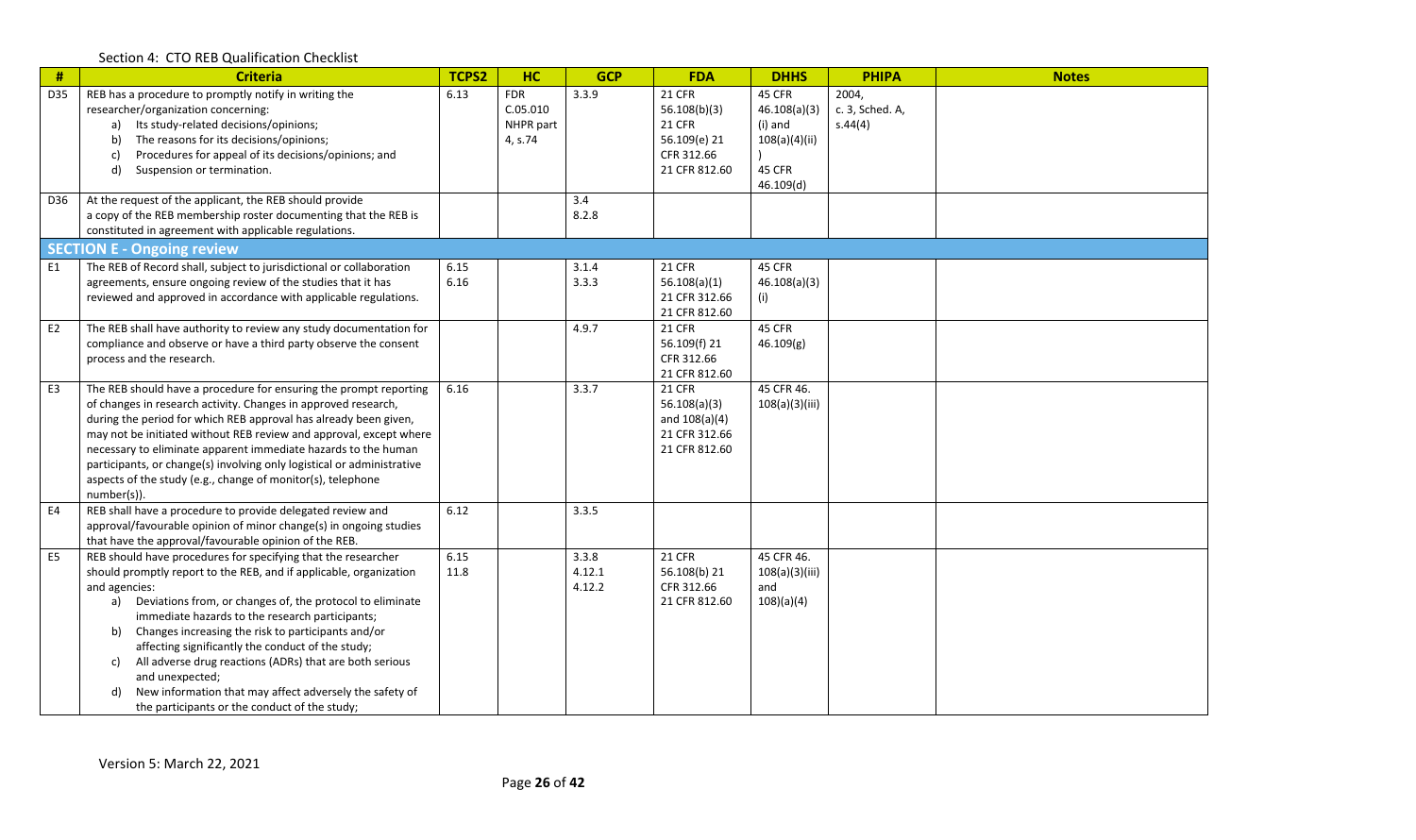| $\#$           | <b>Criteria</b>                                                                                                                    | TCPS2 | <b>HC</b>  | <b>GCP</b> | <b>FDA</b>                      | <b>DHHS</b>    | <b>PHIPA</b>    | <b>Notes</b> |
|----------------|------------------------------------------------------------------------------------------------------------------------------------|-------|------------|------------|---------------------------------|----------------|-----------------|--------------|
| D35            | REB has a procedure to promptly notify in writing the                                                                              | 6.13  | <b>FDR</b> | 3.3.9      | 21 CFR                          | 45 CFR         | 2004,           |              |
|                | researcher/organization concerning:                                                                                                |       | C.05.010   |            | 56.108(b)(3)                    | 46.108(a)(3)   | c. 3, Sched. A, |              |
|                | Its study-related decisions/opinions;<br>a)                                                                                        |       | NHPR part  |            | 21 CFR                          | (i) and        | s.44(4)         |              |
|                | The reasons for its decisions/opinions;<br>b)                                                                                      |       | 4, s.74    |            | 56.109(e) 21                    | 108(a)(4)(ii)  |                 |              |
|                | Procedures for appeal of its decisions/opinions; and<br>c)                                                                         |       |            |            | CFR 312.66                      |                |                 |              |
|                | d)<br>Suspension or termination.                                                                                                   |       |            |            | 21 CFR 812.60                   | 45 CFR         |                 |              |
|                |                                                                                                                                    |       |            |            |                                 | 46.109(d)      |                 |              |
| D36            | At the request of the applicant, the REB should provide                                                                            |       |            | 3.4        |                                 |                |                 |              |
|                | a copy of the REB membership roster documenting that the REB is                                                                    |       |            | 8.2.8      |                                 |                |                 |              |
|                | constituted in agreement with applicable regulations.                                                                              |       |            |            |                                 |                |                 |              |
|                | <b>SECTION E - Ongoing review</b>                                                                                                  |       |            |            |                                 |                |                 |              |
| E1             | The REB of Record shall, subject to jurisdictional or collaboration                                                                | 6.15  |            | 3.1.4      | <b>21 CFR</b>                   | 45 CFR         |                 |              |
|                | agreements, ensure ongoing review of the studies that it has                                                                       | 6.16  |            | 3.3.3      | 56.108(a)(1)                    | 46.108(a)(3)   |                 |              |
|                | reviewed and approved in accordance with applicable regulations.                                                                   |       |            |            | 21 CFR 312.66                   | (i)            |                 |              |
|                |                                                                                                                                    |       |            |            | 21 CFR 812.60                   |                |                 |              |
| E <sub>2</sub> | The REB shall have authority to review any study documentation for                                                                 |       |            | 4.9.7      | <b>21 CFR</b>                   | 45 CFR         |                 |              |
|                | compliance and observe or have a third party observe the consent                                                                   |       |            |            | 56.109(f) 21                    | 46.109(g)      |                 |              |
|                | process and the research.                                                                                                          |       |            |            | CFR 312.66                      |                |                 |              |
|                |                                                                                                                                    |       |            |            | 21 CFR 812.60                   | 45 CFR 46.     |                 |              |
| E3             | The REB should have a procedure for ensuring the prompt reporting                                                                  | 6.16  |            | 3.3.7      | <b>21 CFR</b>                   |                |                 |              |
|                | of changes in research activity. Changes in approved research,<br>during the period for which REB approval has already been given, |       |            |            | 56.108(a)(3)<br>and $108(a)(4)$ | 108(a)(3)(iii) |                 |              |
|                | may not be initiated without REB review and approval, except where                                                                 |       |            |            | 21 CFR 312.66                   |                |                 |              |
|                | necessary to eliminate apparent immediate hazards to the human                                                                     |       |            |            | 21 CFR 812.60                   |                |                 |              |
|                | participants, or change(s) involving only logistical or administrative                                                             |       |            |            |                                 |                |                 |              |
|                | aspects of the study (e.g., change of monitor(s), telephone                                                                        |       |            |            |                                 |                |                 |              |
|                | number(s)).                                                                                                                        |       |            |            |                                 |                |                 |              |
| E4             | REB shall have a procedure to provide delegated review and                                                                         | 6.12  |            | 3.3.5      |                                 |                |                 |              |
|                | approval/favourable opinion of minor change(s) in ongoing studies                                                                  |       |            |            |                                 |                |                 |              |
|                | that have the approval/favourable opinion of the REB.                                                                              |       |            |            |                                 |                |                 |              |
| E <sub>5</sub> | REB should have procedures for specifying that the researcher                                                                      | 6.15  |            | 3.3.8      | 21 CFR                          | 45 CFR 46.     |                 |              |
|                | should promptly report to the REB, and if applicable, organization                                                                 | 11.8  |            | 4.12.1     | 56.108(b) 21                    | 108(a)(3)(iii) |                 |              |
|                | and agencies:                                                                                                                      |       |            | 4.12.2     | CFR 312.66                      | and            |                 |              |
|                | Deviations from, or changes of, the protocol to eliminate<br>a)                                                                    |       |            |            | 21 CFR 812.60                   | 108)(a)(4)     |                 |              |
|                | immediate hazards to the research participants;                                                                                    |       |            |            |                                 |                |                 |              |
|                | Changes increasing the risk to participants and/or<br>b)                                                                           |       |            |            |                                 |                |                 |              |
|                | affecting significantly the conduct of the study;                                                                                  |       |            |            |                                 |                |                 |              |
|                | All adverse drug reactions (ADRs) that are both serious<br>c)                                                                      |       |            |            |                                 |                |                 |              |
|                | and unexpected;                                                                                                                    |       |            |            |                                 |                |                 |              |
|                | New information that may affect adversely the safety of<br>d)                                                                      |       |            |            |                                 |                |                 |              |
|                | the participants or the conduct of the study;                                                                                      |       |            |            |                                 |                |                 |              |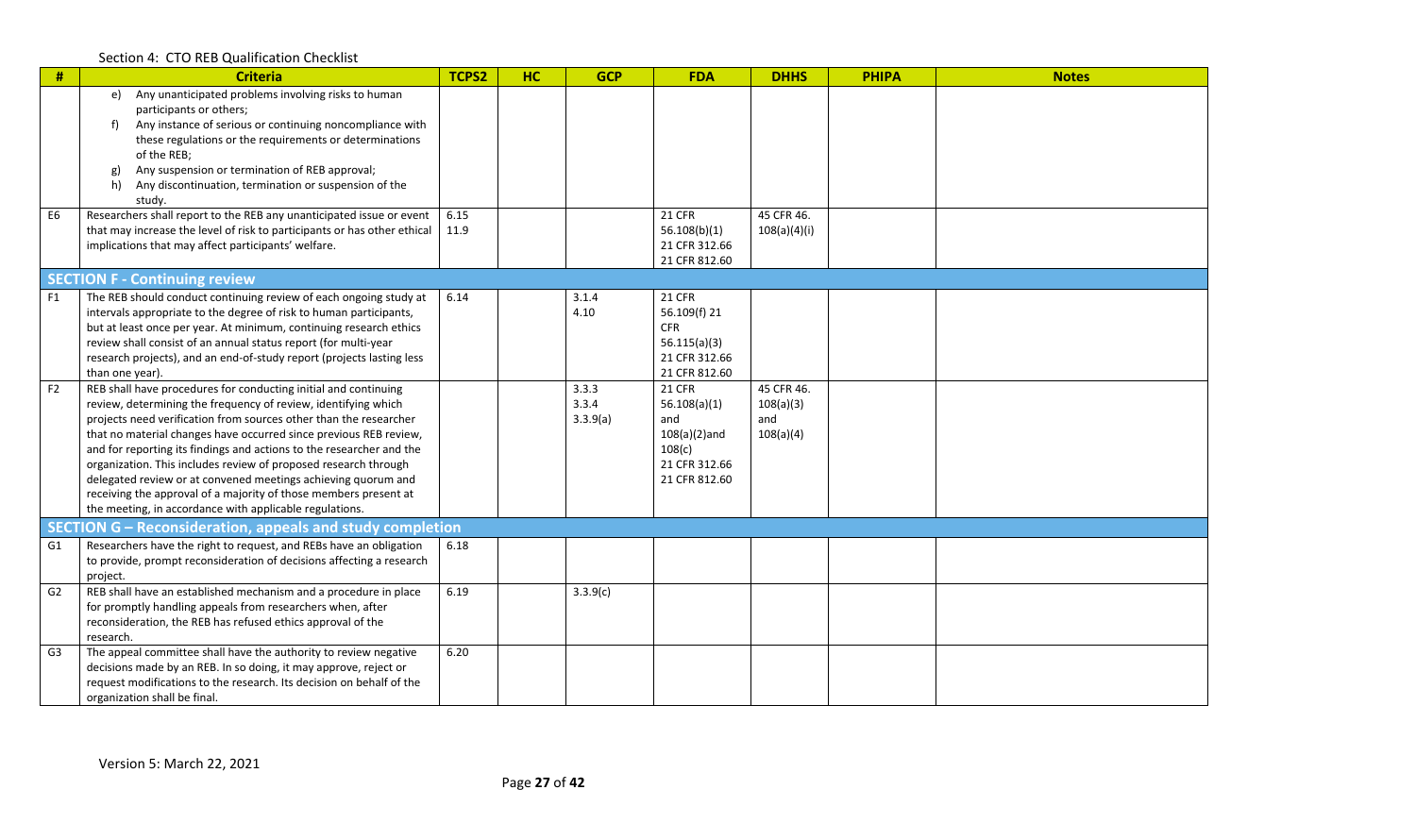| #              | <b>Criteria</b>                                                                                                                           | TCPS2 | <b>HC</b> | <b>GCP</b> | <b>FDA</b>              | <b>DHHS</b>  | <b>PHIPA</b> | <b>Notes</b> |
|----------------|-------------------------------------------------------------------------------------------------------------------------------------------|-------|-----------|------------|-------------------------|--------------|--------------|--------------|
|                | Any unanticipated problems involving risks to human<br>e)<br>participants or others;                                                      |       |           |            |                         |              |              |              |
|                | Any instance of serious or continuing noncompliance with<br>f)                                                                            |       |           |            |                         |              |              |              |
|                | these regulations or the requirements or determinations                                                                                   |       |           |            |                         |              |              |              |
|                | of the REB;                                                                                                                               |       |           |            |                         |              |              |              |
|                | Any suspension or termination of REB approval;<br><b>g)</b>                                                                               |       |           |            |                         |              |              |              |
|                | Any discontinuation, termination or suspension of the<br>h)                                                                               |       |           |            |                         |              |              |              |
|                | study.                                                                                                                                    |       |           |            |                         |              |              |              |
| E <sub>6</sub> | Researchers shall report to the REB any unanticipated issue or event                                                                      | 6.15  |           |            | <b>21 CFR</b>           | 45 CFR 46.   |              |              |
|                | that may increase the level of risk to participants or has other ethical                                                                  | 11.9  |           |            | 56.108(b)(1)            | 108(a)(4)(i) |              |              |
|                | implications that may affect participants' welfare.                                                                                       |       |           |            | 21 CFR 312.66           |              |              |              |
|                |                                                                                                                                           |       |           |            | 21 CFR 812.60           |              |              |              |
|                | <b>SECTION F - Continuing review</b>                                                                                                      |       |           |            |                         |              |              |              |
| F1             | The REB should conduct continuing review of each ongoing study at                                                                         | 6.14  |           | 3.1.4      | <b>21 CFR</b>           |              |              |              |
|                | intervals appropriate to the degree of risk to human participants,                                                                        |       |           | 4.10       | 56.109(f) 21            |              |              |              |
|                | but at least once per year. At minimum, continuing research ethics                                                                        |       |           |            | <b>CFR</b>              |              |              |              |
|                | review shall consist of an annual status report (for multi-year                                                                           |       |           |            | 56.115(a)(3)            |              |              |              |
|                | research projects), and an end-of-study report (projects lasting less                                                                     |       |           |            | 21 CFR 312.66           |              |              |              |
|                | than one year).                                                                                                                           |       |           |            | 21 CFR 812.60           |              |              |              |
| F2             | REB shall have procedures for conducting initial and continuing                                                                           |       |           | 3.3.3      | <b>21 CFR</b>           | 45 CFR 46.   |              |              |
|                | review, determining the frequency of review, identifying which                                                                            |       |           | 3.3.4      | 56.108(a)(1)            | 108(a)(3)    |              |              |
|                | projects need verification from sources other than the researcher                                                                         |       |           | 3.3.9(a)   | and                     | and          |              |              |
|                | that no material changes have occurred since previous REB review,<br>and for reporting its findings and actions to the researcher and the |       |           |            | $108(a)(2)$ and         | 108(a)(4)    |              |              |
|                | organization. This includes review of proposed research through                                                                           |       |           |            | 108(c)<br>21 CFR 312.66 |              |              |              |
|                | delegated review or at convened meetings achieving quorum and                                                                             |       |           |            | 21 CFR 812.60           |              |              |              |
|                | receiving the approval of a majority of those members present at                                                                          |       |           |            |                         |              |              |              |
|                | the meeting, in accordance with applicable regulations.                                                                                   |       |           |            |                         |              |              |              |
|                | SECTION G - Reconsideration, appeals and study completion                                                                                 |       |           |            |                         |              |              |              |
| G1             | Researchers have the right to request, and REBs have an obligation                                                                        | 6.18  |           |            |                         |              |              |              |
|                | to provide, prompt reconsideration of decisions affecting a research                                                                      |       |           |            |                         |              |              |              |
|                | project.                                                                                                                                  |       |           |            |                         |              |              |              |
| G <sub>2</sub> | REB shall have an established mechanism and a procedure in place                                                                          | 6.19  |           | 3.3.9(c)   |                         |              |              |              |
|                | for promptly handling appeals from researchers when, after                                                                                |       |           |            |                         |              |              |              |
|                | reconsideration, the REB has refused ethics approval of the                                                                               |       |           |            |                         |              |              |              |
|                | research.                                                                                                                                 |       |           |            |                         |              |              |              |
| G <sub>3</sub> | The appeal committee shall have the authority to review negative                                                                          | 6.20  |           |            |                         |              |              |              |
|                | decisions made by an REB. In so doing, it may approve, reject or                                                                          |       |           |            |                         |              |              |              |
|                | request modifications to the research. Its decision on behalf of the                                                                      |       |           |            |                         |              |              |              |
|                | organization shall be final.                                                                                                              |       |           |            |                         |              |              |              |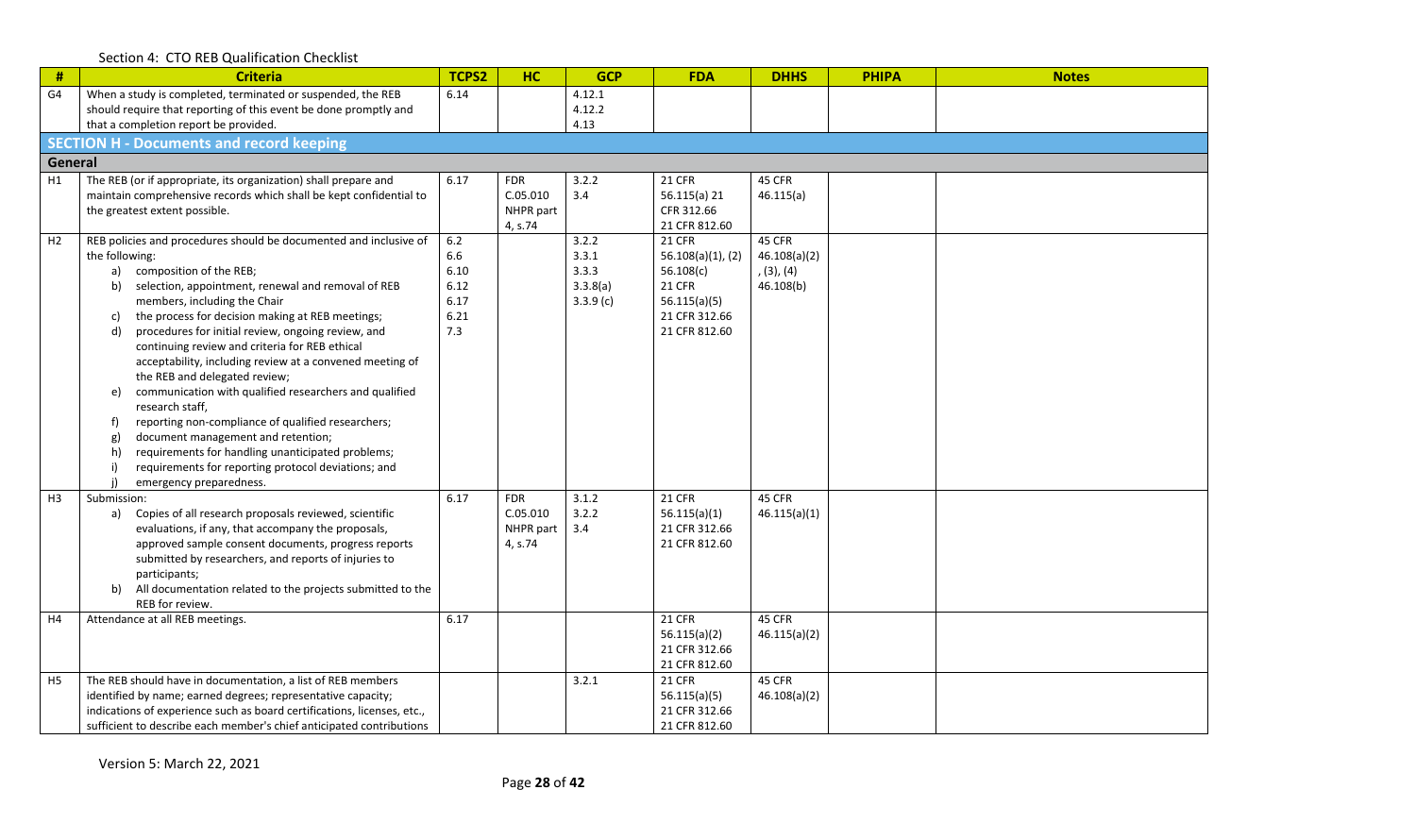|  |  | Section 4: CTO REB Qualification Checklist |  |
|--|--|--------------------------------------------|--|
|--|--|--------------------------------------------|--|

| #              | <b>Criteria</b>                                                                                                | TCPS2        | <b>HC</b>  | <b>GCP</b>     | <b>FDA</b>                            | <b>DHHS</b>            | <b>PHIPA</b> | <b>Notes</b> |  |
|----------------|----------------------------------------------------------------------------------------------------------------|--------------|------------|----------------|---------------------------------------|------------------------|--------------|--------------|--|
| G4             | When a study is completed, terminated or suspended, the REB                                                    | 6.14         |            | 4.12.1         |                                       |                        |              |              |  |
|                | should require that reporting of this event be done promptly and<br>that a completion report be provided.      |              |            | 4.12.2<br>4.13 |                                       |                        |              |              |  |
|                | <b>SECTION H - Documents and record keeping</b>                                                                |              |            |                |                                       |                        |              |              |  |
|                | General                                                                                                        |              |            |                |                                       |                        |              |              |  |
| H1             | The REB (or if appropriate, its organization) shall prepare and                                                | 6.17         | <b>FDR</b> | 3.2.2          | <b>21 CFR</b>                         | 45 CFR                 |              |              |  |
|                | maintain comprehensive records which shall be kept confidential to                                             |              | C.05.010   | 3.4            | 56.115(a) 21                          | 46.115(a)              |              |              |  |
|                | the greatest extent possible.                                                                                  |              | NHPR part  |                | CFR 312.66                            |                        |              |              |  |
|                |                                                                                                                |              | 4, s.74    |                | 21 CFR 812.60                         |                        |              |              |  |
| H <sub>2</sub> | REB policies and procedures should be documented and inclusive of<br>the following:                            | $6.2$<br>6.6 |            | 3.2.2<br>3.3.1 | <b>21 CFR</b><br>$56.108(a)(1)$ , (2) | 45 CFR<br>46.108(a)(2) |              |              |  |
|                | composition of the REB;<br>a)                                                                                  | 6.10         |            | 3.3.3          | 56.108(c)                             | (3), (4)               |              |              |  |
|                | selection, appointment, renewal and removal of REB<br>b)                                                       | 6.12         |            | 3.3.8(a)       | <b>21 CFR</b>                         | 46.108(b)              |              |              |  |
|                | members, including the Chair                                                                                   | 6.17         |            | 3.3.9(c)       | 56.115(a)(5)                          |                        |              |              |  |
|                | the process for decision making at REB meetings;<br>C)                                                         | 6.21         |            |                | 21 CFR 312.66                         |                        |              |              |  |
|                | procedures for initial review, ongoing review, and<br>d)                                                       | 7.3          |            |                | 21 CFR 812.60                         |                        |              |              |  |
|                | continuing review and criteria for REB ethical<br>acceptability, including review at a convened meeting of     |              |            |                |                                       |                        |              |              |  |
|                | the REB and delegated review;                                                                                  |              |            |                |                                       |                        |              |              |  |
|                | communication with qualified researchers and qualified<br>e)                                                   |              |            |                |                                       |                        |              |              |  |
|                | research staff,                                                                                                |              |            |                |                                       |                        |              |              |  |
|                | reporting non-compliance of qualified researchers;                                                             |              |            |                |                                       |                        |              |              |  |
|                | document management and retention;<br>g)                                                                       |              |            |                |                                       |                        |              |              |  |
|                | requirements for handling unanticipated problems;<br>h)<br>requirements for reporting protocol deviations; and |              |            |                |                                       |                        |              |              |  |
|                | emergency preparedness.                                                                                        |              |            |                |                                       |                        |              |              |  |
| H <sub>3</sub> | Submission:                                                                                                    | 6.17         | <b>FDR</b> | 3.1.2          | <b>21 CFR</b>                         | 45 CFR                 |              |              |  |
|                | Copies of all research proposals reviewed, scientific<br>a)                                                    |              | C.05.010   | 3.2.2          | 56.115(a)(1)                          | 46.115(a)(1)           |              |              |  |
|                | evaluations, if any, that accompany the proposals,                                                             |              | NHPR part  | 3.4            | 21 CFR 312.66                         |                        |              |              |  |
|                | approved sample consent documents, progress reports<br>submitted by researchers, and reports of injuries to    |              | 4, s.74    |                | 21 CFR 812.60                         |                        |              |              |  |
|                | participants;                                                                                                  |              |            |                |                                       |                        |              |              |  |
|                | All documentation related to the projects submitted to the<br>b)                                               |              |            |                |                                       |                        |              |              |  |
|                | REB for review.                                                                                                |              |            |                |                                       |                        |              |              |  |
| H4             | Attendance at all REB meetings.                                                                                | 6.17         |            |                | <b>21 CFR</b>                         | 45 CFR                 |              |              |  |
|                |                                                                                                                |              |            |                | 56.115(a)(2)                          | 46.115(a)(2)           |              |              |  |
|                |                                                                                                                |              |            |                | 21 CFR 312.66<br>21 CFR 812.60        |                        |              |              |  |
| H <sub>5</sub> | The REB should have in documentation, a list of REB members                                                    |              |            | 3.2.1          | <b>21 CFR</b>                         | 45 CFR                 |              |              |  |
|                | identified by name; earned degrees; representative capacity;                                                   |              |            |                | 56.115(a)(5)                          | 46.108(a)(2)           |              |              |  |
|                | indications of experience such as board certifications, licenses, etc.,                                        |              |            |                | 21 CFR 312.66                         |                        |              |              |  |
|                | sufficient to describe each member's chief anticipated contributions                                           |              |            |                | 21 CFR 812.60                         |                        |              |              |  |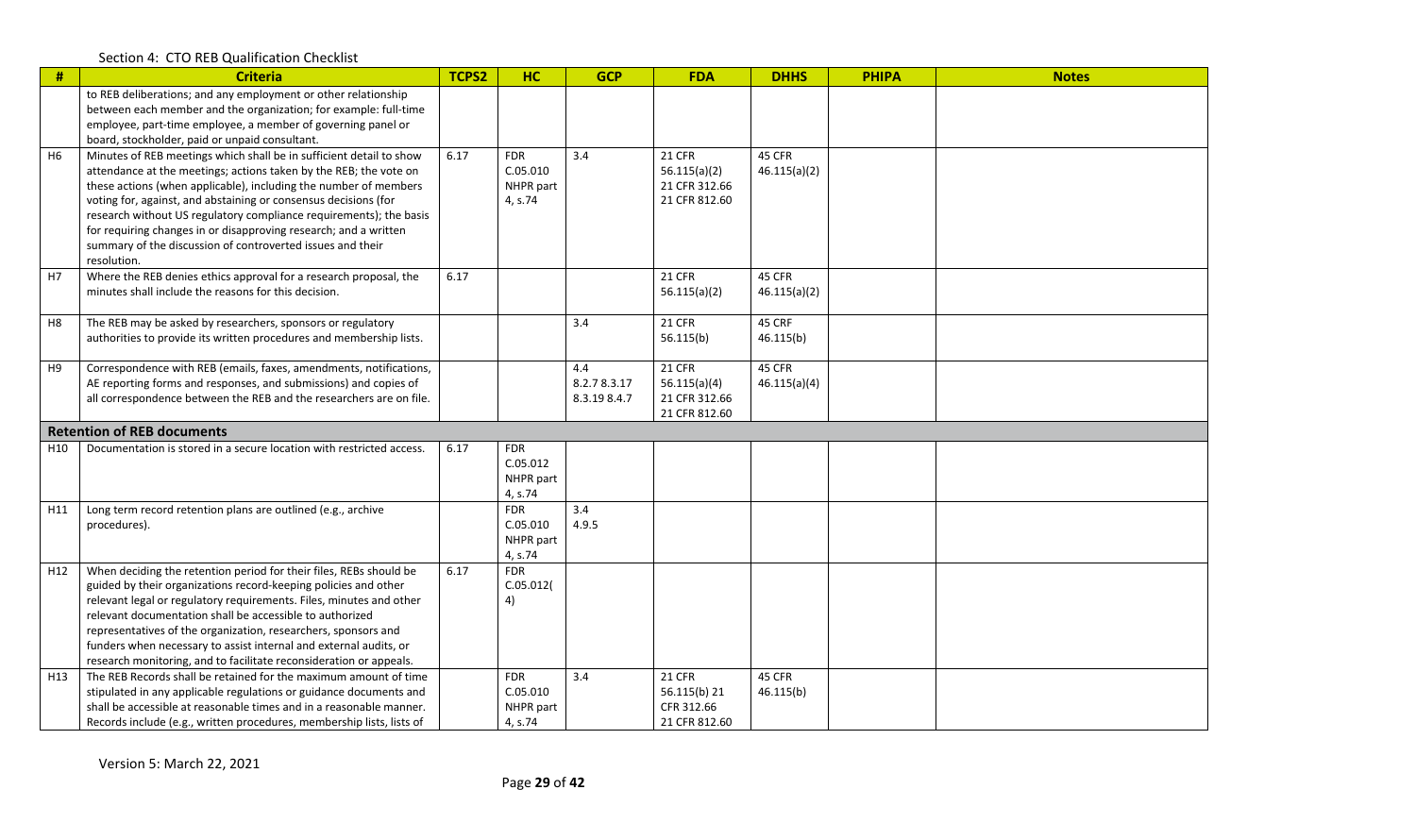| $\#$            | <b>Criteria</b>                                                                                                                                                                                                                                                                                                                                                                                                                                                                                        | TCPS2 | <b>HC</b>                                      | <b>GCP</b>                         | <b>FDA</b>                                                      | <b>DHHS</b>            | <b>PHIPA</b> | <b>Notes</b> |
|-----------------|--------------------------------------------------------------------------------------------------------------------------------------------------------------------------------------------------------------------------------------------------------------------------------------------------------------------------------------------------------------------------------------------------------------------------------------------------------------------------------------------------------|-------|------------------------------------------------|------------------------------------|-----------------------------------------------------------------|------------------------|--------------|--------------|
|                 | to REB deliberations; and any employment or other relationship<br>between each member and the organization; for example: full-time<br>employee, part-time employee, a member of governing panel or<br>board, stockholder, paid or unpaid consultant.                                                                                                                                                                                                                                                   |       |                                                |                                    |                                                                 |                        |              |              |
| H <sub>6</sub>  | Minutes of REB meetings which shall be in sufficient detail to show<br>attendance at the meetings; actions taken by the REB; the vote on<br>these actions (when applicable), including the number of members<br>voting for, against, and abstaining or consensus decisions (for<br>research without US regulatory compliance requirements); the basis<br>for requiring changes in or disapproving research; and a written<br>summary of the discussion of controverted issues and their<br>resolution. | 6.17  | <b>FDR</b><br>C.05.010<br>NHPR part<br>4, s.74 | 3.4                                | <b>21 CFR</b><br>56.115(a)(2)<br>21 CFR 312.66<br>21 CFR 812.60 | 45 CFR<br>46.115(a)(2) |              |              |
| H7              | Where the REB denies ethics approval for a research proposal, the<br>minutes shall include the reasons for this decision.                                                                                                                                                                                                                                                                                                                                                                              | 6.17  |                                                |                                    | 21 CFR<br>56.115(a)(2)                                          | 45 CFR<br>46.115(a)(2) |              |              |
| H <sub>8</sub>  | The REB may be asked by researchers, sponsors or regulatory<br>authorities to provide its written procedures and membership lists.                                                                                                                                                                                                                                                                                                                                                                     |       |                                                | 3.4                                | <b>21 CFR</b><br>56.115(b)                                      | 45 CRF<br>46.115(b)    |              |              |
| H9              | Correspondence with REB (emails, faxes, amendments, notifications,<br>AE reporting forms and responses, and submissions) and copies of<br>all correspondence between the REB and the researchers are on file.                                                                                                                                                                                                                                                                                          |       |                                                | 4.4<br>8.2.78.3.17<br>8.3.19 8.4.7 | <b>21 CFR</b><br>56.115(a)(4)<br>21 CFR 312.66<br>21 CFR 812.60 | 45 CFR<br>46.115(a)(4) |              |              |
|                 | <b>Retention of REB documents</b>                                                                                                                                                                                                                                                                                                                                                                                                                                                                      |       |                                                |                                    |                                                                 |                        |              |              |
| H <sub>10</sub> | Documentation is stored in a secure location with restricted access.                                                                                                                                                                                                                                                                                                                                                                                                                                   | 6.17  | <b>FDR</b><br>C.05.012<br>NHPR part<br>4, s.74 |                                    |                                                                 |                        |              |              |
| H11             | Long term record retention plans are outlined (e.g., archive<br>procedures).                                                                                                                                                                                                                                                                                                                                                                                                                           |       | <b>FDR</b><br>C.05.010<br>NHPR part<br>4, s.74 | 3.4<br>4.9.5                       |                                                                 |                        |              |              |
| H <sub>12</sub> | When deciding the retention period for their files, REBs should be<br>guided by their organizations record-keeping policies and other<br>relevant legal or regulatory requirements. Files, minutes and other<br>relevant documentation shall be accessible to authorized<br>representatives of the organization, researchers, sponsors and<br>funders when necessary to assist internal and external audits, or<br>research monitoring, and to facilitate reconsideration or appeals.                  | 6.17  | <b>FDR</b><br>C.05.012(<br>4)                  |                                    |                                                                 |                        |              |              |
| H <sub>13</sub> | The REB Records shall be retained for the maximum amount of time<br>stipulated in any applicable regulations or guidance documents and<br>shall be accessible at reasonable times and in a reasonable manner.<br>Records include (e.g., written procedures, membership lists, lists of                                                                                                                                                                                                                 |       | <b>FDR</b><br>C.05.010<br>NHPR part<br>4, s.74 | 3.4                                | <b>21 CFR</b><br>56.115(b) 21<br>CFR 312.66<br>21 CFR 812.60    | 45 CFR<br>46.115(b)    |              |              |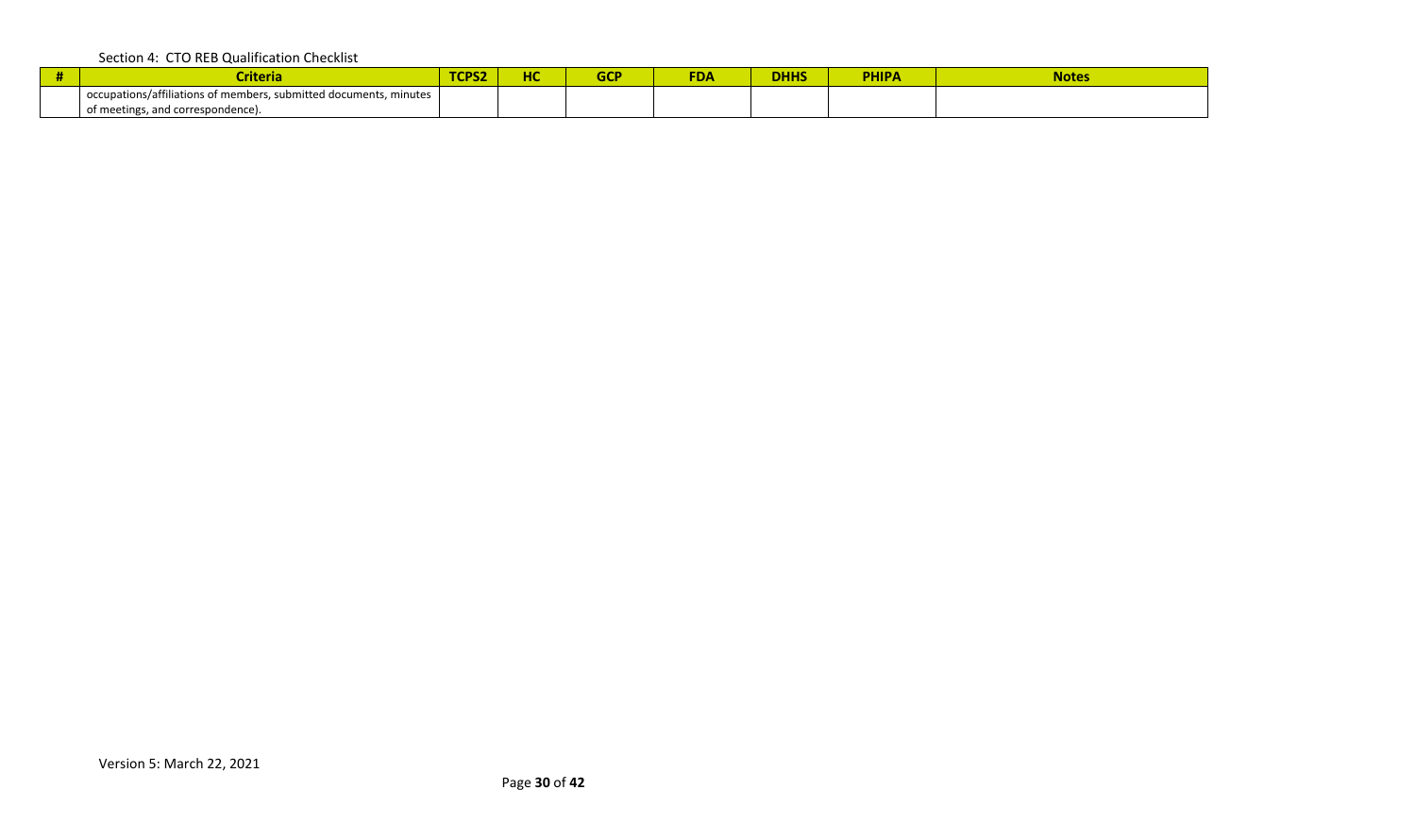| <b>Criteria</b>                                                                                        | TCPS2 | не<br>⊓⊾ | ccn<br>uu | <b>FDA</b> | <b>DHHS</b> | <b>PHIPA</b> | <b>Notes</b> |
|--------------------------------------------------------------------------------------------------------|-------|----------|-----------|------------|-------------|--------------|--------------|
| occupations/affiliations of members, submitted documents, minutes<br>of meetings, and correspondence). |       |          |           |            |             |              |              |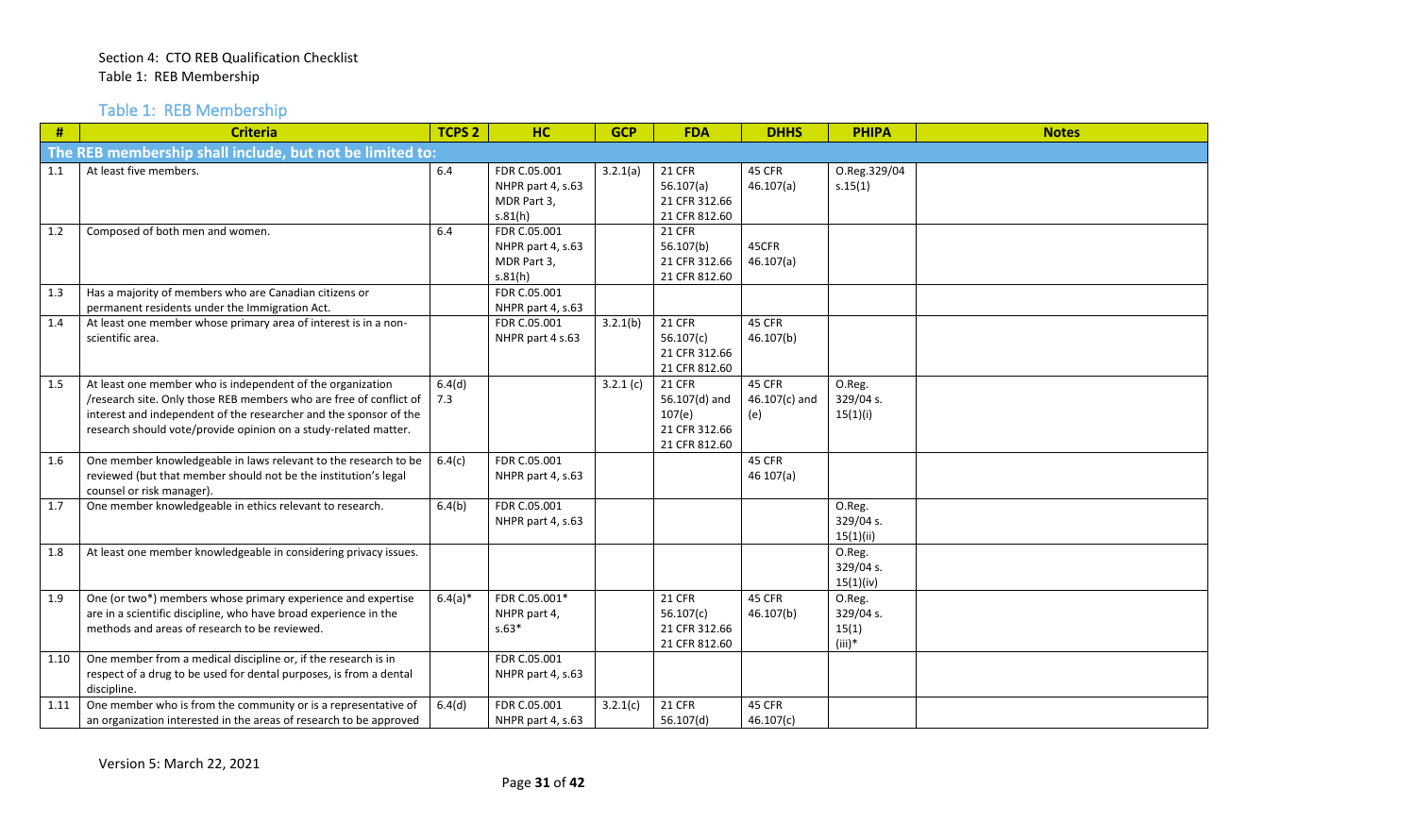Table 1: REB Membership

<span id="page-30-0"></span>

| #    | <b>Criteria</b>                                                                                                                                                                                                                                                          | <b>TCPS 2</b> | <b>HC</b>                                                   | <b>GCP</b> | <b>FDA</b>                                                                 | <b>DHHS</b>                      | <b>PHIPA</b>                             | <b>Notes</b> |
|------|--------------------------------------------------------------------------------------------------------------------------------------------------------------------------------------------------------------------------------------------------------------------------|---------------|-------------------------------------------------------------|------------|----------------------------------------------------------------------------|----------------------------------|------------------------------------------|--------------|
|      | The REB membership shall include, but not be limited to:                                                                                                                                                                                                                 |               |                                                             |            |                                                                            |                                  |                                          |              |
| 1.1  | At least five members.                                                                                                                                                                                                                                                   | 6.4           | FDR C.05.001<br>NHPR part 4, s.63<br>MDR Part 3,<br>s.81(h) | 3.2.1(a)   | <b>21 CFR</b><br>56.107(a)<br>21 CFR 312.66<br>21 CFR 812.60               | 45 CFR<br>46.107(a)              | O.Reg.329/04<br>s.15(1)                  |              |
| 1.2  | Composed of both men and women.                                                                                                                                                                                                                                          | 6.4           | FDR C.05.001<br>NHPR part 4, s.63<br>MDR Part 3,<br>s.81(h) |            | <b>21 CFR</b><br>56.107(b)<br>21 CFR 312.66<br>21 CFR 812.60               | 45CFR<br>46.107(a)               |                                          |              |
| 1.3  | Has a majority of members who are Canadian citizens or<br>permanent residents under the Immigration Act.                                                                                                                                                                 |               | FDR C.05.001<br>NHPR part 4, s.63                           |            |                                                                            |                                  |                                          |              |
| 1.4  | At least one member whose primary area of interest is in a non-<br>scientific area.                                                                                                                                                                                      |               | FDR C.05.001<br>NHPR part 4 s.63                            | 3.2.1(b)   | <b>21 CFR</b><br>56.107(c)<br>21 CFR 312.66<br>21 CFR 812.60               | 45 CFR<br>46.107(b)              |                                          |              |
| 1.5  | At least one member who is independent of the organization<br>/research site. Only those REB members who are free of conflict of<br>interest and independent of the researcher and the sponsor of the<br>research should vote/provide opinion on a study-related matter. | 6.4(d)<br>7.3 |                                                             | 3.2.1(c)   | <b>21 CFR</b><br>56.107(d) and<br>107(e)<br>21 CFR 312.66<br>21 CFR 812.60 | 45 CFR<br>$46.107(c)$ and<br>(e) | O.Reg.<br>329/04 s.<br>15(1)(i)          |              |
| 1.6  | One member knowledgeable in laws relevant to the research to be<br>reviewed (but that member should not be the institution's legal<br>counsel or risk manager).                                                                                                          | 6.4(c)        | FDR C.05.001<br>NHPR part 4, s.63                           |            |                                                                            | 45 CFR<br>46107(a)               |                                          |              |
| 1.7  | One member knowledgeable in ethics relevant to research.                                                                                                                                                                                                                 | 6.4(b)        | FDR C.05.001<br>NHPR part 4, s.63                           |            |                                                                            |                                  | O.Reg.<br>329/04 s.<br>15(1)(ii)         |              |
| 1.8  | At least one member knowledgeable in considering privacy issues.                                                                                                                                                                                                         |               |                                                             |            |                                                                            |                                  | O.Reg.<br>329/04 s.<br>15(1)(iv)         |              |
| 1.9  | One (or two*) members whose primary experience and expertise<br>are in a scientific discipline, who have broad experience in the<br>methods and areas of research to be reviewed.                                                                                        | $6.4(a)*$     | FDR C.05.001*<br>NHPR part 4,<br>$s.63*$                    |            | <b>21 CFR</b><br>56.107(c)<br>21 CFR 312.66<br>21 CFR 812.60               | 45 CFR<br>46.107(b)              | O.Reg.<br>329/04 s.<br>15(1)<br>$(iii)*$ |              |
| 1.10 | One member from a medical discipline or, if the research is in<br>respect of a drug to be used for dental purposes, is from a dental<br>discipline.                                                                                                                      |               | FDR C.05.001<br>NHPR part 4, s.63                           |            |                                                                            |                                  |                                          |              |
| 1.11 | One member who is from the community or is a representative of<br>an organization interested in the areas of research to be approved                                                                                                                                     | 6.4(d)        | FDR C.05.001<br>NHPR part 4, s.63                           | 3.2.1(c)   | <b>21 CFR</b><br>56.107(d)                                                 | 45 CFR<br>46.107(c)              |                                          |              |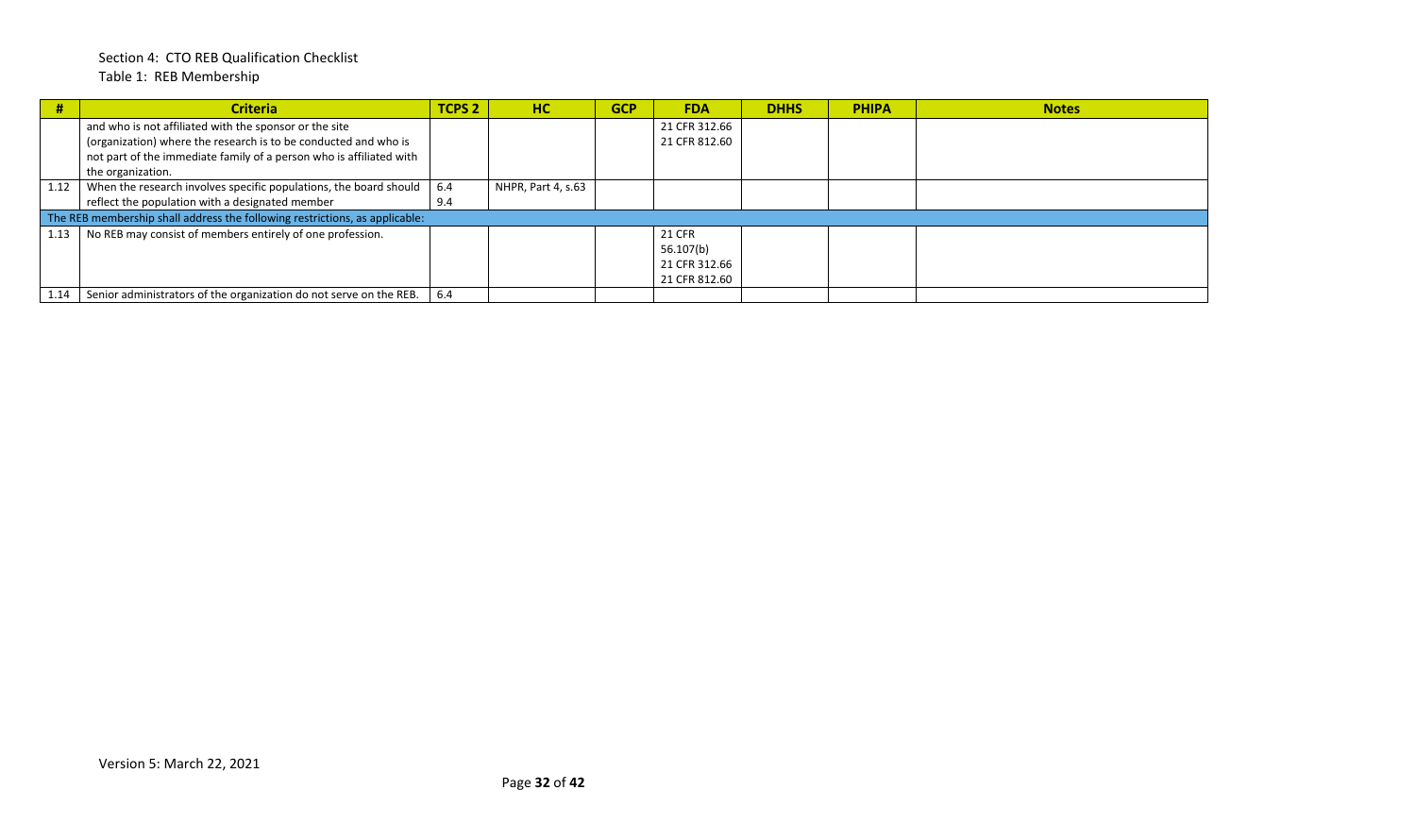#### Section 4: CTO REB Qualification Checklist Table 1: REB Membership

|      | <b>Criteria</b>                                                             | TCPS <sub>2</sub> | <b>HC</b>          | <b>GCP</b> | <b>FDA</b>    | <b>DHHS</b> | <b>PHIPA</b> | <b>Notes</b> |
|------|-----------------------------------------------------------------------------|-------------------|--------------------|------------|---------------|-------------|--------------|--------------|
|      | and who is not affiliated with the sponsor or the site                      |                   |                    |            | 21 CFR 312.66 |             |              |              |
|      | (organization) where the research is to be conducted and who is             |                   |                    |            | 21 CFR 812.60 |             |              |              |
|      | not part of the immediate family of a person who is affiliated with         |                   |                    |            |               |             |              |              |
|      | the organization.                                                           |                   |                    |            |               |             |              |              |
| 1.12 | When the research involves specific populations, the board should           | 6.4               | NHPR, Part 4, s.63 |            |               |             |              |              |
|      | reflect the population with a designated member                             | 9.4               |                    |            |               |             |              |              |
|      | The REB membership shall address the following restrictions, as applicable: |                   |                    |            |               |             |              |              |
| 1.13 | No REB may consist of members entirely of one profession.                   |                   |                    |            | <b>21 CFR</b> |             |              |              |
|      |                                                                             |                   |                    |            | 56.107(b)     |             |              |              |
|      |                                                                             |                   |                    |            | 21 CFR 312.66 |             |              |              |
|      |                                                                             |                   |                    |            | 21 CFR 812.60 |             |              |              |
|      | Senior administrators of the organization do not serve on the REB.          | 6.4               |                    |            |               |             |              |              |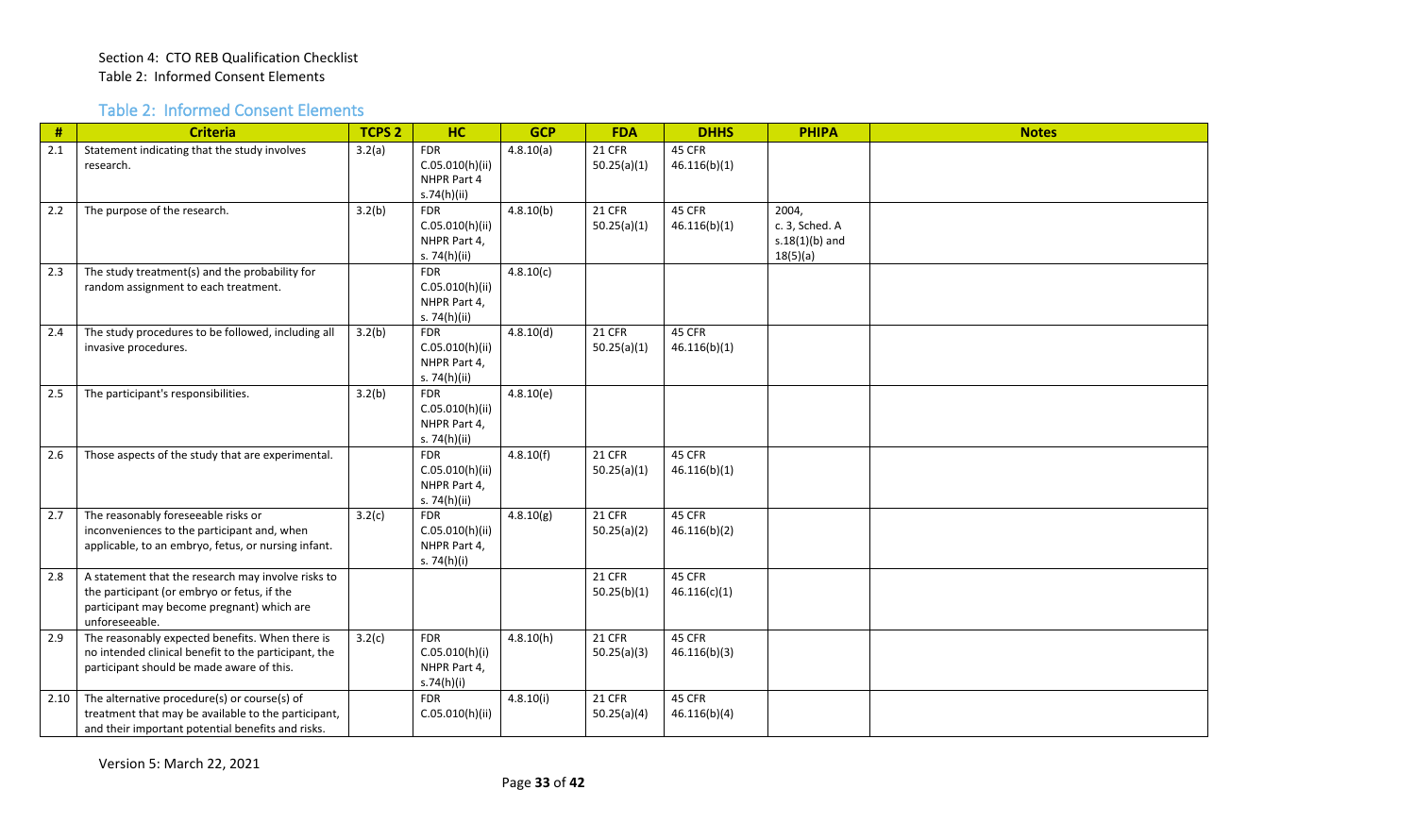#### Table 2: Informed Consent Elements

<span id="page-32-0"></span>

| $\#$ | <b>Criteria</b>                                                                                                                                                   | <b>TCPS 2</b> | <b>HC</b>                                                     | <b>GCP</b> | <b>FDA</b>                   | <b>DHHS</b>            | <b>PHIPA</b>                                            | <b>Notes</b> |
|------|-------------------------------------------------------------------------------------------------------------------------------------------------------------------|---------------|---------------------------------------------------------------|------------|------------------------------|------------------------|---------------------------------------------------------|--------------|
| 2.1  | Statement indicating that the study involves<br>research.                                                                                                         | 3.2(a)        | <b>FDR</b><br>C.05.010(h)(ii)<br>NHPR Part 4<br>s.74(h)(ii)   | 4.8.10(a)  | <b>21 CFR</b><br>50.25(a)(1) | 45 CFR<br>46.116(b)(1) |                                                         |              |
| 2.2  | The purpose of the research.                                                                                                                                      | 3.2(b)        | <b>FDR</b><br>C.05.010(h)(ii)<br>NHPR Part 4,<br>s. 74(h)(ii) | 4.8.10(b)  | <b>21 CFR</b><br>50.25(a)(1) | 45 CFR<br>46.116(b)(1) | 2004,<br>c. 3, Sched. A<br>$s.18(1)(b)$ and<br>18(5)(a) |              |
| 2.3  | The study treatment(s) and the probability for<br>random assignment to each treatment.                                                                            |               | <b>FDR</b><br>C.05.010(h)(ii)<br>NHPR Part 4,<br>s. 74(h)(ii) | 4.8.10(c)  |                              |                        |                                                         |              |
| 2.4  | The study procedures to be followed, including all<br>invasive procedures.                                                                                        | 3.2(b)        | <b>FDR</b><br>C.05.010(h)(ii)<br>NHPR Part 4,<br>s. 74(h)(ii) | 4.8.10(d)  | <b>21 CFR</b><br>50.25(a)(1) | 45 CFR<br>46.116(b)(1) |                                                         |              |
| 2.5  | The participant's responsibilities.                                                                                                                               | 3.2(b)        | <b>FDR</b><br>C.05.010(h)(ii)<br>NHPR Part 4,<br>s. 74(h)(ii) | 4.8.10(e)  |                              |                        |                                                         |              |
| 2.6  | Those aspects of the study that are experimental.                                                                                                                 |               | <b>FDR</b><br>C.05.010(h)(ii)<br>NHPR Part 4,<br>s. 74(h)(ii) | 4.8.10(f)  | <b>21 CFR</b><br>50.25(a)(1) | 45 CFR<br>46.116(b)(1) |                                                         |              |
| 2.7  | The reasonably foreseeable risks or<br>inconveniences to the participant and, when<br>applicable, to an embryo, fetus, or nursing infant.                         | 3.2(c)        | <b>FDR</b><br>C.05.010(h)(ii)<br>NHPR Part 4,<br>s. 74(h)(i)  | 4.8.10(g)  | <b>21 CFR</b><br>50.25(a)(2) | 45 CFR<br>46.116(b)(2) |                                                         |              |
| 2.8  | A statement that the research may involve risks to<br>the participant (or embryo or fetus, if the<br>participant may become pregnant) which are<br>unforeseeable. |               |                                                               |            | <b>21 CFR</b><br>50.25(b)(1) | 45 CFR<br>46.116(c)(1) |                                                         |              |
| 2.9  | The reasonably expected benefits. When there is<br>no intended clinical benefit to the participant, the<br>participant should be made aware of this.              | 3.2(c)        | <b>FDR</b><br>C.05.010(h)(i)<br>NHPR Part 4,<br>s.74(h)(i)    | 4.8.10(h)  | <b>21 CFR</b><br>50.25(a)(3) | 45 CFR<br>46.116(b)(3) |                                                         |              |
| 2.10 | The alternative procedure(s) or course(s) of<br>treatment that may be available to the participant,<br>and their important potential benefits and risks.          |               | <b>FDR</b><br>C.05.010(h)(ii)                                 | 4.8.10(i)  | <b>21 CFR</b><br>50.25(a)(4) | 45 CFR<br>46.116(b)(4) |                                                         |              |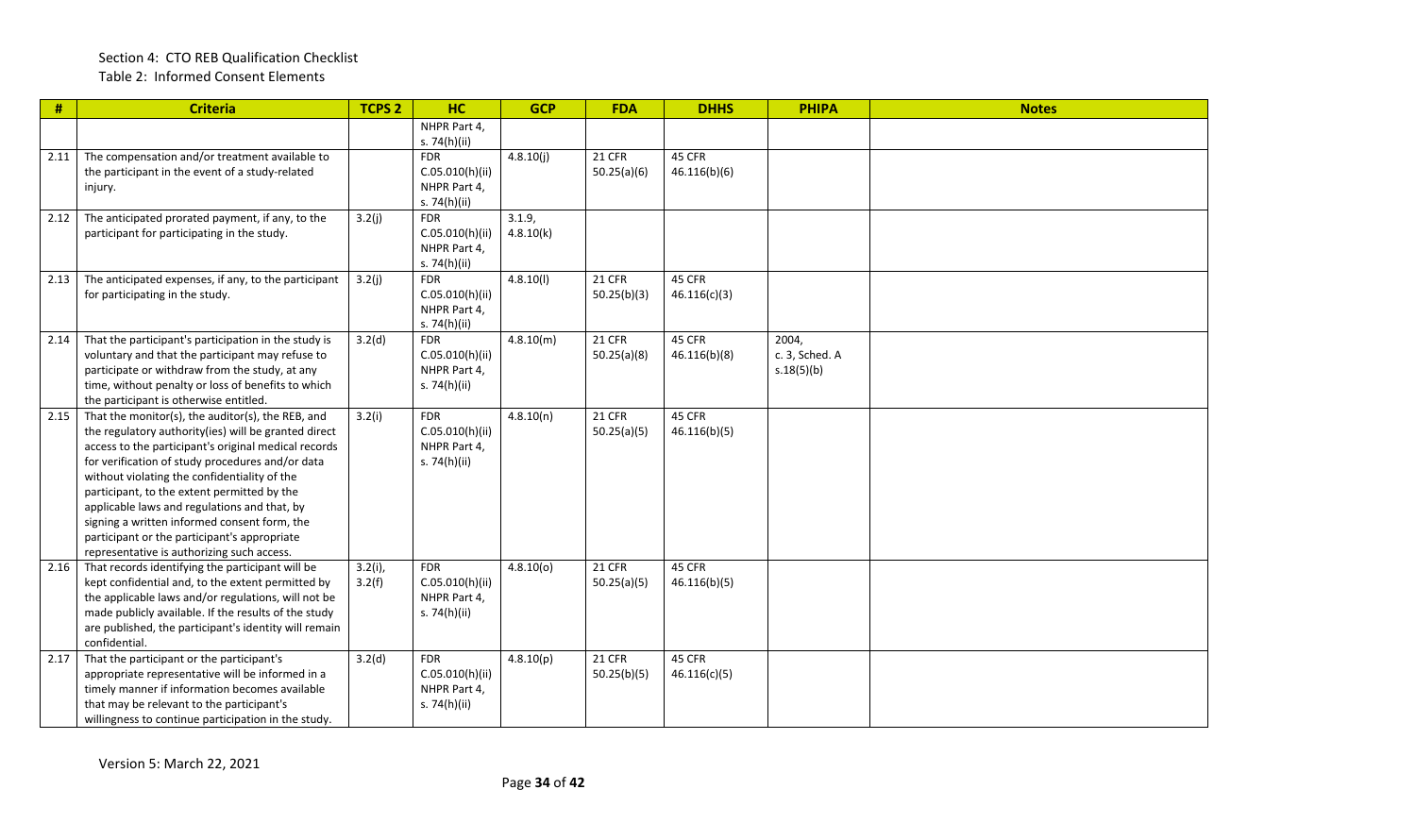| #    | <b>Criteria</b>                                                                                                                                                                                                                                                                                                                                                                                                                                                                                                    | <b>TCPS 2</b>        | HC                                                            | <b>GCP</b>          | <b>FDA</b>            | <b>DHHS</b>            | <b>PHIPA</b>                          | <b>Notes</b> |
|------|--------------------------------------------------------------------------------------------------------------------------------------------------------------------------------------------------------------------------------------------------------------------------------------------------------------------------------------------------------------------------------------------------------------------------------------------------------------------------------------------------------------------|----------------------|---------------------------------------------------------------|---------------------|-----------------------|------------------------|---------------------------------------|--------------|
|      |                                                                                                                                                                                                                                                                                                                                                                                                                                                                                                                    |                      | NHPR Part 4,<br>s. 74(h)(ii)                                  |                     |                       |                        |                                       |              |
| 2.11 | The compensation and/or treatment available to<br>the participant in the event of a study-related<br>injury.                                                                                                                                                                                                                                                                                                                                                                                                       |                      | <b>FDR</b><br>C.05.010(h)(ii)<br>NHPR Part 4,<br>s. 74(h)(ii) | 4.8.10(j)           | 21 CFR<br>50.25(a)(6) | 45 CFR<br>46.116(b)(6) |                                       |              |
| 2.12 | The anticipated prorated payment, if any, to the<br>participant for participating in the study.                                                                                                                                                                                                                                                                                                                                                                                                                    | 3.2(j)               | <b>FDR</b><br>C.05.010(h)(ii)<br>NHPR Part 4,<br>s. 74(h)(ii) | 3.1.9,<br>4.8.10(k) |                       |                        |                                       |              |
| 2.13 | The anticipated expenses, if any, to the participant<br>for participating in the study.                                                                                                                                                                                                                                                                                                                                                                                                                            | 3.2(j)               | <b>FDR</b><br>C.05.010(h)(ii)<br>NHPR Part 4,<br>s. 74(h)(ii) | 4.8.10(l)           | 21 CFR<br>50.25(b)(3) | 45 CFR<br>46.116(c)(3) |                                       |              |
| 2.14 | That the participant's participation in the study is<br>voluntary and that the participant may refuse to<br>participate or withdraw from the study, at any<br>time, without penalty or loss of benefits to which<br>the participant is otherwise entitled.                                                                                                                                                                                                                                                         | 3.2(d)               | <b>FDR</b><br>C.05.010(h)(ii)<br>NHPR Part 4,<br>s. 74(h)(ii) | 4.8.10(m)           | 21 CFR<br>50.25(a)(8) | 45 CFR<br>46.116(b)(8) | 2004,<br>c. 3, Sched. A<br>s.18(5)(b) |              |
| 2.15 | That the monitor(s), the auditor(s), the REB, and<br>the regulatory authority(ies) will be granted direct<br>access to the participant's original medical records<br>for verification of study procedures and/or data<br>without violating the confidentiality of the<br>participant, to the extent permitted by the<br>applicable laws and regulations and that, by<br>signing a written informed consent form, the<br>participant or the participant's appropriate<br>representative is authorizing such access. | 3.2(i)               | <b>FDR</b><br>C.05.010(h)(ii)<br>NHPR Part 4,<br>s. 74(h)(ii) | 4.8.10(n)           | 21 CFR<br>50.25(a)(5) | 45 CFR<br>46.116(b)(5) |                                       |              |
| 2.16 | That records identifying the participant will be<br>kept confidential and, to the extent permitted by<br>the applicable laws and/or regulations, will not be<br>made publicly available. If the results of the study<br>are published, the participant's identity will remain<br>confidential.                                                                                                                                                                                                                     | $3.2(i)$ ,<br>3.2(f) | <b>FDR</b><br>C.05.010(h)(ii)<br>NHPR Part 4,<br>s. 74(h)(ii) | 4.8.10(0)           | 21 CFR<br>50.25(a)(5) | 45 CFR<br>46.116(b)(5) |                                       |              |
| 2.17 | That the participant or the participant's<br>appropriate representative will be informed in a<br>timely manner if information becomes available<br>that may be relevant to the participant's<br>willingness to continue participation in the study.                                                                                                                                                                                                                                                                | 3.2(d)               | <b>FDR</b><br>C.05.010(h)(ii)<br>NHPR Part 4,<br>s. 74(h)(ii) | 4.8.10(p)           | 21 CFR<br>50.25(b)(5) | 45 CFR<br>46.116(c)(5) |                                       |              |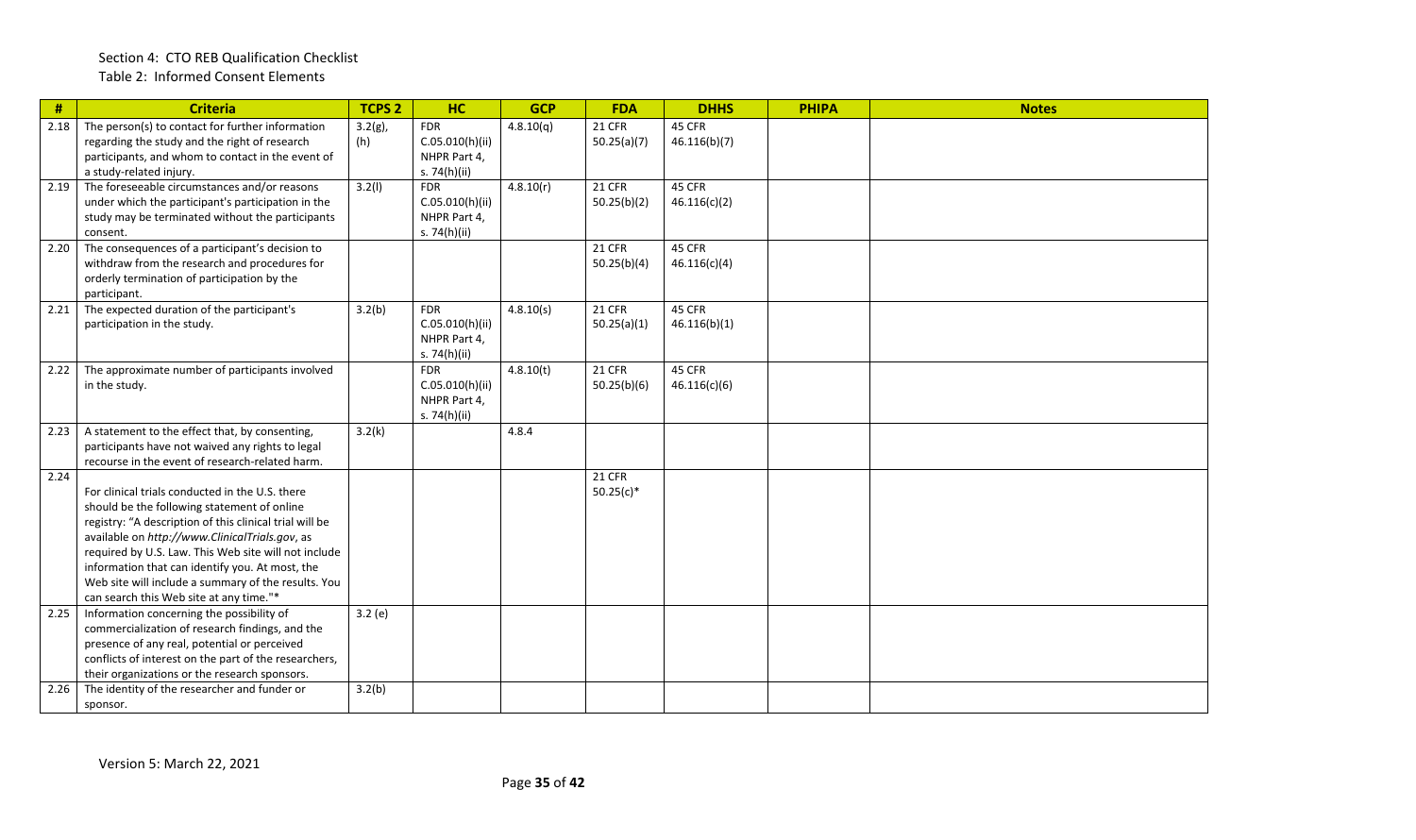| #    | <b>Criteria</b>                                                                                                                                                                                                                                                                                                                                                                                                          | <b>TCPS 2</b>     | HC                                                            | <b>GCP</b> | <b>FDA</b>                   | <b>DHHS</b>            | <b>PHIPA</b> | <b>Notes</b> |
|------|--------------------------------------------------------------------------------------------------------------------------------------------------------------------------------------------------------------------------------------------------------------------------------------------------------------------------------------------------------------------------------------------------------------------------|-------------------|---------------------------------------------------------------|------------|------------------------------|------------------------|--------------|--------------|
| 2.18 | The person(s) to contact for further information<br>regarding the study and the right of research<br>participants, and whom to contact in the event of<br>a study-related injury.                                                                                                                                                                                                                                        | $3.2(g)$ ,<br>(h) | <b>FDR</b><br>C.05.010(h)(ii)<br>NHPR Part 4,<br>s. 74(h)(ii) | 4.8.10(q)  | <b>21 CFR</b><br>50.25(a)(7) | 45 CFR<br>46.116(b)(7) |              |              |
| 2.19 | The foreseeable circumstances and/or reasons<br>under which the participant's participation in the<br>study may be terminated without the participants<br>consent.                                                                                                                                                                                                                                                       | 3.2(1)            | <b>FDR</b><br>C.05.010(h)(ii)<br>NHPR Part 4,<br>s. 74(h)(ii) | 4.8.10(r)  | <b>21 CFR</b><br>50.25(b)(2) | 45 CFR<br>46.116(c)(2) |              |              |
| 2.20 | The consequences of a participant's decision to<br>withdraw from the research and procedures for<br>orderly termination of participation by the<br>participant.                                                                                                                                                                                                                                                          |                   |                                                               |            | <b>21 CFR</b><br>50.25(b)(4) | 45 CFR<br>46.116(c)(4) |              |              |
| 2.21 | The expected duration of the participant's<br>participation in the study.                                                                                                                                                                                                                                                                                                                                                | 3.2(b)            | <b>FDR</b><br>C.05.010(h)(ii)<br>NHPR Part 4,<br>s. 74(h)(ii) | 4.8.10(s)  | 21 CFR<br>50.25(a)(1)        | 45 CFR<br>46.116(b)(1) |              |              |
| 2.22 | The approximate number of participants involved<br>in the study.                                                                                                                                                                                                                                                                                                                                                         |                   | <b>FDR</b><br>C.05.010(h)(ii)<br>NHPR Part 4,<br>s. 74(h)(ii) | 4.8.10(t)  | <b>21 CFR</b><br>50.25(b)(6) | 45 CFR<br>46.116(c)(6) |              |              |
| 2.23 | A statement to the effect that, by consenting,<br>participants have not waived any rights to legal<br>recourse in the event of research-related harm.                                                                                                                                                                                                                                                                    | 3.2(k)            |                                                               | 4.8.4      |                              |                        |              |              |
| 2.24 | For clinical trials conducted in the U.S. there<br>should be the following statement of online<br>registry: "A description of this clinical trial will be<br>available on http://www.ClinicalTrials.gov, as<br>required by U.S. Law. This Web site will not include<br>information that can identify you. At most, the<br>Web site will include a summary of the results. You<br>can search this Web site at any time."* |                   |                                                               |            | <b>21 CFR</b><br>$50.25(c)*$ |                        |              |              |
| 2.25 | Information concerning the possibility of<br>commercialization of research findings, and the<br>presence of any real, potential or perceived<br>conflicts of interest on the part of the researchers,<br>their organizations or the research sponsors.                                                                                                                                                                   | 3.2(e)            |                                                               |            |                              |                        |              |              |
| 2.26 | The identity of the researcher and funder or<br>sponsor.                                                                                                                                                                                                                                                                                                                                                                 | 3.2(b)            |                                                               |            |                              |                        |              |              |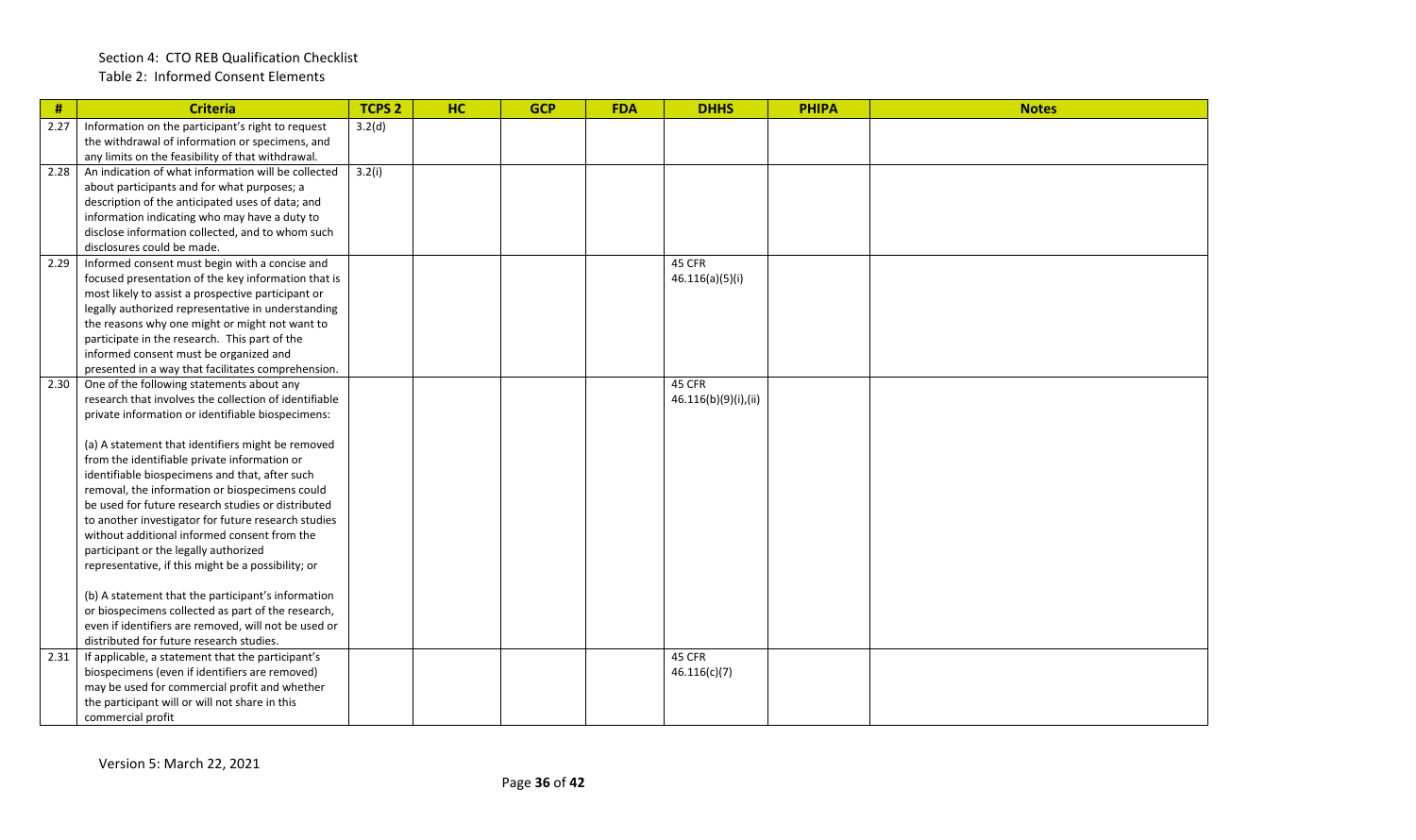#### Section 4: CTO REB Qualification Checklist Table 2: Informed Consent Elements

| #    | <b>Criteria</b>                                                                                            | <b>TCPS 2</b> | HC | <b>GCP</b> | <b>FDA</b> | <b>DHHS</b>          | <b>PHIPA</b> | <b>Notes</b> |
|------|------------------------------------------------------------------------------------------------------------|---------------|----|------------|------------|----------------------|--------------|--------------|
| 2.27 | Information on the participant's right to request                                                          | 3.2(d)        |    |            |            |                      |              |              |
|      | the withdrawal of information or specimens, and                                                            |               |    |            |            |                      |              |              |
|      | any limits on the feasibility of that withdrawal.                                                          |               |    |            |            |                      |              |              |
| 2.28 | An indication of what information will be collected                                                        | 3.2(i)        |    |            |            |                      |              |              |
|      | about participants and for what purposes; a                                                                |               |    |            |            |                      |              |              |
|      | description of the anticipated uses of data; and                                                           |               |    |            |            |                      |              |              |
|      | information indicating who may have a duty to                                                              |               |    |            |            |                      |              |              |
|      | disclose information collected, and to whom such                                                           |               |    |            |            |                      |              |              |
|      | disclosures could be made.                                                                                 |               |    |            |            |                      |              |              |
| 2.29 | Informed consent must begin with a concise and                                                             |               |    |            |            | 45 CFR               |              |              |
|      | focused presentation of the key information that is                                                        |               |    |            |            | 46.116(a)(5)(i)      |              |              |
|      | most likely to assist a prospective participant or                                                         |               |    |            |            |                      |              |              |
|      | legally authorized representative in understanding                                                         |               |    |            |            |                      |              |              |
|      | the reasons why one might or might not want to                                                             |               |    |            |            |                      |              |              |
|      | participate in the research. This part of the                                                              |               |    |            |            |                      |              |              |
|      | informed consent must be organized and                                                                     |               |    |            |            |                      |              |              |
|      | presented in a way that facilitates comprehension.                                                         |               |    |            |            |                      |              |              |
| 2.30 | One of the following statements about any                                                                  |               |    |            |            | 45 CFR               |              |              |
|      | research that involves the collection of identifiable                                                      |               |    |            |            | 46.116(b)(9)(i),(ii) |              |              |
|      | private information or identifiable biospecimens:                                                          |               |    |            |            |                      |              |              |
|      |                                                                                                            |               |    |            |            |                      |              |              |
|      | (a) A statement that identifiers might be removed                                                          |               |    |            |            |                      |              |              |
|      | from the identifiable private information or                                                               |               |    |            |            |                      |              |              |
|      | identifiable biospecimens and that, after such                                                             |               |    |            |            |                      |              |              |
|      | removal, the information or biospecimens could                                                             |               |    |            |            |                      |              |              |
|      | be used for future research studies or distributed                                                         |               |    |            |            |                      |              |              |
|      | to another investigator for future research studies                                                        |               |    |            |            |                      |              |              |
|      | without additional informed consent from the                                                               |               |    |            |            |                      |              |              |
|      | participant or the legally authorized                                                                      |               |    |            |            |                      |              |              |
|      | representative, if this might be a possibility; or                                                         |               |    |            |            |                      |              |              |
|      |                                                                                                            |               |    |            |            |                      |              |              |
|      | (b) A statement that the participant's information                                                         |               |    |            |            |                      |              |              |
|      | or biospecimens collected as part of the research,<br>even if identifiers are removed, will not be used or |               |    |            |            |                      |              |              |
|      |                                                                                                            |               |    |            |            |                      |              |              |
| 2.31 | distributed for future research studies.<br>If applicable, a statement that the participant's              |               |    |            |            | 45 CFR               |              |              |
|      |                                                                                                            |               |    |            |            |                      |              |              |
|      | biospecimens (even if identifiers are removed)                                                             |               |    |            |            | 46.116(c)(7)         |              |              |
|      | may be used for commercial profit and whether                                                              |               |    |            |            |                      |              |              |
|      | the participant will or will not share in this                                                             |               |    |            |            |                      |              |              |
|      | commercial profit                                                                                          |               |    |            |            |                      |              |              |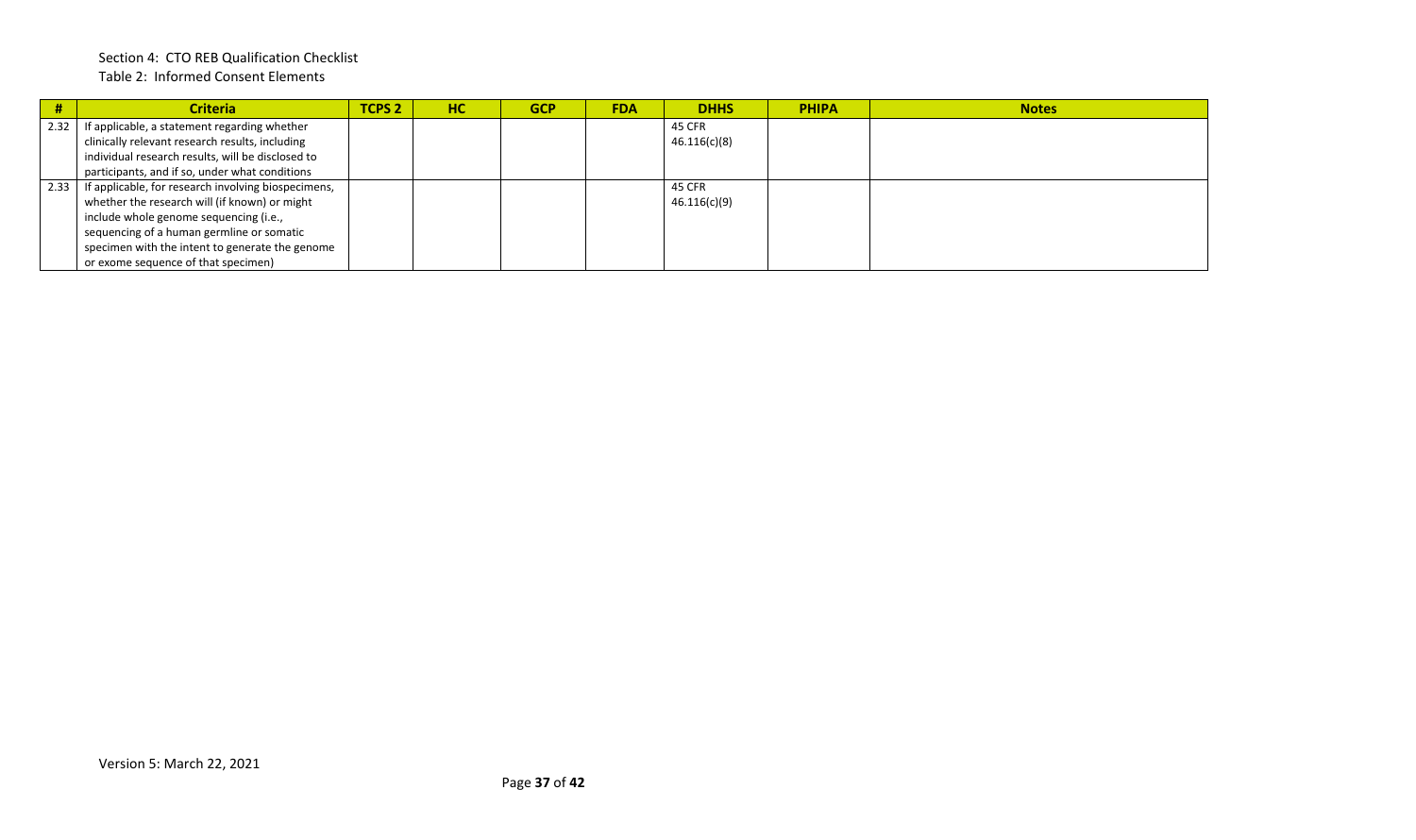#### Section 4: CTO REB Qualification Checklist Table 2: Informed Consent Elements

|      | <b>Criteria</b>                                     | <b>TCPS 2</b> | HC | <b>GCP</b> | <b>FDA</b> | <b>DHHS</b>  | <b>PHIPA</b> | <b>Notes</b> |
|------|-----------------------------------------------------|---------------|----|------------|------------|--------------|--------------|--------------|
| 2.32 | If applicable, a statement regarding whether        |               |    |            |            | 45 CFR       |              |              |
|      | clinically relevant research results, including     |               |    |            |            | 46.116(c)(8) |              |              |
|      | individual research results, will be disclosed to   |               |    |            |            |              |              |              |
|      | participants, and if so, under what conditions      |               |    |            |            |              |              |              |
| 2.33 | If applicable, for research involving biospecimens, |               |    |            |            | 45 CFR       |              |              |
|      | whether the research will (if known) or might       |               |    |            |            | 46.116(c)(9) |              |              |
|      | include whole genome sequencing (i.e.,              |               |    |            |            |              |              |              |
|      | sequencing of a human germline or somatic           |               |    |            |            |              |              |              |
|      | specimen with the intent to generate the genome     |               |    |            |            |              |              |              |
|      | or exome sequence of that specimen)                 |               |    |            |            |              |              |              |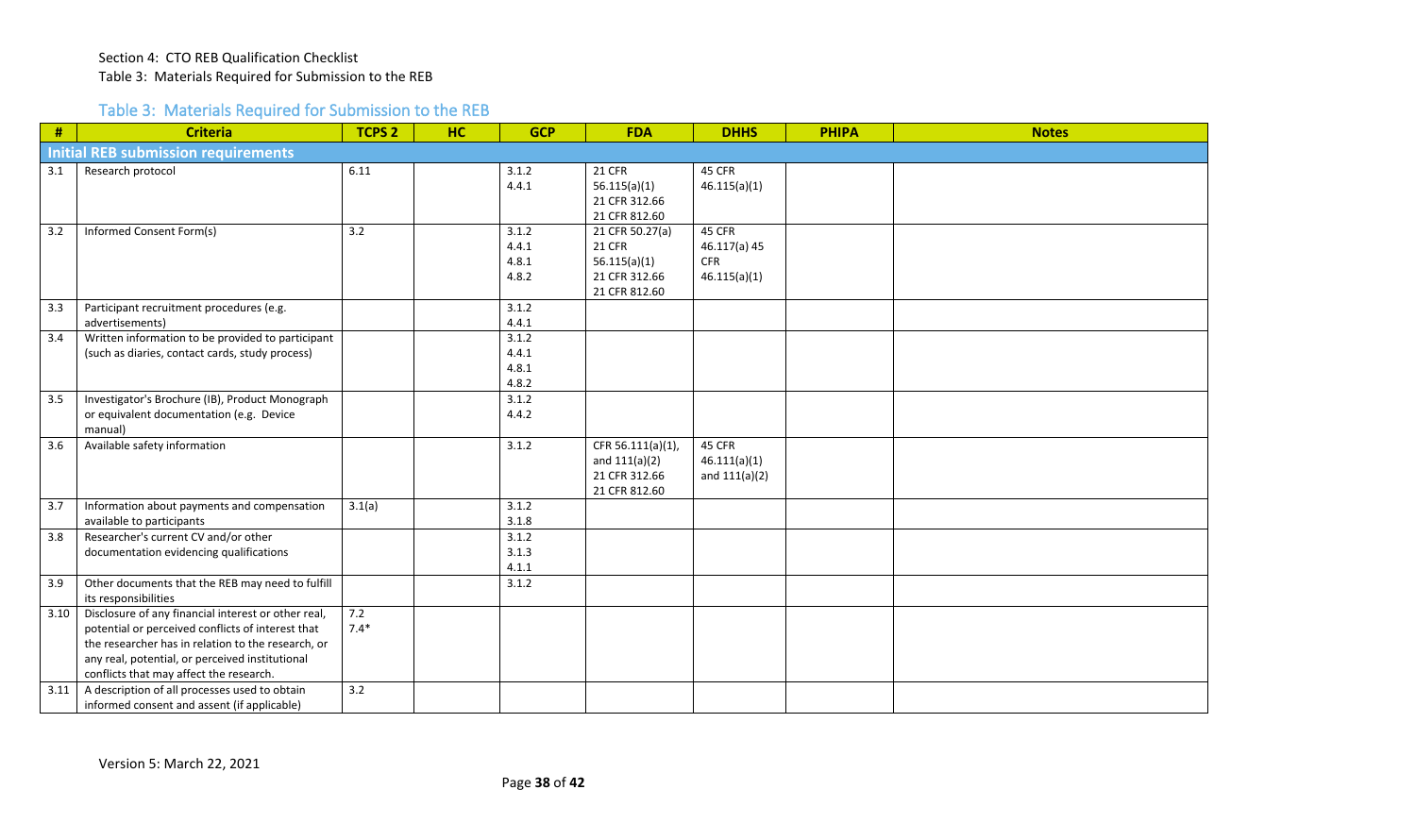### Table 3: Materials Required for Submission to the REB

<span id="page-37-0"></span>

| #    | <b>Criteria</b>                                                                                                                                                                                                                                              | <b>TCPS 2</b> | <b>HC</b> | <b>GCP</b>                       | <b>FDA</b>                                                                         | <b>DHHS</b>                                          | <b>PHIPA</b> | <b>Notes</b> |
|------|--------------------------------------------------------------------------------------------------------------------------------------------------------------------------------------------------------------------------------------------------------------|---------------|-----------|----------------------------------|------------------------------------------------------------------------------------|------------------------------------------------------|--------------|--------------|
|      | <b>Initial REB submission requirements</b>                                                                                                                                                                                                                   |               |           |                                  |                                                                                    |                                                      |              |              |
| 3.1  | Research protocol                                                                                                                                                                                                                                            | 6.11          |           | 3.1.2<br>4.4.1                   | <b>21 CFR</b><br>56.115(a)(1)<br>21 CFR 312.66<br>21 CFR 812.60                    | 45 CFR<br>46.115(a)(1)                               |              |              |
| 3.2  | Informed Consent Form(s)                                                                                                                                                                                                                                     | 3.2           |           | 3.1.2<br>4.4.1<br>4.8.1<br>4.8.2 | 21 CFR 50.27(a)<br><b>21 CFR</b><br>56.115(a)(1)<br>21 CFR 312.66<br>21 CFR 812.60 | 45 CFR<br>46.117(a) 45<br><b>CFR</b><br>46.115(a)(1) |              |              |
| 3.3  | Participant recruitment procedures (e.g.<br>advertisements)                                                                                                                                                                                                  |               |           | 3.1.2<br>4.4.1                   |                                                                                    |                                                      |              |              |
| 3.4  | Written information to be provided to participant<br>(such as diaries, contact cards, study process)                                                                                                                                                         |               |           | 3.1.2<br>4.4.1<br>4.8.1<br>4.8.2 |                                                                                    |                                                      |              |              |
| 3.5  | Investigator's Brochure (IB), Product Monograph<br>or equivalent documentation (e.g. Device<br>manual)                                                                                                                                                       |               |           | 3.1.2<br>4.4.2                   |                                                                                    |                                                      |              |              |
| 3.6  | Available safety information                                                                                                                                                                                                                                 |               |           | 3.1.2                            | CFR 56.111(a)(1),<br>and $111(a)(2)$<br>21 CFR 312.66<br>21 CFR 812.60             | 45 CFR<br>46.111(a)(1)<br>and $111(a)(2)$            |              |              |
| 3.7  | Information about payments and compensation<br>available to participants                                                                                                                                                                                     | 3.1(a)        |           | 3.1.2<br>3.1.8                   |                                                                                    |                                                      |              |              |
| 3.8  | Researcher's current CV and/or other<br>documentation evidencing qualifications                                                                                                                                                                              |               |           | 3.1.2<br>3.1.3<br>4.1.1          |                                                                                    |                                                      |              |              |
| 3.9  | Other documents that the REB may need to fulfill<br>its responsibilities                                                                                                                                                                                     |               |           | 3.1.2                            |                                                                                    |                                                      |              |              |
| 3.10 | Disclosure of any financial interest or other real,<br>potential or perceived conflicts of interest that<br>the researcher has in relation to the research, or<br>any real, potential, or perceived institutional<br>conflicts that may affect the research. | 7.2<br>$7.4*$ |           |                                  |                                                                                    |                                                      |              |              |
| 3.11 | A description of all processes used to obtain<br>informed consent and assent (if applicable)                                                                                                                                                                 | 3.2           |           |                                  |                                                                                    |                                                      |              |              |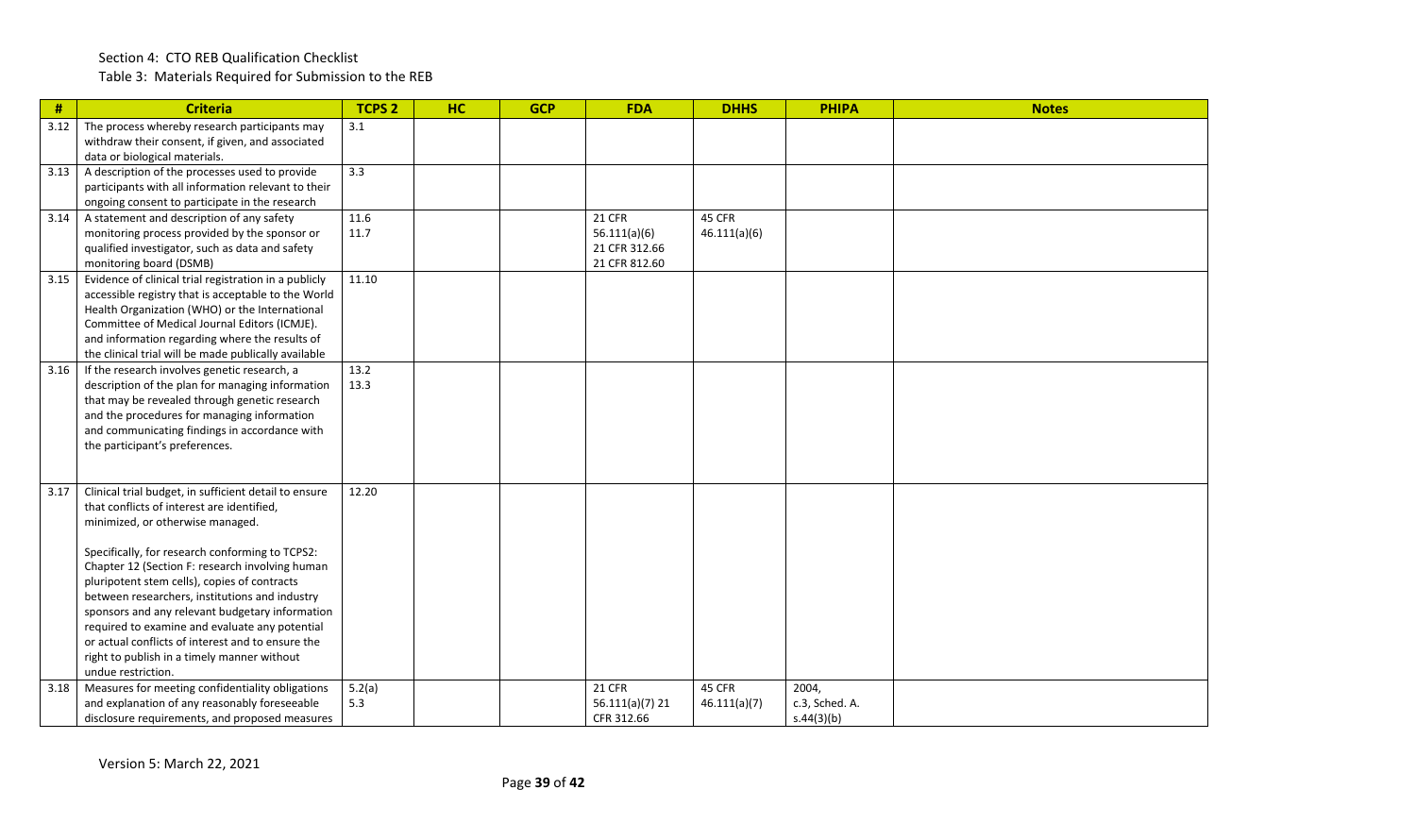Table 3: Materials Required for Submission to the REB

| $\#$ | <b>Criteria</b>                                                                                                                                                                                                                                                                                                                                                                                                                                                                                                                                                                | <b>TCPS 2</b> | HC | <b>GCP</b> | <b>FDA</b>                                                      | <b>DHHS</b>            | <b>PHIPA</b>                          | <b>Notes</b> |
|------|--------------------------------------------------------------------------------------------------------------------------------------------------------------------------------------------------------------------------------------------------------------------------------------------------------------------------------------------------------------------------------------------------------------------------------------------------------------------------------------------------------------------------------------------------------------------------------|---------------|----|------------|-----------------------------------------------------------------|------------------------|---------------------------------------|--------------|
| 3.12 | The process whereby research participants may<br>withdraw their consent, if given, and associated<br>data or biological materials.                                                                                                                                                                                                                                                                                                                                                                                                                                             | 3.1           |    |            |                                                                 |                        |                                       |              |
| 3.13 | A description of the processes used to provide<br>participants with all information relevant to their<br>ongoing consent to participate in the research                                                                                                                                                                                                                                                                                                                                                                                                                        | 3.3           |    |            |                                                                 |                        |                                       |              |
| 3.14 | A statement and description of any safety<br>monitoring process provided by the sponsor or<br>qualified investigator, such as data and safety<br>monitoring board (DSMB)                                                                                                                                                                                                                                                                                                                                                                                                       | 11.6<br>11.7  |    |            | <b>21 CFR</b><br>56.111(a)(6)<br>21 CFR 312.66<br>21 CFR 812.60 | 45 CFR<br>46.111(a)(6) |                                       |              |
| 3.15 | Evidence of clinical trial registration in a publicly<br>accessible registry that is acceptable to the World<br>Health Organization (WHO) or the International<br>Committee of Medical Journal Editors (ICMJE).<br>and information regarding where the results of<br>the clinical trial will be made publically available                                                                                                                                                                                                                                                      | 11.10         |    |            |                                                                 |                        |                                       |              |
| 3.16 | If the research involves genetic research, a<br>description of the plan for managing information<br>that may be revealed through genetic research<br>and the procedures for managing information<br>and communicating findings in accordance with<br>the participant's preferences.                                                                                                                                                                                                                                                                                            | 13.2<br>13.3  |    |            |                                                                 |                        |                                       |              |
| 3.17 | Clinical trial budget, in sufficient detail to ensure<br>that conflicts of interest are identified,<br>minimized, or otherwise managed.<br>Specifically, for research conforming to TCPS2:<br>Chapter 12 (Section F: research involving human<br>pluripotent stem cells), copies of contracts<br>between researchers, institutions and industry<br>sponsors and any relevant budgetary information<br>required to examine and evaluate any potential<br>or actual conflicts of interest and to ensure the<br>right to publish in a timely manner without<br>undue restriction. | 12.20         |    |            |                                                                 |                        |                                       |              |
| 3.18 | Measures for meeting confidentiality obligations<br>and explanation of any reasonably foreseeable<br>disclosure requirements, and proposed measures                                                                                                                                                                                                                                                                                                                                                                                                                            | 5.2(a)<br>5.3 |    |            | <b>21 CFR</b><br>56.111(a)(7) 21<br>CFR 312.66                  | 45 CFR<br>46.111(a)(7) | 2004,<br>c.3, Sched. A.<br>s.44(3)(b) |              |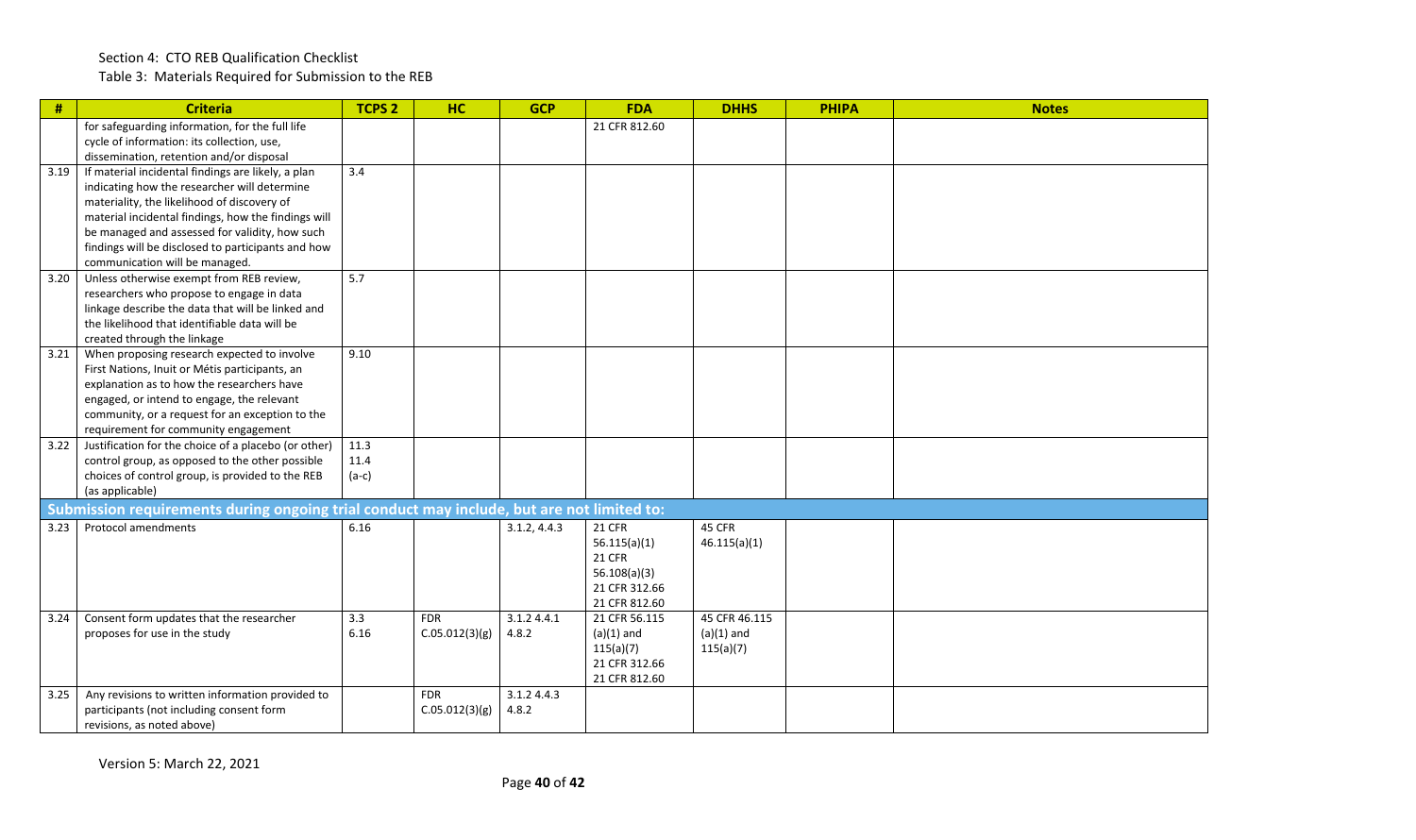Table 3: Materials Required for Submission to the REB

| #    | <b>Criteria</b>                                                                                    | <b>TCPS 2</b> | <b>HC</b>      | <b>GCP</b>   | <b>FDA</b>                    | <b>DHHS</b>               | <b>PHIPA</b> | <b>Notes</b> |
|------|----------------------------------------------------------------------------------------------------|---------------|----------------|--------------|-------------------------------|---------------------------|--------------|--------------|
|      | for safeguarding information, for the full life                                                    |               |                |              | 21 CFR 812.60                 |                           |              |              |
|      | cycle of information: its collection, use,<br>dissemination, retention and/or disposal             |               |                |              |                               |                           |              |              |
| 3.19 | If material incidental findings are likely, a plan                                                 | 3.4           |                |              |                               |                           |              |              |
|      | indicating how the researcher will determine                                                       |               |                |              |                               |                           |              |              |
|      | materiality, the likelihood of discovery of                                                        |               |                |              |                               |                           |              |              |
|      | material incidental findings, how the findings will                                                |               |                |              |                               |                           |              |              |
|      | be managed and assessed for validity, how such                                                     |               |                |              |                               |                           |              |              |
|      | findings will be disclosed to participants and how<br>communication will be managed.               |               |                |              |                               |                           |              |              |
| 3.20 | Unless otherwise exempt from REB review,                                                           | 5.7           |                |              |                               |                           |              |              |
|      | researchers who propose to engage in data                                                          |               |                |              |                               |                           |              |              |
|      | linkage describe the data that will be linked and<br>the likelihood that identifiable data will be |               |                |              |                               |                           |              |              |
|      | created through the linkage                                                                        |               |                |              |                               |                           |              |              |
| 3.21 | When proposing research expected to involve                                                        | 9.10          |                |              |                               |                           |              |              |
|      | First Nations, Inuit or Métis participants, an                                                     |               |                |              |                               |                           |              |              |
|      | explanation as to how the researchers have                                                         |               |                |              |                               |                           |              |              |
|      | engaged, or intend to engage, the relevant                                                         |               |                |              |                               |                           |              |              |
|      | community, or a request for an exception to the<br>requirement for community engagement            |               |                |              |                               |                           |              |              |
| 3.22 | Justification for the choice of a placebo (or other)                                               | 11.3          |                |              |                               |                           |              |              |
|      | control group, as opposed to the other possible                                                    | 11.4          |                |              |                               |                           |              |              |
|      | choices of control group, is provided to the REB                                                   | $(a-c)$       |                |              |                               |                           |              |              |
|      | (as applicable)                                                                                    |               |                |              |                               |                           |              |              |
|      | Submission requirements during ongoing trial conduct may include, but are not limited to:          |               |                |              |                               |                           |              |              |
| 3.23 | <b>Protocol amendments</b>                                                                         | 6.16          |                | 3.1.2, 4.4.3 | 21 CFR                        | 45 CFR<br>46.115(a)(1)    |              |              |
|      |                                                                                                    |               |                |              | 56.115(a)(1)<br><b>21 CFR</b> |                           |              |              |
|      |                                                                                                    |               |                |              | 56.108(a)(3)                  |                           |              |              |
|      |                                                                                                    |               |                |              | 21 CFR 312.66                 |                           |              |              |
|      |                                                                                                    |               |                |              | 21 CFR 812.60                 |                           |              |              |
| 3.24 | Consent form updates that the researcher                                                           | 3.3           | <b>FDR</b>     | 3.1.2 4.4.1  | 21 CFR 56.115                 | 45 CFR 46.115             |              |              |
|      | proposes for use in the study                                                                      | 6.16          | C.05.012(3)(g) | 4.8.2        | $(a)(1)$ and<br>115(a)(7)     | $(a)(1)$ and<br>115(a)(7) |              |              |
|      |                                                                                                    |               |                |              | 21 CFR 312.66                 |                           |              |              |
|      |                                                                                                    |               |                |              | 21 CFR 812.60                 |                           |              |              |
| 3.25 | Any revisions to written information provided to                                                   |               | <b>FDR</b>     | 3.1.2 4.4.3  |                               |                           |              |              |
|      | participants (not including consent form                                                           |               | C.05.012(3)(g) | 4.8.2        |                               |                           |              |              |
|      | revisions, as noted above)                                                                         |               |                |              |                               |                           |              |              |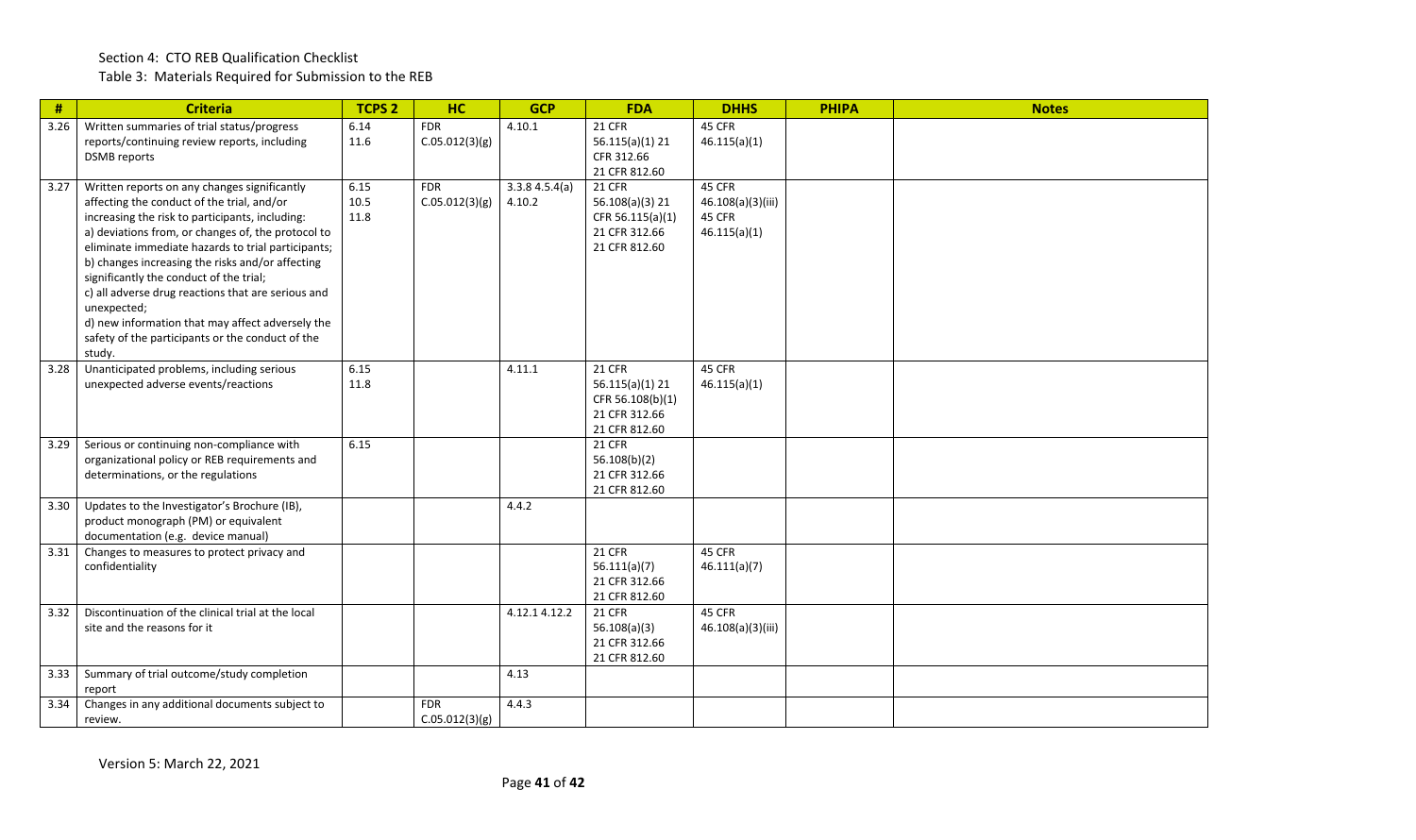#### Section 4: CTO REB Qualification Checklist Table 3: Materials Required for Submission to the REB

| $\#$ | <b>Criteria</b>                                                                                                                                                                                                                                                                                                                                                                                                                                                                                                                                 | <b>TCPS 2</b>        | HC                           | <b>GCP</b>              | <b>FDA</b>                                                                             | <b>DHHS</b>                                           | <b>PHIPA</b> | <b>Notes</b> |
|------|-------------------------------------------------------------------------------------------------------------------------------------------------------------------------------------------------------------------------------------------------------------------------------------------------------------------------------------------------------------------------------------------------------------------------------------------------------------------------------------------------------------------------------------------------|----------------------|------------------------------|-------------------------|----------------------------------------------------------------------------------------|-------------------------------------------------------|--------------|--------------|
| 3.26 | Written summaries of trial status/progress<br>reports/continuing review reports, including<br><b>DSMB</b> reports                                                                                                                                                                                                                                                                                                                                                                                                                               | 6.14<br>11.6         | <b>FDR</b><br>C.05.012(3)(g) | 4.10.1                  | <b>21 CFR</b><br>$56.115(a)(1)$ 21<br>CFR 312.66<br>21 CFR 812.60                      | 45 CFR<br>46.115(a)(1)                                |              |              |
| 3.27 | Written reports on any changes significantly<br>affecting the conduct of the trial, and/or<br>increasing the risk to participants, including:<br>a) deviations from, or changes of, the protocol to<br>eliminate immediate hazards to trial participants;<br>b) changes increasing the risks and/or affecting<br>significantly the conduct of the trial;<br>c) all adverse drug reactions that are serious and<br>unexpected;<br>d) new information that may affect adversely the<br>safety of the participants or the conduct of the<br>study. | 6.15<br>10.5<br>11.8 | <b>FDR</b><br>C.05.012(3)(g) | 3.3.84.5.4(a)<br>4.10.2 | <b>21 CFR</b><br>56.108(a)(3) 21<br>CFR 56.115(a)(1)<br>21 CFR 312.66<br>21 CFR 812.60 | 45 CFR<br>46.108(a)(3)(iii)<br>45 CFR<br>46.115(a)(1) |              |              |
| 3.28 | Unanticipated problems, including serious<br>unexpected adverse events/reactions                                                                                                                                                                                                                                                                                                                                                                                                                                                                | 6.15<br>11.8         |                              | 4.11.1                  | <b>21 CFR</b><br>56.115(a)(1) 21<br>CFR 56.108(b)(1)<br>21 CFR 312.66<br>21 CFR 812.60 | 45 CFR<br>46.115(a)(1)                                |              |              |
| 3.29 | Serious or continuing non-compliance with<br>organizational policy or REB requirements and<br>determinations, or the regulations                                                                                                                                                                                                                                                                                                                                                                                                                | 6.15                 |                              |                         | <b>21 CFR</b><br>56.108(b)(2)<br>21 CFR 312.66<br>21 CFR 812.60                        |                                                       |              |              |
| 3.30 | Updates to the Investigator's Brochure (IB),<br>product monograph (PM) or equivalent<br>documentation (e.g. device manual)                                                                                                                                                                                                                                                                                                                                                                                                                      |                      |                              | 4.4.2                   |                                                                                        |                                                       |              |              |
| 3.31 | Changes to measures to protect privacy and<br>confidentiality                                                                                                                                                                                                                                                                                                                                                                                                                                                                                   |                      |                              |                         | <b>21 CFR</b><br>56.111(a)(7)<br>21 CFR 312.66<br>21 CFR 812.60                        | 45 CFR<br>46.111(a)(7)                                |              |              |
| 3.32 | Discontinuation of the clinical trial at the local<br>site and the reasons for it                                                                                                                                                                                                                                                                                                                                                                                                                                                               |                      |                              | 4.12.14.12.2            | <b>21 CFR</b><br>56.108(a)(3)<br>21 CFR 312.66<br>21 CFR 812.60                        | 45 CFR<br>46.108(a)(3)(iii)                           |              |              |
| 3.33 | Summary of trial outcome/study completion<br>report                                                                                                                                                                                                                                                                                                                                                                                                                                                                                             |                      |                              | 4.13                    |                                                                                        |                                                       |              |              |
| 3.34 | Changes in any additional documents subject to<br>review.                                                                                                                                                                                                                                                                                                                                                                                                                                                                                       |                      | <b>FDR</b><br>C.05.012(3)(g) | 4.4.3                   |                                                                                        |                                                       |              |              |